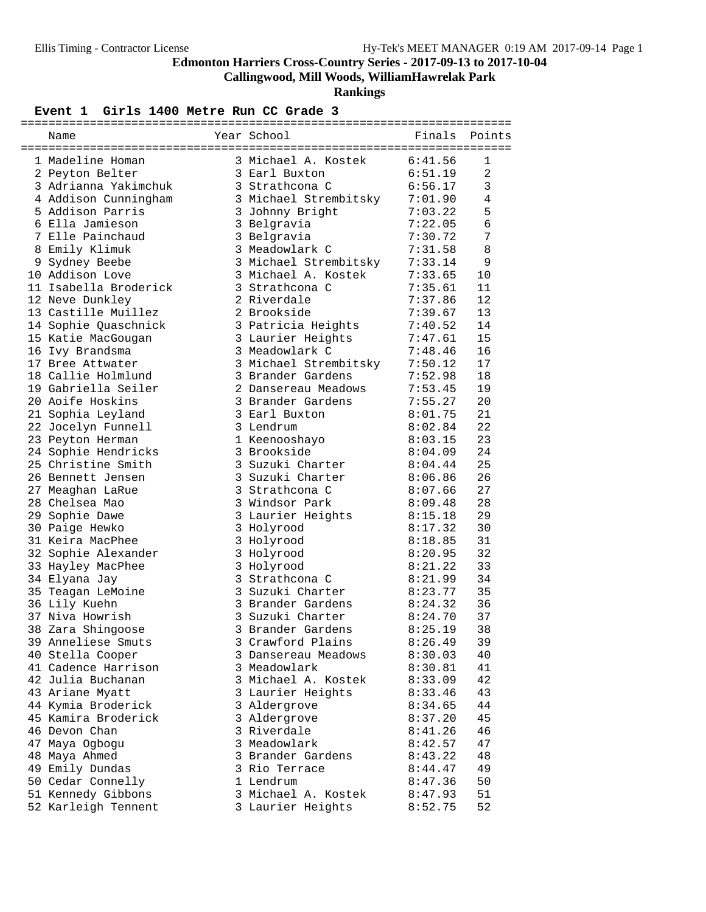**Callingwood, Mill Woods, WilliamHawrelak Park**

**Rankings**

#### Event 1 Girls 1400 Metre Run CC Grade 3

| Name                                    | Year School           |         | Finals Points  |
|-----------------------------------------|-----------------------|---------|----------------|
|                                         |                       |         |                |
| 1 Madeline Homan                        | 3 Michael A. Kostek   | 6:41.56 | 1              |
| 2 Peyton Belter                         | 3 Earl Buxton         | 6:51.19 | $\overline{a}$ |
| 3 Adrianna Yakimchuk                    | 3 Strathcona C        | 6:56.17 | 3              |
| 4 Addison Cunningham                    | 3 Michael Strembitsky | 7:01.90 | $\overline{4}$ |
| 5 Addison Parris                        | 3 Johnny Bright       | 7:03.22 | 5              |
| 6 Ella Jamieson                         | 3 Belgravia           | 7:22.05 | 6              |
| 7 Elle Painchaud                        | 3 Belgravia           | 7:30.72 | 7              |
| 8 Emily Klimuk                          | 3 Meadowlark C        | 7:31.58 | 8              |
| 9 Sydney Beebe                          | 3 Michael Strembitsky | 7:33.14 | 9              |
| 10 Addison Love                         | 3 Michael A. Kostek   | 7:33.65 | 10             |
| 11 Isabella Broderick                   | 3 Strathcona C        | 7:35.61 | 11             |
| 12 Neve Dunkley                         | 2 Riverdale           | 7:37.86 | 12             |
| 13 Castille Muillez                     | 2 Brookside           | 7:39.67 | 13             |
| 14 Sophie Quaschnick                    | 3 Patricia Heights    | 7:40.52 | 14             |
| 15 Katie MacGougan                      | 3 Laurier Heights     | 7:47.61 | 15             |
| 16 Ivy Brandsma                         | 3 Meadowlark C        | 7:48.46 | 16             |
| 17 Bree Attwater                        | 3 Michael Strembitsky | 7:50.12 | 17             |
| 18 Callie Holmlund                      | 3 Brander Gardens     | 7:52.98 | 18             |
| 19 Gabriella Seiler                     | 2 Dansereau Meadows   | 7:53.45 | 19             |
| 20 Aoife Hoskins                        | 3 Brander Gardens     | 7:55.27 | 20             |
| 21 Sophia Leyland                       | 3 Earl Buxton         | 8:01.75 | 21             |
| 22 Jocelyn Funnell                      | 3 Lendrum             | 8:02.84 | 22             |
|                                         | 1 Keenooshayo         | 8:03.15 | 23             |
| 23 Peyton Herman<br>24 Sophie Hendricks | 3 Brookside           | 8:04.09 | 24             |
| 25 Christine Smith                      | 3 Suzuki Charter      | 8:04.44 | 25             |
|                                         |                       |         |                |
| 26 Bennett Jensen                       | 3 Suzuki Charter      | 8:06.86 | 26             |
| 27 Meaghan LaRue                        | 3 Strathcona C        | 8:07.66 | 27             |
| 28 Chelsea Mao                          | 3 Windsor Park        | 8:09.48 | 28             |
| 29 Sophie Dawe                          | 3 Laurier Heights     | 8:15.18 | 29             |
| 30 Paige Hewko                          | 3 Holyrood            | 8:17.32 | 30             |
| 31 Keira MacPhee                        | 3 Holyrood            | 8:18.85 | 31             |
| 32 Sophie Alexander                     | 3 Holyrood            | 8:20.95 | 32             |
| 33 Hayley MacPhee                       | 3 Holyrood            | 8:21.22 | 33             |
| 34 Elyana Jay                           | 3 Strathcona C        | 8:21.99 | 34             |
| 35 Teagan LeMoine                       | 3 Suzuki Charter      | 8:23.77 | 35             |
| 36 Lily Kuehn                           | 3 Brander Gardens     | 8:24.32 | 36             |
| 37 Niva Howrish                         | 3 Suzuki Charter      | 8:24.70 | 37             |
| 38 Zara Shingoose                       | 3 Brander Gardens     | 8:25.19 | 38             |
| 39 Anneliese Smuts                      | 3 Crawford Plains     | 8:26.49 | 39             |
| 40 Stella Cooper                        | 3 Dansereau Meadows   | 8:30.03 | 40             |
| 41 Cadence Harrison                     | 3 Meadowlark          | 8:30.81 | 41             |
| 42 Julia Buchanan                       | 3 Michael A. Kostek   | 8:33.09 | 42             |
| 43 Ariane Myatt                         | 3 Laurier Heights     | 8:33.46 | 43             |
| 44 Kymia Broderick                      | 3 Aldergrove          | 8:34.65 | 44             |
| 45 Kamira Broderick                     | 3 Aldergrove          | 8:37.20 | 45             |
| 46 Devon Chan                           | 3 Riverdale           | 8:41.26 | 46             |
| 47 Maya Ogbogu                          | 3 Meadowlark          | 8:42.57 | 47             |
| 48 Maya Ahmed                           | 3 Brander Gardens     | 8:43.22 | 48             |
| 49 Emily Dundas                         | 3 Rio Terrace         | 8:44.47 | 49             |
| 50 Cedar Connelly                       | 1 Lendrum             | 8:47.36 | 50             |
| 51 Kennedy Gibbons                      | 3 Michael A. Kostek   | 8:47.93 | 51             |
| 52 Karleigh Tennent                     | 3 Laurier Heights     | 8:52.75 | 52             |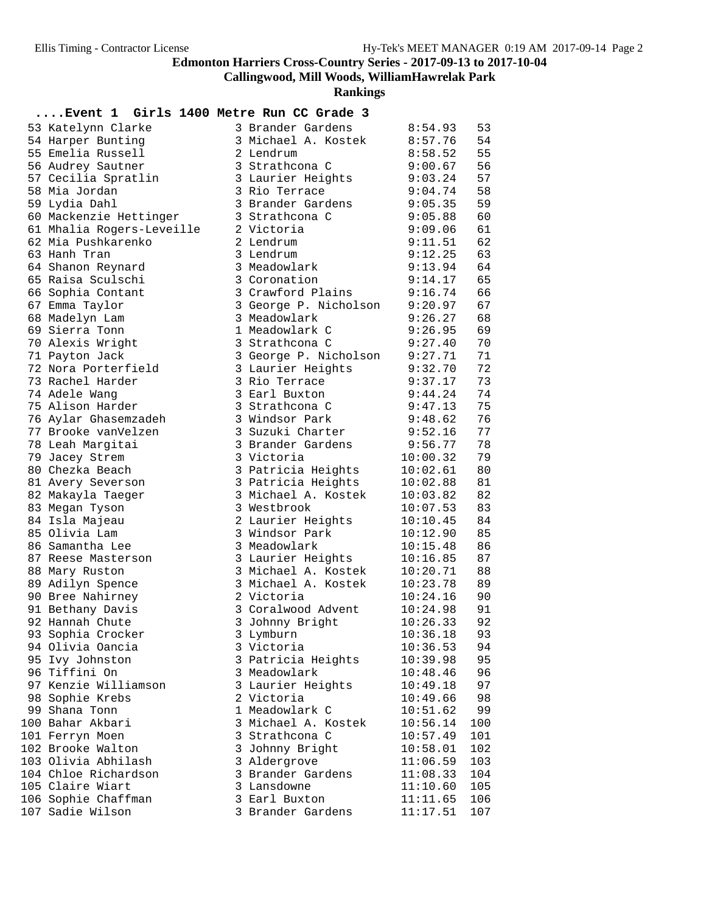**Callingwood, Mill Woods, WilliamHawrelak Park**

**Rankings**

#### **....Event 1 Girls 1400 Metre Run CC Grade 3**

| 53 Katelynn Clarke        | 3 Brander Gardens     | 8:54.93  | 53  |
|---------------------------|-----------------------|----------|-----|
| 54 Harper Bunting         | 3 Michael A. Kostek   | 8:57.76  | 54  |
| 55 Emelia Russell         | 2 Lendrum             | 8:58.52  | 55  |
| 56 Audrey Sautner         | 3 Strathcona C        | 9:00.67  | 56  |
| 57 Cecilia Spratlin       | 3 Laurier Heights     | 9:03.24  | 57  |
| 58 Mia Jordan             | 3 Rio Terrace         | 9:04.74  | 58  |
| 59 Lydia Dahl             | 3 Brander Gardens     | 9:05.35  | 59  |
| 60 Mackenzie Hettinger    | 3 Strathcona C        | 9:05.88  | 60  |
| 61 Mhalia Rogers-Leveille | 2 Victoria            | 9:09.06  | 61  |
| 62 Mia Pushkarenko        | 2 Lendrum             | 9:11.51  | 62  |
| 63 Hanh Tran              | 3 Lendrum             | 9:12.25  | 63  |
| 64 Shanon Reynard         | 3 Meadowlark          | 9:13.94  | 64  |
| 65 Raisa Sculschi         | 3 Coronation          | 9:14.17  | 65  |
| 66 Sophia Contant         | 3 Crawford Plains     | 9:16.74  | 66  |
| 67 Emma Taylor            | 3 George P. Nicholson | 9:20.97  | 67  |
| 68 Madelyn Lam            | 3 Meadowlark          | 9:26.27  | 68  |
| 69 Sierra Tonn            | 1 Meadowlark C        | 9:26.95  | 69  |
| 70 Alexis Wright          | 3 Strathcona C        | 9:27.40  | 70  |
| 71 Payton Jack            | 3 George P. Nicholson | 9:27.71  | 71  |
| 72 Nora Porterfield       | 3 Laurier Heights     | 9:32.70  | 72  |
| 73 Rachel Harder          | 3 Rio Terrace         | 9:37.17  | 73  |
| 74 Adele Wang             | 3 Earl Buxton         | 9:44.24  | 74  |
| 75 Alison Harder          | 3 Strathcona C        | 9:47.13  | 75  |
| 76 Aylar Ghasemzadeh      | 3 Windsor Park        | 9:48.62  | 76  |
| 77 Brooke vanVelzen       | 3 Suzuki Charter      | 9:52.16  | 77  |
| 78 Leah Margitai          | 3 Brander Gardens     | 9:56.77  | 78  |
| 79 Jacey Strem            | 3 Victoria            | 10:00.32 | 79  |
| 80 Chezka Beach           | 3 Patricia Heights    | 10:02.61 | 80  |
| 81 Avery Severson         | 3 Patricia Heights    | 10:02.88 | 81  |
| 82 Makayla Taeger         | 3 Michael A. Kostek   | 10:03.82 | 82  |
| 83 Megan Tyson            | 3 Westbrook           | 10:07.53 | 83  |
| 84 Isla Majeau            | 2 Laurier Heights     | 10:10.45 | 84  |
| 85 Olivia Lam             | 3 Windsor Park        | 10:12.90 | 85  |
| 86 Samantha Lee           | 3 Meadowlark          | 10:15.48 | 86  |
| 87 Reese Masterson        | 3 Laurier Heights     | 10:16.85 | 87  |
| 88 Mary Ruston            | 3 Michael A. Kostek   | 10:20.71 | 88  |
| 89 Adilyn Spence          | 3 Michael A. Kostek   | 10:23.78 | 89  |
| 90 Bree Nahirney          | 2 Victoria            | 10:24.16 | 90  |
| 91 Bethany Davis          | 3 Coralwood Advent    | 10:24.98 | 91  |
| 92 Hannah Chute           | 3 Johnny Bright       | 10:26.33 | 92  |
| 93 Sophia Crocker         | 3 Lymburn             | 10:36.18 | 93  |
| 94 Olivia Oancia          | 3 Victoria            | 10:36.53 | 94  |
| 95 Ivy Johnston           | 3 Patricia Heights    | 10:39.98 | 95  |
| 96 Tiffini On             | 3 Meadowlark          | 10:48.46 | 96  |
| 97 Kenzie Williamson      | 3 Laurier Heights     | 10:49.18 | 97  |
| 98 Sophie Krebs           | 2 Victoria            | 10:49.66 | 98  |
| 99 Shana Tonn             | 1 Meadowlark C        | 10:51.62 | 99  |
| 100 Bahar Akbari          | 3 Michael A. Kostek   | 10:56.14 | 100 |
| 101 Ferryn Moen           | 3 Strathcona C        | 10:57.49 | 101 |
| 102 Brooke Walton         | 3 Johnny Bright       | 10:58.01 | 102 |
| 103 Olivia Abhilash       | 3 Aldergrove          | 11:06.59 | 103 |
| 104 Chloe Richardson      | 3 Brander Gardens     | 11:08.33 | 104 |
| 105 Claire Wiart          | 3 Lansdowne           | 11:10.60 | 105 |
| 106 Sophie Chaffman       | 3 Earl Buxton         | 11:11.65 | 106 |
| 107 Sadie Wilson          | 3 Brander Gardens     | 11:17.51 | 107 |
|                           |                       |          |     |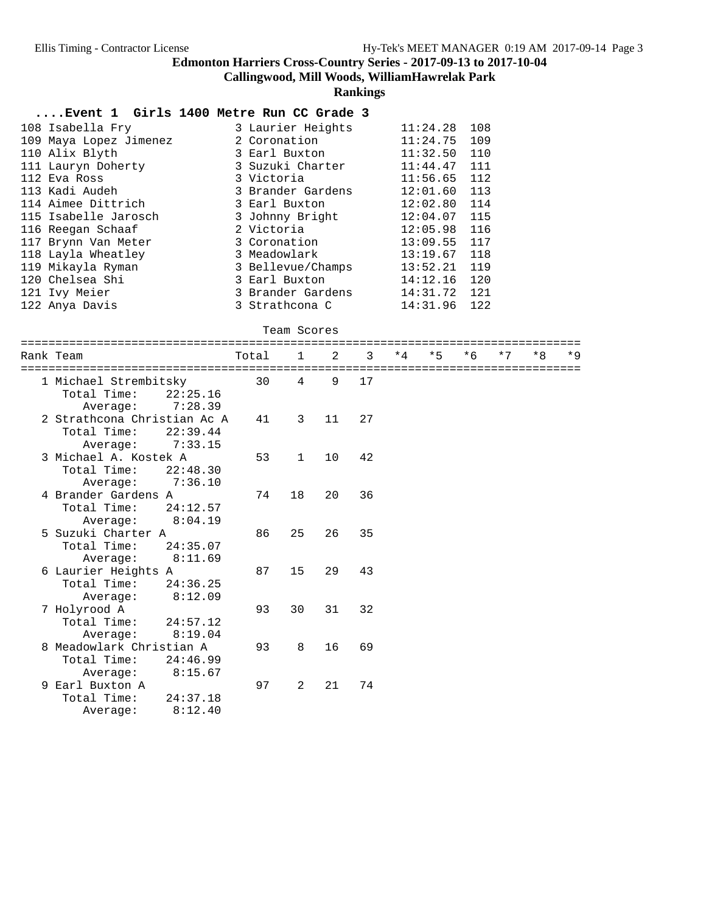**Callingwood, Mill Woods, WilliamHawrelak Park**

#### **Rankings**

#### **....Event 1 Girls 1400 Metre Run CC Grade 3**

| 108 Isabella Fry       | 3 Laurier Heights | 11:24.28       | 108 |
|------------------------|-------------------|----------------|-----|
| 109 Maya Lopez Jimenez | 2 Coronation      | 11:24.75       | 109 |
| 110 Alix Blyth         | 3 Earl Buxton     | 11:32.50       | 110 |
| 111 Lauryn Doherty     | 3 Suzuki Charter  | 11:44.47       | 111 |
| 112 Eva Ross           | 3 Victoria        | $11:56.65$ 112 |     |
| 113 Kadi Audeh         | 3 Brander Gardens | $12:01.60$ 113 |     |
| 114 Aimee Dittrich     | 3 Earl Buxton     | $12:02.80$ 114 |     |
| 115 Isabelle Jarosch   | 3 Johnny Bright   | $12:04.07$ 115 |     |
| 116 Reegan Schaaf      | 2 Victoria        | $12:05.98$ 116 |     |
| 117 Brynn Van Meter    | 3 Coronation      | $13:09.55$ 117 |     |
| 118 Layla Wheatley     | 3 Meadowlark      | 13:19.67       | 118 |
| 119 Mikayla Ryman      | 3 Bellevue/Champs | 13:52.21       | 119 |
| 120 Chelsea Shi        | 3 Earl Buxton     | 14:12.16       | 120 |
| 121 Ivy Meier          | 3 Brander Gardens | 14:31.72 121   |     |
| 122 Anya Davis         | 3 Strathcona C    | 14:31.96       | 122 |

#### Team Scores

| Rank Team                                                                     | Total | $\mathbf{1}$   | $\mathcal{L}$ | 3  | $*4$ | $*5$ | $*6$ | $*7$ | $*8$ | $*9$ |
|-------------------------------------------------------------------------------|-------|----------------|---------------|----|------|------|------|------|------|------|
| 1 Michael Strembitsky<br>Total Time:<br>22:25.16<br>7:28.39<br>Average:       | 30    | $\overline{4}$ | 9             | 17 |      |      |      |      |      |      |
| 2 Strathcona Christian Ac A<br>Total Time:<br>22:39.44<br>7:33.15<br>Average: | 41    | 3              | 11            | 27 |      |      |      |      |      |      |
| 3 Michael A. Kostek A<br>Total Time:<br>22:48.30<br>7:36.10<br>Average:       | 53    | $\mathbf{1}$   | 10            | 42 |      |      |      |      |      |      |
| 4 Brander Gardens A<br>Total Time:<br>24:12.57<br>8:04.19<br>Average:         | 74    | 18             | 20            | 36 |      |      |      |      |      |      |
| 5 Suzuki Charter A<br>Total Time:<br>24:35.07<br>8:11.69<br>Average:          | 86    | 25             | 26            | 35 |      |      |      |      |      |      |
| 6 Laurier Heights A<br>Total Time:<br>24:36.25<br>8:12.09<br>Average:         | 87    | 15             | 29            | 43 |      |      |      |      |      |      |
| 7 Holyrood A<br>Total Time:<br>24:57.12<br>Average:<br>8:19.04                | 93    | 30             | 31            | 32 |      |      |      |      |      |      |
| 8 Meadowlark Christian A<br>Total Time:<br>24:46.99<br>8:15.67<br>Average:    | 93    | 8              | 16            | 69 |      |      |      |      |      |      |
| 9 Earl Buxton A<br>Total Time:<br>24:37.18<br>8:12.40<br>Average:             | 97    | $\overline{a}$ | 21            | 74 |      |      |      |      |      |      |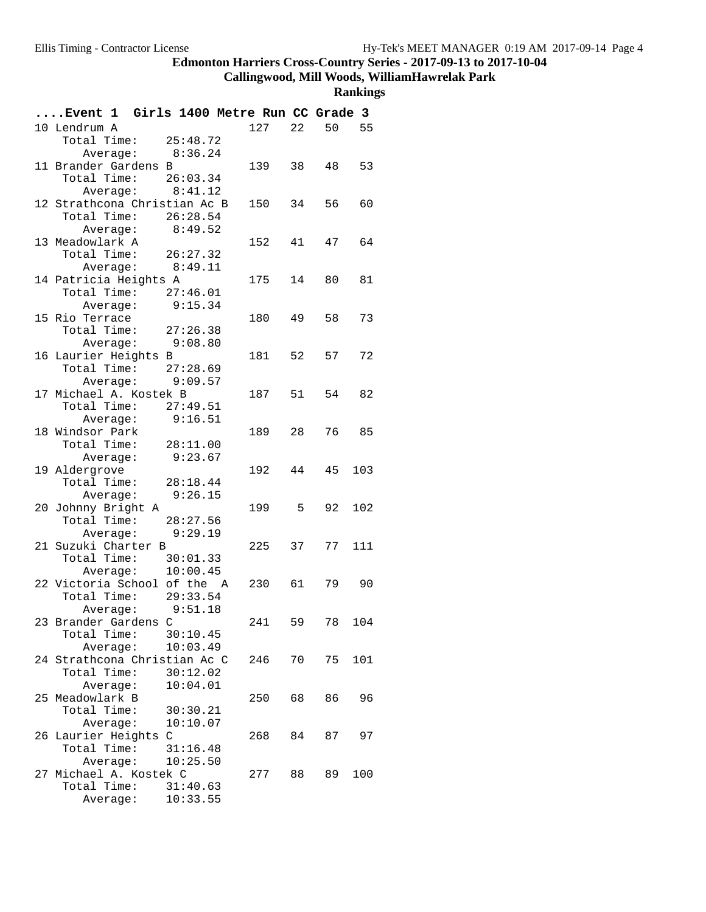**Callingwood, Mill Woods, WilliamHawrelak Park**

| Event 1 Girls 1400 Metre Run CC Grade 3 |          |        |     |       |     |
|-----------------------------------------|----------|--------|-----|-------|-----|
| 10 Lendrum A                            |          | 127    | 22  | 50 55 |     |
| Total Time: 25:48.72                    |          |        |     |       |     |
| Average: $8:36.24$                      |          |        |     |       |     |
| 11 Brander Gardens B                    |          | 139 38 |     | 48    | 53  |
| Total Time: 26:03.34                    |          |        |     |       |     |
| Average: 8:41.12                        |          |        |     |       |     |
| 12 Strathcona Christian Ac B            |          | 150    | 34  | 56    | 60  |
| Total Time: $26:28.54$                  |          |        |     |       |     |
| Average: $8:49.52$                      |          |        |     |       |     |
| 13 Meadowlark A                         |          | 152    | 41  | 47 64 |     |
| Total Time: $26:27.32$                  |          |        |     |       |     |
| Average: 8:49.11                        |          |        |     |       |     |
| 14 Patricia Heights A                   |          | 175 14 |     | 80    | 81  |
| Total Time: 27:46.01                    |          |        |     |       |     |
| Average: 9:15.34                        |          |        |     |       |     |
| 15 Rio Terrace                          |          | 180    | 49  | 58    | 73  |
| Total Time: 27:26.38                    |          |        |     |       |     |
| Average: 9:08.80                        |          |        |     |       |     |
| 16 Laurier Heights B                    |          | 181 52 |     | 57    | 72  |
| Total Time: 27:28.69                    |          |        |     |       |     |
| Average: 9:09.57                        |          |        |     |       |     |
| 17 Michael A. Kostek B                  |          | 187 51 |     | 54    | 82  |
| Total Time: $27:49.51$                  |          |        |     |       |     |
| Average: 9:16.51                        |          |        |     |       |     |
| 18 Windsor Park                         |          | 189 28 |     | 76 85 |     |
| Total Time: 28:11.00                    |          |        |     |       |     |
| Average:                                | 9:23.67  |        |     |       |     |
| 19 Aldergrove                           |          | 192    | 44  | 45    | 103 |
| Total Time: 28:18.44                    |          |        |     |       |     |
| Average: 9:26.15                        |          |        |     |       |     |
| 20 Johnny Bright A                      |          | 199    | - 5 | 92    | 102 |
| Total Time: 28:27.56                    |          |        |     |       |     |
| Average:                                | 9:29.19  |        |     |       |     |
| 21 Suzuki Charter B                     |          | 225 37 |     | 77    | 111 |
| Total Time: 30:01.33                    |          |        |     |       |     |
| Average: 10:00.45                       |          |        |     |       |     |
| 22 Victoria School of the A             |          | 230 61 |     | 79 90 |     |
| Total Time: 29:33.54                    |          |        |     |       |     |
| Average: 9:51.18                        |          |        |     |       |     |
| 23 Brander Gardens C                    |          | 241    | 59  | 78    | 104 |
| Total Time:                             | 30:10.45 |        |     |       |     |
| Average:                                | 10:03.49 |        |     |       |     |
| 24 Strathcona Christian Ac C            |          | 246    | 70  | 75    | 101 |
| Total Time:                             | 30:12.02 |        |     |       |     |
| Average:                                | 10:04.01 |        |     |       |     |
| 25 Meadowlark B                         |          | 250    | 68  | 86    | 96  |
| Total Time:                             | 30:30.21 |        |     |       |     |
| Average:                                | 10:10.07 |        |     |       |     |
| 26 Laurier Heights C                    |          | 268    | 84  | 87    | 97  |
| Total Time:                             | 31:16.48 |        |     |       |     |
| Average:                                | 10:25.50 |        |     |       |     |
| 27 Michael A. Kostek C                  |          | 277    | 88  | 89    | 100 |
| Total Time:                             | 31:40.63 |        |     |       |     |
| Average:                                | 10:33.55 |        |     |       |     |
|                                         |          |        |     |       |     |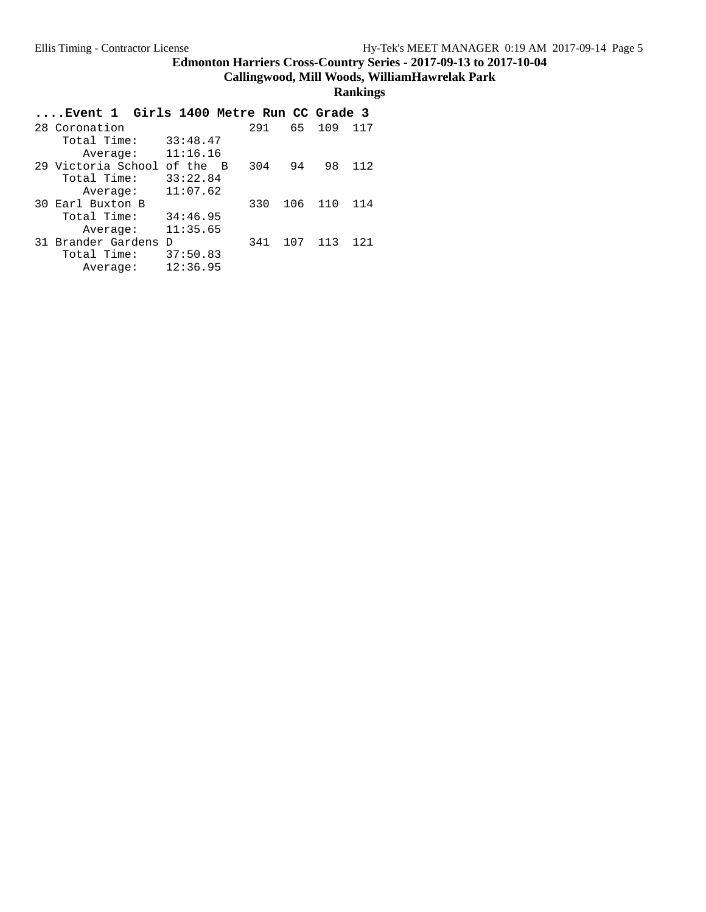**Callingwood, Mill Woods, WilliamHawrelak Park**

| Event 1 Girls 1400 Metre Run CC Grade 3 |            |     |     |     |     |
|-----------------------------------------|------------|-----|-----|-----|-----|
| 28 Coronation                           |            | 291 | 65  | 109 | 117 |
| Total Time:                             | 33:48.47   |     |     |     |     |
| Average:                                | 11:16.16   |     |     |     |     |
| 29 Victoria School                      | of the $B$ | 304 | 94  | 98  | 112 |
| Total Time:                             | 33:22.84   |     |     |     |     |
| Average:                                | 11:07.62   |     |     |     |     |
| 30 Earl Buxton B                        |            | 330 | 106 | 110 | 114 |
| Total Time:                             | 34:46.95   |     |     |     |     |
| Average:                                | 11:35.65   |     |     |     |     |
| 31 Brander Gardens                      | $\Gamma$   | 341 | 107 | 113 | 121 |
| Total Time:                             | 37:50.83   |     |     |     |     |
| Average:                                | 12:36.95   |     |     |     |     |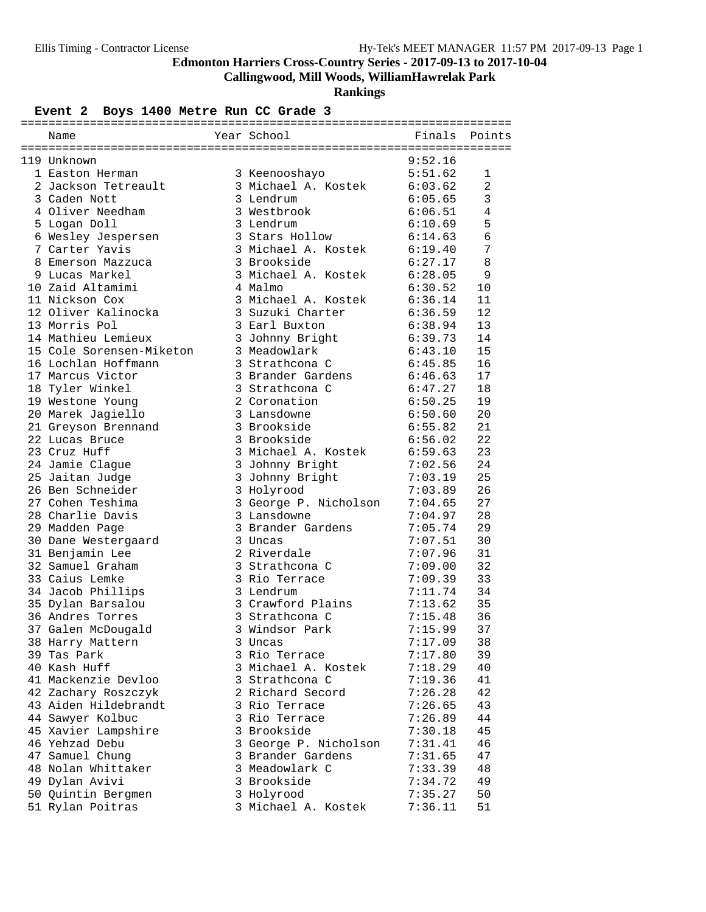**Callingwood, Mill Woods, WilliamHawrelak Park**

**Rankings**

# Event 2 Boys 1400 Metre Run CC Grade 3

| Name                     | Year School           | Finals  | Points         |
|--------------------------|-----------------------|---------|----------------|
|                          |                       |         |                |
| 119 Unknown              |                       | 9:52.16 |                |
| 1 Easton Herman          | 3 Keenooshayo         | 5:51.62 | 1              |
| 2 Jackson Tetreault      | 3 Michael A. Kostek   | 6:03.62 | $\overline{a}$ |
| 3 Caden Nott             | 3 Lendrum             | 6:05.65 | 3              |
| 4 Oliver Needham         | 3 Westbrook           | 6:06.51 | 4              |
| 5 Logan Doll             | 3 Lendrum             | 6:10.69 | 5              |
| 6 Wesley Jespersen       | 3 Stars Hollow        | 6:14.63 | 6              |
| 7 Carter Yavis           | 3 Michael A. Kostek   | 6:19.40 | 7              |
| 8 Emerson Mazzuca        | 3 Brookside           | 6:27.17 | 8              |
| 9 Lucas Markel           | 3 Michael A. Kostek   | 6:28.05 | 9              |
| 10 Zaid Altamimi         | 4 Malmo               | 6:30.52 | 10             |
| 11 Nickson Cox           | 3 Michael A. Kostek   | 6:36.14 | 11             |
| 12 Oliver Kalinocka      | 3 Suzuki Charter      | 6:36.59 | 12             |
| 13 Morris Pol            | 3 Earl Buxton         | 6:38.94 | 13             |
| 14 Mathieu Lemieux       | 3 Johnny Bright       | 6:39.73 | 14             |
| 15 Cole Sorensen-Miketon | 3 Meadowlark          | 6:43.10 | 15             |
| 16 Lochlan Hoffmann      | 3 Strathcona C        | 6:45.85 | 16             |
| 17 Marcus Victor         | 3 Brander Gardens     | 6:46.63 | 17             |
| 18 Tyler Winkel          | 3 Strathcona C        | 6:47.27 | 18             |
| 19 Westone Young         | 2 Coronation          | 6:50.25 | 19             |
| 20 Marek Jagiello        | 3 Lansdowne           | 6:50.60 | 20             |
| 21 Greyson Brennand      | 3 Brookside           | 6:55.82 | 21             |
| 22 Lucas Bruce           | 3 Brookside           | 6:56.02 | 22             |
| 23 Cruz Huff             | 3 Michael A. Kostek   | 6:59.63 | 23             |
| 24 Jamie Clague          | 3 Johnny Bright       | 7:02.56 | 24             |
| 25 Jaitan Judge          | 3 Johnny Bright       | 7:03.19 | 25             |
| 26 Ben Schneider         | 3 Holyrood            | 7:03.89 | 26             |
| 27 Cohen Teshima         | 3 George P. Nicholson | 7:04.65 | 27             |
| 28 Charlie Davis         | 3 Lansdowne           | 7:04.97 | 28             |
| 29 Madden Page           | 3 Brander Gardens     | 7:05.74 | 29             |
| 30 Dane Westergaard      | 3 Uncas               | 7:07.51 | 30             |
| 31 Benjamin Lee          | 2 Riverdale           | 7:07.96 | 31             |
| 32 Samuel Graham         | 3 Strathcona C        | 7:09.00 | 32             |
| 33 Caius Lemke           | 3 Rio Terrace         | 7:09.39 | 33             |
| 34 Jacob Phillips        | 3 Lendrum             | 7:11.74 | 34             |
| 35 Dylan Barsalou        | 3 Crawford Plains     | 7:13.62 | 35             |
| 36 Andres Torres         | 3 Strathcona C        | 7:15.48 | 36             |
| 37 Galen McDougald       | 3 Windsor Park        | 7:15.99 | 37             |
| 38 Harry Mattern         | 3 Uncas               | 7:17.09 | 38             |
| 39 Tas Park              | 3 Rio Terrace         | 7:17.80 | 39             |
| 40 Kash Huff             | 3 Michael A. Kostek   | 7:18.29 | 40             |
| 41 Mackenzie Devloo      | 3 Strathcona C        | 7:19.36 | 41             |
| 42 Zachary Roszczyk      | 2 Richard Secord      | 7:26.28 | 42             |
| 43 Aiden Hildebrandt     | 3 Rio Terrace         | 7:26.65 | 43             |
| 44 Sawyer Kolbuc         | 3 Rio Terrace         | 7:26.89 | 44             |
| 45 Xavier Lampshire      | 3 Brookside           | 7:30.18 | 45             |
| 46 Yehzad Debu           | 3 George P. Nicholson | 7:31.41 | 46             |
| 47 Samuel Chung          | 3 Brander Gardens     | 7:31.65 | 47             |
| 48 Nolan Whittaker       | 3 Meadowlark C        | 7:33.39 | 48             |
| 49 Dylan Avivi           | 3 Brookside           | 7:34.72 | 49             |
| 50 Quintin Bergmen       | 3 Holyrood            | 7:35.27 | 50             |
| 51 Rylan Poitras         | 3 Michael A. Kostek   | 7:36.11 | 51             |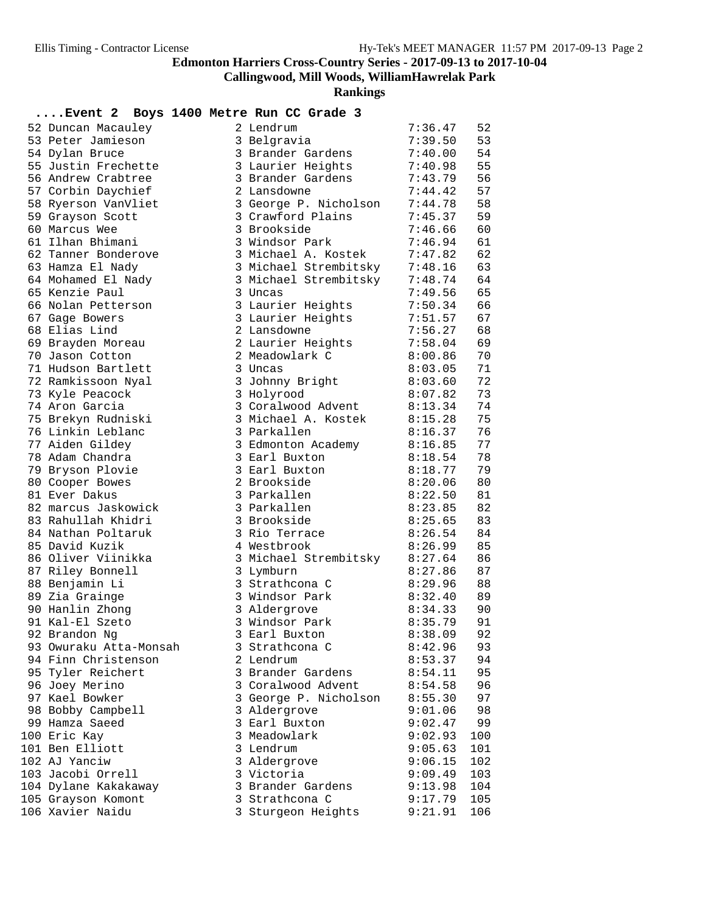# **Callingwood, Mill Woods, WilliamHawrelak Park**

**Rankings**

# **....Event 2 Boys 1400 Metre Run CC Grade 3**

| 52 Duncan Macauley     | 2 Lendrum             | 7:36.47 | 52  |
|------------------------|-----------------------|---------|-----|
| 53 Peter Jamieson      | 3 Belgravia           | 7:39.50 | 53  |
| 54 Dylan Bruce         | 3 Brander Gardens     | 7:40.00 | 54  |
| 55 Justin Frechette    | 3 Laurier Heights     | 7:40.98 | 55  |
| 56 Andrew Crabtree     | 3 Brander Gardens     | 7:43.79 | 56  |
| 57 Corbin Daychief     | 2 Lansdowne           | 7:44.42 | 57  |
| 58 Ryerson VanVliet    | 3 George P. Nicholson | 7:44.78 | 58  |
| 59 Grayson Scott       | 3 Crawford Plains     | 7:45.37 | 59  |
| 60 Marcus Wee          | 3 Brookside           | 7:46.66 | 60  |
| 61 Ilhan Bhimani       | 3 Windsor Park        | 7:46.94 | 61  |
| 62 Tanner Bonderove    | 3 Michael A. Kostek   | 7:47.82 | 62  |
| 63 Hamza El Nady       | 3 Michael Strembitsky | 7:48.16 | 63  |
| 64 Mohamed El Nady     | 3 Michael Strembitsky | 7:48.74 | 64  |
| 65 Kenzie Paul         | 3 Uncas               | 7:49.56 | 65  |
| 66 Nolan Petterson     | 3 Laurier Heights     | 7:50.34 | 66  |
| 67 Gage Bowers         | 3 Laurier Heights     | 7:51.57 | 67  |
| 68 Elias Lind          | 2 Lansdowne           | 7:56.27 | 68  |
| 69 Brayden Moreau      | 2 Laurier Heights     | 7:58.04 | 69  |
| 70 Jason Cotton        | 2 Meadowlark C        | 8:00.86 | 70  |
| 71 Hudson Bartlett     | 3 Uncas               | 8:03.05 | 71  |
| 72 Ramkissoon Nyal     | 3 Johnny Bright       | 8:03.60 | 72  |
| 73 Kyle Peacock        | 3 Holyrood            | 8:07.82 | 73  |
| 74 Aron Garcia         | 3 Coralwood Advent    | 8:13.34 | 74  |
| 75 Brekyn Rudniski     | 3 Michael A. Kostek   | 8:15.28 | 75  |
| 76 Linkin Leblanc      | 3 Parkallen           | 8:16.37 | 76  |
| 77 Aiden Gildey        | 3 Edmonton Academy    | 8:16.85 | 77  |
| 78 Adam Chandra        | 3 Earl Buxton         | 8:18.54 | 78  |
| 79 Bryson Plovie       | 3 Earl Buxton         | 8:18.77 | 79  |
| 80 Cooper Bowes        | 2 Brookside           | 8:20.06 | 80  |
| 81 Ever Dakus          | 3 Parkallen           | 8:22.50 | 81  |
| 82 marcus Jaskowick    | 3 Parkallen           | 8:23.85 | 82  |
| 83 Rahullah Khidri     | 3 Brookside           | 8:25.65 | 83  |
| 84 Nathan Poltaruk     | 3 Rio Terrace         | 8:26.54 | 84  |
| 85 David Kuzik         | 4 Westbrook           | 8:26.99 | 85  |
| 86 Oliver Viinikka     | 3 Michael Strembitsky | 8:27.64 | 86  |
| 87 Riley Bonnell       | 3 Lymburn             | 8:27.86 | 87  |
| 88 Benjamin Li         | 3 Strathcona C        | 8:29.96 | 88  |
| 89 Zia Grainge         | 3 Windsor Park        | 8:32.40 | 89  |
| 90 Hanlin Zhong        | 3 Aldergrove          | 8:34.33 | 90  |
| 91 Kal-El Szeto        | 3 Windsor Park        | 8:35.79 | 91  |
| 92 Brandon Ng          | 3 Earl Buxton         | 8:38.09 | 92  |
| 93 Owuraku Atta-Monsah | 3 Strathcona C        | 8:42.96 | 93  |
| 94 Finn Christenson    | 2 Lendrum             | 8:53.37 | 94  |
| 95 Tyler Reichert      | 3 Brander Gardens     | 8:54.11 | 95  |
| 96 Joey Merino         | 3 Coralwood Advent    | 8:54.58 | 96  |
| 97 Kael Bowker         | 3 George P. Nicholson | 8:55.30 | 97  |
| 98 Bobby Campbell      | 3 Aldergrove          | 9:01.06 | 98  |
| 99 Hamza Saeed         | 3 Earl Buxton         | 9:02.47 | 99  |
| 100 Eric Kay           | 3 Meadowlark          | 9:02.93 | 100 |
| 101 Ben Elliott        | 3 Lendrum             | 9:05.63 | 101 |
| 102 AJ Yanciw          | 3 Aldergrove          | 9:06.15 | 102 |
| 103 Jacobi Orrell      | 3 Victoria            | 9:09.49 | 103 |
| 104 Dylane Kakakaway   | 3 Brander Gardens     | 9:13.98 | 104 |
| 105 Grayson Komont     | 3 Strathcona C        | 9:17.79 | 105 |
| 106 Xavier Naidu       | 3 Sturgeon Heights    | 9:21.91 | 106 |
|                        |                       |         |     |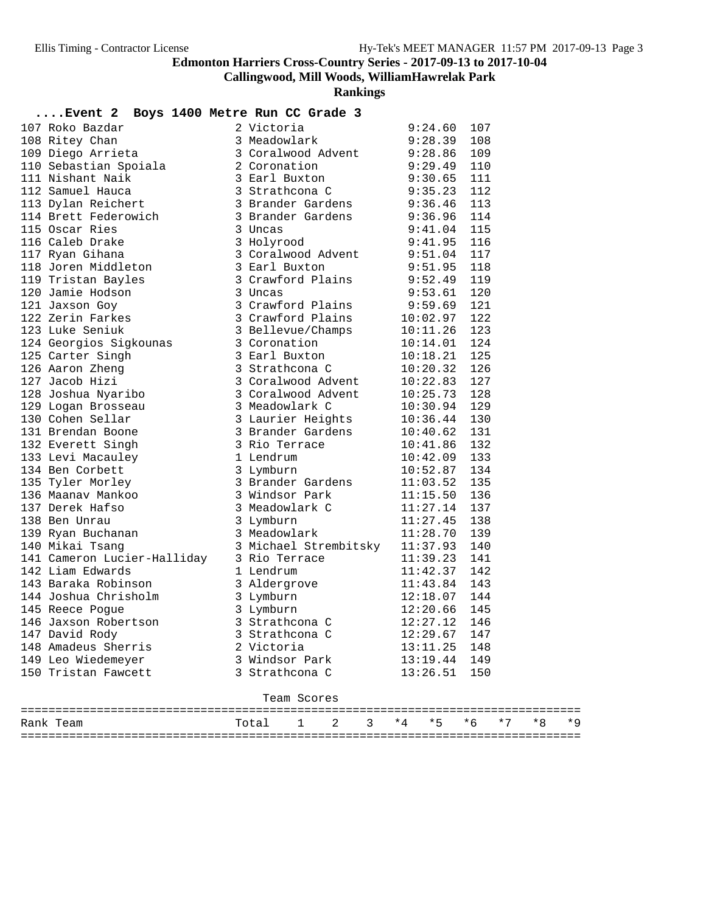**Callingwood, Mill Woods, WilliamHawrelak Park**

**Rankings**

| Event 2 Boys 1400 Metre Run CC Grade 3                                                                                                                                                                                                             |                      |          |            |           |
|----------------------------------------------------------------------------------------------------------------------------------------------------------------------------------------------------------------------------------------------------|----------------------|----------|------------|-----------|
| 107 Roko Bazdar 1995<br>1400 Metre Kun CC Grade<br>108 Ritey Chan<br>109 Diego Arrieta 3 Meadovlark 9:28.39<br>109 Diego Arrieta 3 Coralwood Advent 9:28.86<br>110 Sebastian Spoiala 2 Coronation 9:29.49<br>11 Nishant Waik 3 Strathcona          |                      |          | 107        |           |
|                                                                                                                                                                                                                                                    |                      |          | 108        |           |
|                                                                                                                                                                                                                                                    |                      |          | 109        |           |
|                                                                                                                                                                                                                                                    |                      |          | 110        |           |
|                                                                                                                                                                                                                                                    |                      |          | 111        |           |
|                                                                                                                                                                                                                                                    |                      |          | 112        |           |
|                                                                                                                                                                                                                                                    |                      |          | 113        |           |
|                                                                                                                                                                                                                                                    |                      |          | 114        |           |
|                                                                                                                                                                                                                                                    |                      |          | 115        |           |
|                                                                                                                                                                                                                                                    |                      |          | 116        |           |
|                                                                                                                                                                                                                                                    |                      |          | 117        |           |
|                                                                                                                                                                                                                                                    |                      |          | 118        |           |
|                                                                                                                                                                                                                                                    |                      |          | 119        |           |
|                                                                                                                                                                                                                                                    |                      |          | 120        |           |
|                                                                                                                                                                                                                                                    |                      |          | 121        |           |
|                                                                                                                                                                                                                                                    |                      |          | 122        |           |
|                                                                                                                                                                                                                                                    |                      |          | 123        |           |
|                                                                                                                                                                                                                                                    |                      |          | 124        |           |
|                                                                                                                                                                                                                                                    |                      |          | 125        |           |
|                                                                                                                                                                                                                                                    |                      |          | 126        |           |
|                                                                                                                                                                                                                                                    |                      |          | 127        |           |
|                                                                                                                                                                                                                                                    |                      |          | 128        |           |
|                                                                                                                                                                                                                                                    |                      |          | 129        |           |
| 123 Luke Seniuk and the Senius of the Senius of the Senius of the Senius of the Senius of the Senius of the Senius of the Senius of the Senius of the Senius of the Senius of the Senius of the Senius of the Senius of the S                      |                      |          | 130        |           |
|                                                                                                                                                                                                                                                    |                      |          | 131        |           |
|                                                                                                                                                                                                                                                    |                      |          | 132        |           |
|                                                                                                                                                                                                                                                    |                      |          | 133        |           |
|                                                                                                                                                                                                                                                    |                      |          | 134        |           |
|                                                                                                                                                                                                                                                    |                      |          | 135        |           |
| 135 Naanav Manko 3 Nindsor Park 11:15.50<br>137 Derek Hafso 3 Nindsor Park 11:15.50<br>138 Ben Unrau 3 Lymburn 11:27.14<br>139 Ryan Buchanan 3 Meadowlark 11:28.70<br>140 Mikai Tsang 3 Michael Strembitsky 11:37.93                               |                      |          | 136        |           |
|                                                                                                                                                                                                                                                    |                      |          | 137        |           |
|                                                                                                                                                                                                                                                    |                      |          | 138        |           |
|                                                                                                                                                                                                                                                    |                      |          | 139        |           |
|                                                                                                                                                                                                                                                    |                      |          | 140        |           |
|                                                                                                                                                                                                                                                    |                      |          | 141        |           |
| 141 Cameron Lucier-Halliday 3 Rio Terrace 11:39.23<br>142 Liam Edwards 1 Lendrum 11:42.37                                                                                                                                                          |                      |          | 142        |           |
|                                                                                                                                                                                                                                                    |                      |          |            |           |
|                                                                                                                                                                                                                                                    |                      |          |            |           |
| 143 Baraka Robinson<br>144 Joshua Chrisholm<br>145 Reece Pogue<br>146 Jaxson Robertson<br>146 Jaxson Robertson<br>146 Jaxson Robertson<br>146 Jaxson Robertson<br>146 Jaxson Robertson<br>146 Jaxson Robertson<br>146 Jaxson Robertson<br>146 Jaxs |                      |          |            |           |
|                                                                                                                                                                                                                                                    |                      |          |            |           |
| 147 David Rody                                                                                                                                                                                                                                     | 3 Strathcona C       | 12:29.67 | 147        |           |
| 148 Amadeus Sherris                                                                                                                                                                                                                                | 2 Victoria           | 13:11.25 | 148        |           |
| 149 Leo Wiedemeyer                                                                                                                                                                                                                                 | 3 Windsor Park       | 13:19.44 | 149        |           |
| 150 Tristan Fawcett                                                                                                                                                                                                                                | 3 Strathcona C       | 13:26.51 | 150        |           |
|                                                                                                                                                                                                                                                    | Team Scores          |          |            |           |
|                                                                                                                                                                                                                                                    |                      |          |            |           |
| Rank Team                                                                                                                                                                                                                                          | 2<br>Total<br>3<br>1 | *5<br>*4 | * 6<br>* 7 | *8<br>* 9 |

=================================================================================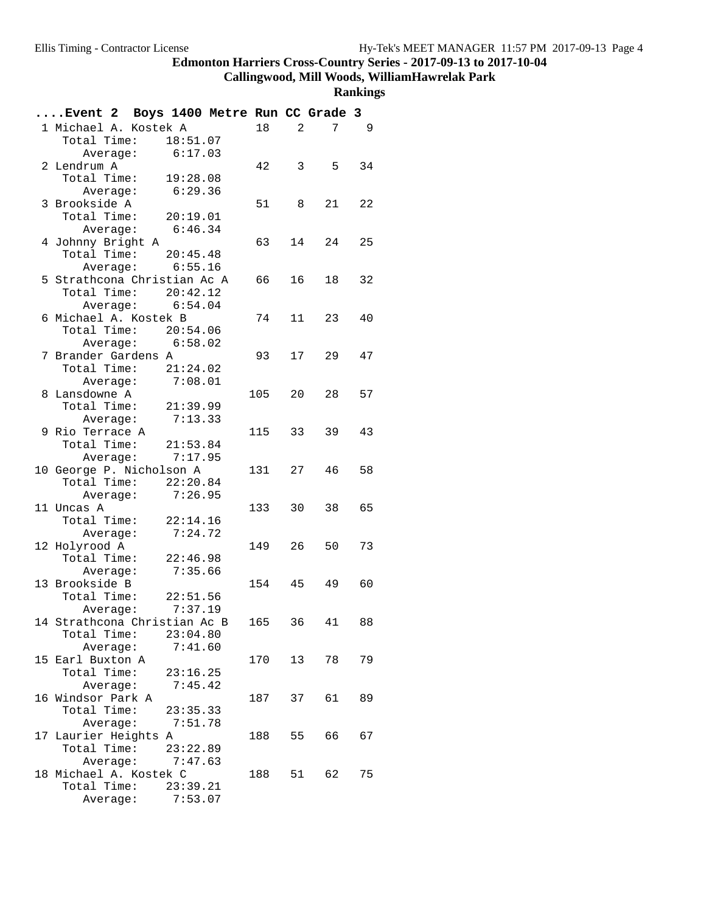**Callingwood, Mill Woods, WilliamHawrelak Park**

| Event 2 Boys 1400 Metre Run CC Grade 3 |          |                    |        |    |                        |    |
|----------------------------------------|----------|--------------------|--------|----|------------------------|----|
| 1 Michael A. Kostek A                  |          |                    | 18     |    | 7<br>$2 \qquad \qquad$ | -9 |
| Total Time: 18:51.07                   |          |                    |        |    |                        |    |
|                                        |          | Average: $6:17.03$ |        |    |                        |    |
| 2 Lendrum A                            |          |                    | 42     |    | $3 \quad 5$            | 34 |
| Total Time: 19:28.08                   |          |                    |        |    |                        |    |
|                                        |          | Average: 6:29.36   |        |    |                        |    |
| 3 Brookside A                          |          |                    | 51 8   |    | 21                     | 22 |
| Total Time: 20:19.01                   |          |                    |        |    |                        |    |
|                                        |          | Average: $6:46.34$ |        |    |                        |    |
| 4 Johnny Bright A                      |          |                    | 63     |    | 14<br>24               | 25 |
| Total Time: 20:45.48                   |          |                    |        |    |                        |    |
|                                        |          | Average: 6:55.16   |        |    |                        |    |
| 5 Strathcona Christian Ac A            |          |                    | 66 16  |    | 18                     | 32 |
| Total Time: 20:42.12                   |          |                    |        |    |                        |    |
|                                        |          | Average: $6:54.04$ |        |    |                        |    |
| 6 Michael A. Kostek B                  |          |                    | 74     |    | 11<br>23               | 40 |
| Total Time: 20:54.06                   |          |                    |        |    |                        |    |
|                                        |          | Average: 6:58.02   |        |    |                        |    |
| 7 Brander Gardens A                    |          |                    | 93     |    | 17<br>29               | 47 |
| Total Time: 21:24.02                   |          |                    |        |    |                        |    |
|                                        |          | Average: 7:08.01   |        |    |                        |    |
| 8 Lansdowne A                          |          |                    | 105    |    | 20<br>28               | 57 |
| Total Time: 21:39.99                   |          |                    |        |    |                        |    |
|                                        |          | Average: 7:13.33   |        |    |                        |    |
| 9 Rio Terrace A                        |          |                    | 115 33 |    | 39                     | 43 |
| Total Time: 21:53.84                   |          |                    |        |    |                        |    |
|                                        |          | Average: $7:17.95$ |        |    |                        |    |
| 10 George P. Nicholson A               |          |                    | 131 27 |    | 46                     | 58 |
| Total Time: $22:20.84$                 |          |                    |        |    |                        |    |
|                                        |          | Average: 7:26.95   |        |    |                        |    |
| 11 Uncas A                             |          |                    | 133    | 30 | 38                     | 65 |
| Total Time: 22:14.16                   |          |                    |        |    |                        |    |
| Average:                               |          | 7:24.72            |        |    |                        |    |
| 12 Holyrood A                          |          |                    | 149 26 |    | 50                     | 73 |
| Total Time: $22:46.98$                 |          |                    |        |    |                        |    |
| Average:                               |          | 7:35.66            |        |    |                        |    |
| 13 Brookside B                         |          |                    | 154 45 |    | 49                     | 60 |
| Total Time: 22:51.56                   |          |                    |        |    |                        |    |
|                                        |          | Average: $7:37.19$ |        |    |                        |    |
| 14 Strathcona Christian Ac B           |          |                    | 165    | 36 | 41                     | 88 |
| Total Time:                            |          | 23:04.80           |        |    |                        |    |
|                                        | Average: | 7:41.60            |        |    |                        |    |
| 15 Earl Buxton A                       |          |                    | 170    | 13 | 78                     | 79 |
| Total Time:                            |          | 23:16.25           |        |    |                        |    |
|                                        | Average: | 7:45.42            |        |    |                        |    |
| 16 Windsor Park A                      |          |                    | 187    | 37 | 61                     | 89 |
| Total Time:                            |          | 23:35.33           |        |    |                        |    |
|                                        |          | Average: 7:51.78   |        |    |                        |    |
| 17 Laurier Heights A                   |          |                    | 188    |    | 55<br>66               | 67 |
| Total Time:                            |          | 23:22.89           |        |    |                        |    |
|                                        | Average: | 7:47.63            |        |    |                        |    |
| 18 Michael A. Kostek C                 |          |                    | 188    |    | 51<br>62               | 75 |
| Total Time:                            |          | 23:39.21           |        |    |                        |    |
|                                        | Average: | 7:53.07            |        |    |                        |    |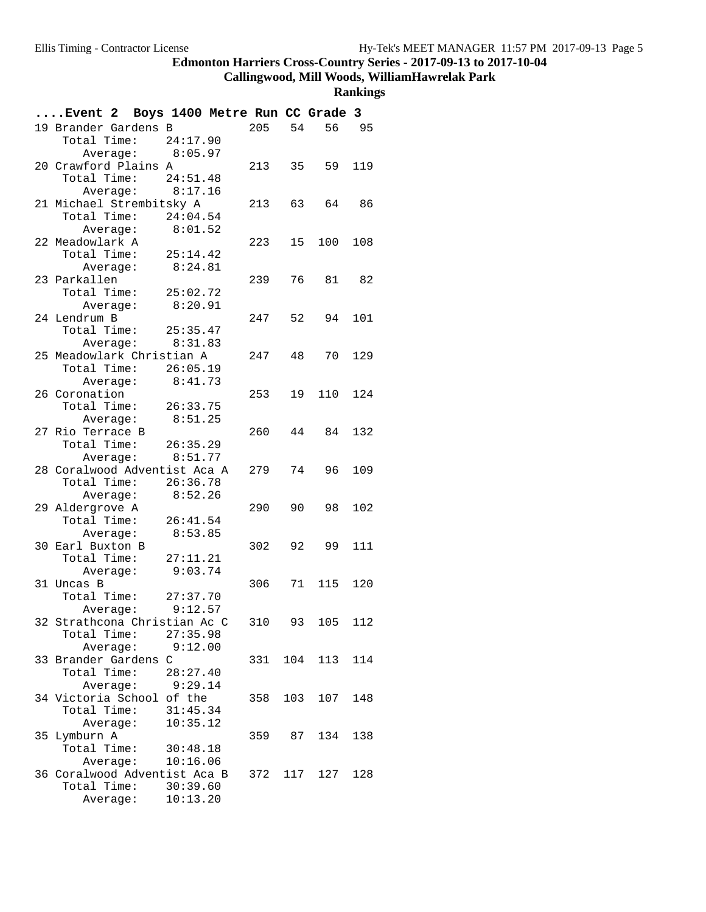**Callingwood, Mill Woods, WilliamHawrelak Park**

|                  | Event 2 Boys 1400 Metre Run CC Grade 3 |          |     |     |          |     |
|------------------|----------------------------------------|----------|-----|-----|----------|-----|
|                  | 19 Brander Gardens B                   |          | 205 | 54  | 56 95    |     |
|                  | Total Time: 24:17.90                   |          |     |     |          |     |
|                  | Average: 8:05.97                       |          |     |     |          |     |
|                  | 20 Crawford Plains A                   |          | 213 | 35  | 59       | 119 |
|                  | Total Time: 24:51.48                   |          |     |     |          |     |
|                  | Average: 8:17.16                       |          |     |     |          |     |
|                  | 21 Michael Strembitsky A               |          | 213 | 63  | 64       | 86  |
|                  | Total Time: $24:04.54$                 |          |     |     |          |     |
|                  | Average: 8:01.52                       |          |     |     |          |     |
| 22 Meadowlark A  |                                        |          | 223 | 15  | 100      | 108 |
| Total Time:      |                                        | 25:14.42 |     |     |          |     |
|                  | Average:                               | 8:24.81  |     |     |          |     |
| 23 Parkallen     |                                        |          | 239 |     | 76 81 82 |     |
| Total Time:      |                                        | 25:02.72 |     |     |          |     |
|                  | Average:                               | 8:20.91  |     |     |          |     |
| 24 Lendrum B     |                                        |          | 247 | 52  | 94       | 101 |
|                  | Total Time: 25:35.47                   |          |     |     |          |     |
|                  | Average: 8:31.83                       |          |     |     |          |     |
|                  | 25 Meadowlark Christian A              |          | 247 | 48  | 70       | 129 |
|                  | Total Time: 26:05.19                   |          |     |     |          |     |
|                  | Average:                               | 8:41.73  |     |     |          |     |
| 26 Coronation    |                                        |          | 253 | 19  | 110      | 124 |
|                  | Total Time: 26:33.75                   |          |     |     |          |     |
|                  | Average:                               | 8:51.25  |     |     |          |     |
| 27 Rio Terrace B |                                        |          | 260 | 44  | 84       | 132 |
|                  | Total Time: 26:35.29                   |          |     |     |          |     |
|                  | Average: 8:51.77                       |          |     |     |          |     |
|                  | 28 Coralwood Adventist Aca A           |          | 279 | 74  | 96       | 109 |
|                  | Total Time: 26:36.78                   |          |     |     |          |     |
|                  | Average: 8:52.26                       |          |     |     |          |     |
| 29 Aldergrove A  |                                        |          | 290 | 90  | 98       | 102 |
|                  | Total Time: 26:41.54                   |          |     |     |          |     |
|                  | Average:                               | 8:53.85  |     |     |          |     |
| 30 Earl Buxton B |                                        |          | 302 | 92  | 99       | 111 |
| Total Time:      |                                        | 27:11.21 |     |     |          |     |
|                  | Average:                               | 9:03.74  |     |     |          |     |
| 31 Uncas B       |                                        |          | 306 |     | 71 115   | 120 |
|                  | Total Time: 27:37.70                   |          |     |     |          |     |
|                  | Average: 9:12.57                       |          |     |     |          |     |
|                  | 32 Strathcona Christian Ac C           |          | 310 | 93  | 105      | 112 |
| Total Time:      |                                        | 27:35.98 |     |     |          |     |
|                  | Average:                               | 9:12.00  |     |     |          |     |
|                  | 33 Brander Gardens C                   |          | 331 |     | 104 113  | 114 |
| Total Time:      |                                        | 28:27.40 |     |     |          |     |
|                  | Average:                               | 9:29.14  |     |     |          |     |
|                  | 34 Victoria School of the              |          | 358 | 103 | 107      | 148 |
| Total Time:      |                                        | 31:45.34 |     |     |          |     |
|                  | Average:                               | 10:35.12 |     |     |          |     |
| 35 Lymburn A     |                                        |          | 359 | 87  | 134      | 138 |
| Total Time:      |                                        | 30:48.18 |     |     |          |     |
|                  | Average:                               | 10:16.06 |     |     |          |     |
|                  | 36 Coralwood Adventist Aca B           |          | 372 |     | 117 127  | 128 |
| Total Time:      |                                        | 30:39.60 |     |     |          |     |
|                  | Average:                               | 10:13.20 |     |     |          |     |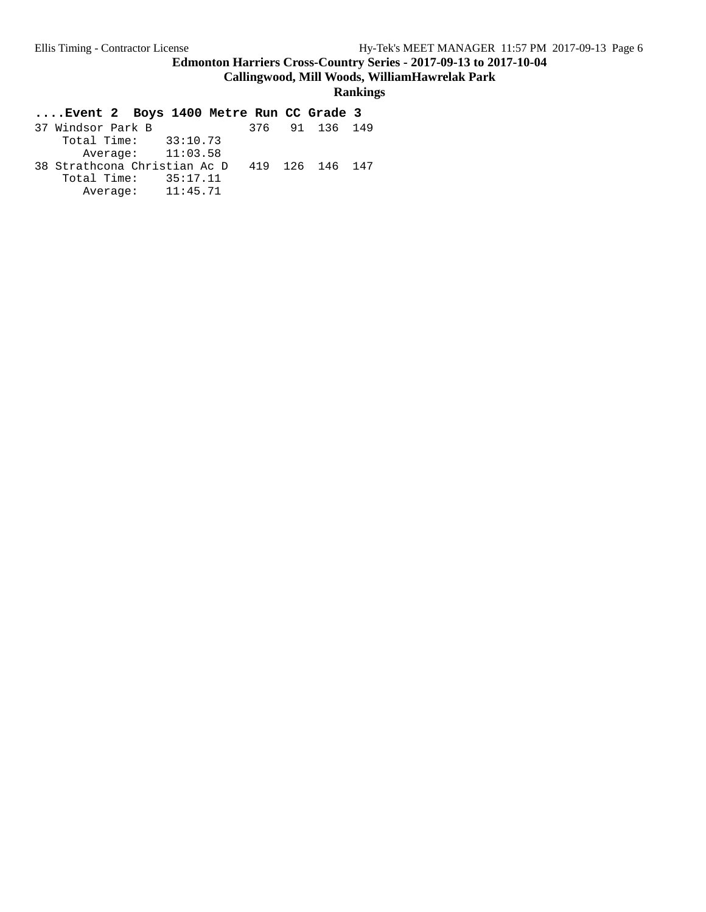**Callingwood, Mill Woods, WilliamHawrelak Park**

| Event 2 Boys 1400 Metre Run CC Grade 3       |  |                |  |
|----------------------------------------------|--|----------------|--|
| 37 Windsor Park B                            |  | 376 91 136 149 |  |
| Total Time: $33:10.73$                       |  |                |  |
| Average: $11:03.58$                          |  |                |  |
| 38 Strathcona Christian Ac D 419 126 146 147 |  |                |  |
| Total Time: 35:17.11                         |  |                |  |
| Average: 11:45.71                            |  |                |  |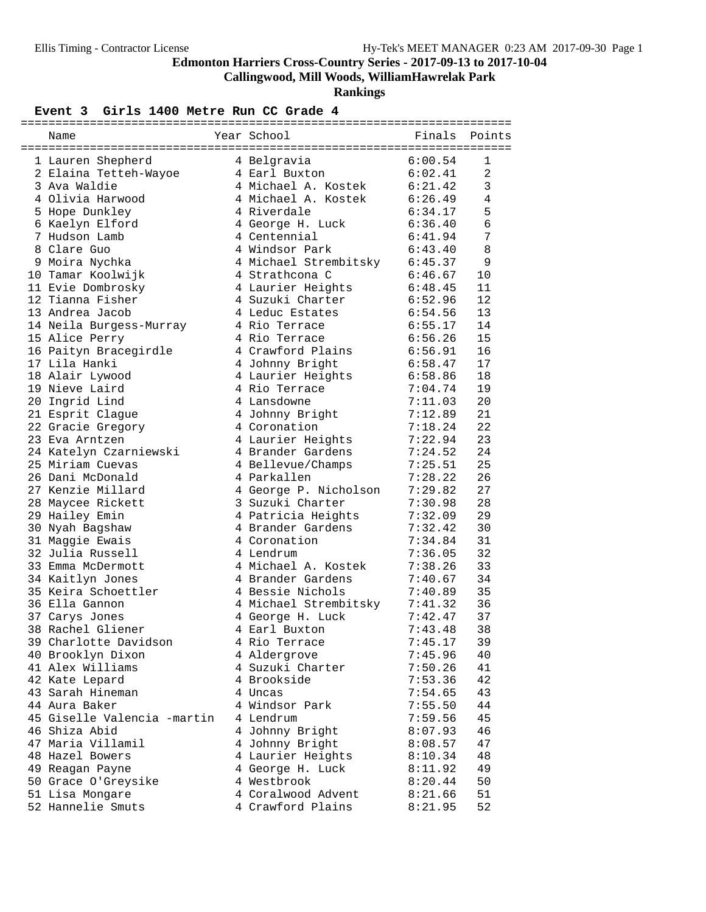**Callingwood, Mill Woods, WilliamHawrelak Park**

**Rankings**

#### Event 3 Girls 1400 Metre Run CC Grade 4

| Name                        | Year School                   | Finals             | Points         |
|-----------------------------|-------------------------------|--------------------|----------------|
| 1 Lauren Shepherd           | 4 Belgravia                   |                    | 1              |
| 2 Elaina Tetteh-Wayoe       | 4 Earl Buxton                 | 6:00.54<br>6:02.41 | $\overline{2}$ |
| 3 Ava Waldie                | 4 Michael A. Kostek 6:21.42   |                    | 3              |
| 4 Olivia Harwood            | 4 Michael A. Kostek           | 6:26.49            | 4              |
| 5 Hope Dunkley              | 4 Riverdale                   | 6:34.17            | 5              |
| 6 Kaelyn Elford             | 4 George H. Luck              | 6:36.40            | 6              |
| 7 Hudson Lamb               | 4 Centennial                  | 6:41.94            | 7              |
| 8 Clare Guo                 | 4 Windsor Park                | 6:43.40            | 8              |
| 9 Moira Nychka              | 4 Michael Strembitsky 6:45.37 |                    | 9              |
| 10 Tamar Koolwijk           | 4 Strathcona C                | 6:46.67            | 10             |
| 11 Evie Dombrosky           | 4 Laurier Heights 6:48.45     |                    | 11             |
| 12 Tianna Fisher            | 4 Suzuki Charter              | 6:52.96            | 12             |
| 13 Andrea Jacob             | 4 Leduc Estates               | 6:54.56            | 13             |
| 14 Neila Burgess-Murray     | 4 Rio Terrace                 | 6:55.17            | 14             |
| 15 Alice Perry              | 4 Rio Terrace                 | 6:56.26            | 15             |
| 16 Paityn Bracegirdle       | 4 Crawford Plains             | 6:56.91            | 16             |
| 17 Lila Hanki               | 4 Johnny Bright               | 6:58.47            | 17             |
| 18 Alair Lywood             | 4 Laurier Heights             | 6:58.86            | 18             |
| 19 Nieve Laird              | 4 Rio Terrace                 | 7:04.74            | 19             |
| 20 Ingrid Lind              | 4 Lansdowne                   | 7:11.03            | 20             |
| 21 Esprit Clague            | 4 Johnny Bright               | 7:12.89            | 21             |
| 22 Gracie Gregory           | 4 Coronation                  | 7:18.24            | 22             |
| 23 Eva Arntzen              | 4 Laurier Heights             | 7:22.94            | 23             |
| 24 Katelyn Czarniewski      | 4 Brander Gardens             | 7:24.52            | 24             |
| 25 Miriam Cuevas            | 4 Bellevue/Champs             | 7:25.51            | 25             |
| 26 Dani McDonald            | 4 Parkallen                   | 7:28.22            | 26             |
| 27 Kenzie Millard           | 4 George P. Nicholson         | 7:29.82            | 27             |
| 28 Maycee Rickett           | 3 Suzuki Charter              | 7:30.98            | 28             |
| 29 Hailey Emin              | 4 Patricia Heights            | 7:32.09            | 29             |
| 30 Nyah Bagshaw             | 4 Brander Gardens             | 7:32.42            | 30             |
| 31 Maggie Ewais             | 4 Coronation                  | 7:34.84            | 31             |
| 32 Julia Russell            | 4 Lendrum                     | 7:36.05            | 32             |
| 33 Emma McDermott           | 4 Michael A. Kostek           | 7:38.26            | 33             |
| 34 Kaitlyn Jones            | 4 Brander Gardens             | 7:40.67            | 34             |
| 35 Keira Schoettler         | 4 Bessie Nichols              | 7:40.89            | 35             |
| 36 Ella Gannon              | 4 Michael Strembitsky         | 7:41.32            | 36             |
| 37 Carys Jones              | 4 George H. Luck              | 7:42.47            | 37             |
| 38 Rachel Gliener           | 4 Earl Buxton                 | 7:43.48            | 38             |
| 39 Charlotte Davidson       | 4 Rio Terrace                 | 7:45.17            | 39             |
| 40 Brooklyn Dixon           | 4 Aldergrove                  | 7:45.96            | 40             |
| 41 Alex Williams            | 4 Suzuki Charter              | 7:50.26            | 41             |
| 42 Kate Lepard              | 4 Brookside                   | 7:53.36            | 42             |
| 43 Sarah Hineman            | 4 Uncas                       | 7:54.65            | 43             |
| 44 Aura Baker               | 4 Windsor Park                | 7:55.50            | 44             |
| 45 Giselle Valencia -martin | 4 Lendrum                     | 7:59.56            | 45             |
| 46 Shiza Abid               | 4 Johnny Bright               | 8:07.93            | 46             |
| 47 Maria Villamil           | 4 Johnny Bright               | 8:08.57            | 47             |
| 48 Hazel Bowers             | 4 Laurier Heights             | 8:10.34            | 48             |
| 49 Reagan Payne             | 4 George H. Luck              | 8:11.92            | 49             |
| 50 Grace O'Greysike         | 4 Westbrook                   | 8:20.44            | 50             |
| 51 Lisa Mongare             | 4 Coralwood Advent            | 8:21.66            | 51             |
| 52 Hannelie Smuts           | 4 Crawford Plains             | 8:21.95            | 52             |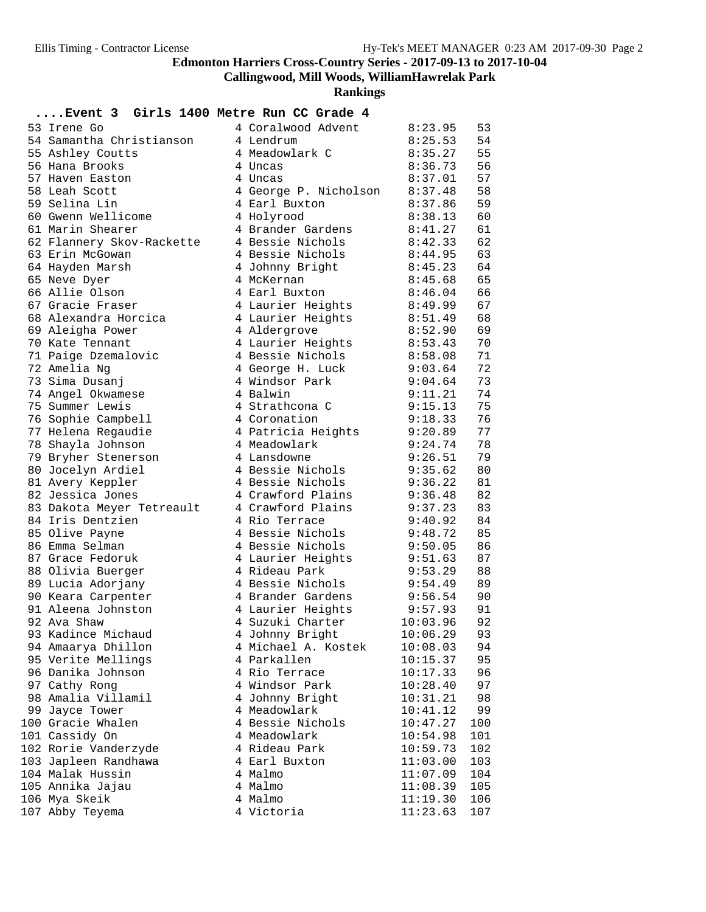**Callingwood, Mill Woods, WilliamHawrelak Park**

| Event 3 Girls 1400 Metre Run CC Grade 4  |                                    |                    |          |
|------------------------------------------|------------------------------------|--------------------|----------|
| 53 Irene Go                              | 4 Coralwood Advent                 | 8:23.95            | 53       |
| 54 Samantha Christianson                 | 4 Lendrum                          | 8:25.53            | 54       |
| 55 Ashley Coutts                         | 4 Meadowlark C                     | 8:35.27            | 55       |
| 56 Hana Brooks                           | 4 Uncas                            | 8:36.73            | 56       |
| 57 Haven Easton                          | 4 Uncas                            | 8:37.01            | 57       |
| 58 Leah Scott                            | 4 George P. Nicholson              | 8:37.48            | 58       |
| 59 Selina Lin                            | 4 Earl Buxton                      | 8:37.86            | 59       |
| 60 Gwenn Wellicome                       | 4 Holyrood                         | 8:38.13            | 60       |
| 61 Marin Shearer                         | 4 Brander Gardens                  | 8:41.27            | 61       |
| 62 Flannery Skov-Rackette                | 4 Bessie Nichols                   | 8:42.33            | 62       |
| 63 Erin McGowan                          | 4 Bessie Nichols                   | 8:44.95            | 63       |
| 64 Hayden Marsh                          | 4 Johnny Bright                    | 8:45.23            | 64       |
| 65 Neve Dyer                             | 4 McKernan                         | 8:45.68            | 65       |
| 66 Allie Olson                           | 4 Earl Buxton                      | 8:46.04            | 66       |
| 67 Gracie Fraser                         | 4 Laurier Heights                  | 8:49.99            | 67       |
| 68 Alexandra Horcica                     | 4 Laurier Heights                  | 8:51.49            | 68       |
| 69 Aleigha Power                         | 4 Aldergrove                       | 8:52.90            | 69       |
| 70 Kate Tennant                          | 4 Laurier Heights                  | 8:53.43            | 70       |
| 71 Paige Dzemalovic                      | 4 Bessie Nichols                   | 8:58.08            | 71       |
| 72 Amelia Ng                             | 4 George H. Luck                   | 9:03.64            | 72       |
| 73 Sima Dusanj                           | 4 Windsor Park                     | 9:04.64            | 73       |
| 74 Angel Okwamese                        | 4 Balwin                           | 9:11.21            | 74       |
| 75 Summer Lewis                          | 4 Strathcona C                     | 9:15.13            | 75       |
| 76 Sophie Campbell                       | 4 Coronation                       | 9:18.33            | 76       |
| 77 Helena Regaudie                       | 4 Patricia Heights                 | 9:20.89            | 77       |
| 78 Shayla Johnson                        | 4 Meadowlark                       | 9:24.74            | 78       |
| 79 Bryher Stenerson                      | 4 Lansdowne                        | 9:26.51            | 79       |
| 80 Jocelyn Ardiel                        | 4 Bessie Nichols                   | 9:35.62            | 80       |
| 81 Avery Keppler                         | 4 Bessie Nichols                   | 9:36.22            | 81       |
| 82 Jessica Jones                         | 4 Crawford Plains                  | 9:36.48            | 82       |
| 83 Dakota Meyer Tetreault                | 4 Crawford Plains                  | 9:37.23            | 83       |
| 84 Iris Dentzien                         | 4 Rio Terrace                      | 9:40.92            | 84       |
| 85 Olive Payne                           | 4 Bessie Nichols                   | 9:48.72            | 85       |
| 86 Emma Selman                           | 4 Bessie Nichols                   | 9:50.05            | 86<br>87 |
| 87 Grace Fedoruk                         | 4 Laurier Heights<br>4 Rideau Park | 9:51.63            | 88       |
| 88 Olivia Buerger<br>89 Lucia Adorjany   | 4 Bessie Nichols                   | 9:53.29<br>9:54.49 | 89       |
|                                          | 4 Brander Gardens                  | 9:56.54            | 90       |
| 90 Keara Carpenter<br>91 Aleena Johnston | 4 Laurier Heights                  | 9:57.93            | 91       |
| 92 Ava Shaw                              | 4 Suzuki Charter                   | 10:03.96           | 92       |
| 93 Kadince Michaud                       | 4 Johnny Bright                    | 10:06.29           | 93       |
| 94 Amaarya Dhillon                       | 4 Michael A. Kostek                | 10:08.03           | 94       |
| 95 Verite Mellings                       | 4 Parkallen                        | 10:15.37           | 95       |
| 96 Danika Johnson                        | 4 Rio Terrace                      | 10:17.33           | 96       |
| 97 Cathy Rong                            | 4 Windsor Park                     | 10:28.40           | 97       |
| 98 Amalia Villamil                       | 4 Johnny Bright                    | 10:31.21           | 98       |
| 99 Jayce Tower                           | 4 Meadowlark                       | 10:41.12           | 99       |
| 100 Gracie Whalen                        | 4 Bessie Nichols                   | 10:47.27           | 100      |
| 101 Cassidy On                           | 4 Meadowlark                       | 10:54.98           | 101      |
| 102 Rorie Vanderzyde                     | 4 Rideau Park                      | 10:59.73           | 102      |
| 103 Japleen Randhawa                     | 4 Earl Buxton                      | 11:03.00           | 103      |
| 104 Malak Hussin                         | 4 Malmo                            | 11:07.09           | 104      |
| 105 Annika Jajau                         | 4 Malmo                            | 11:08.39           | 105      |
| 106 Mya Skeik                            | 4 Malmo                            | 11:19.30           | 106      |
| 107 Abby Teyema                          | 4 Victoria                         | 11:23.63           | 107      |
|                                          |                                    |                    |          |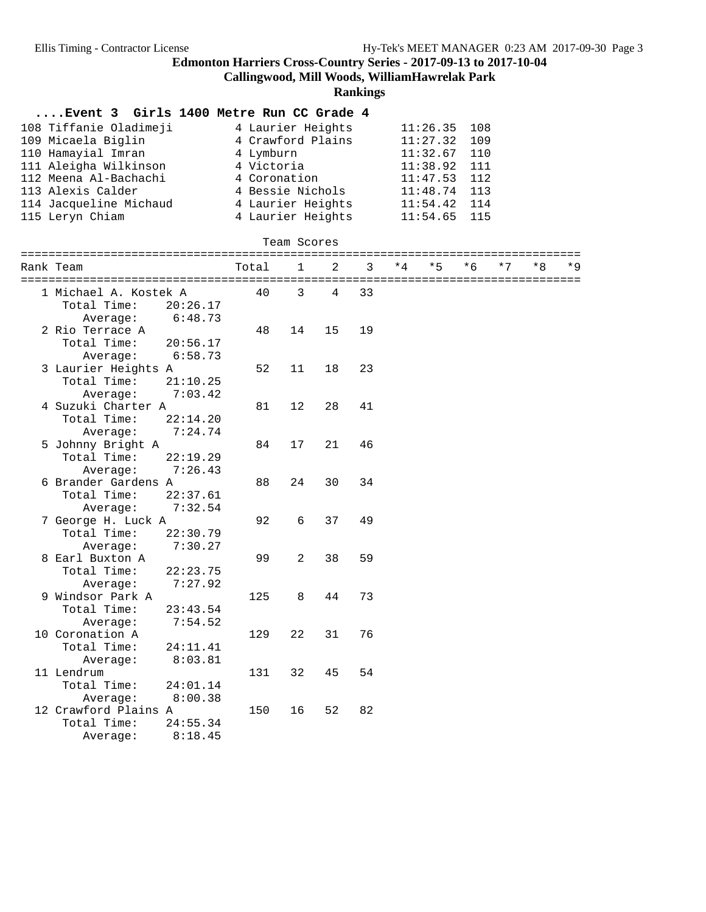**Callingwood, Mill Woods, WilliamHawrelak Park**

|                                         |          |                   |              |    | RailBings |     |          |      |     |    |      |
|-----------------------------------------|----------|-------------------|--------------|----|-----------|-----|----------|------|-----|----|------|
| Event 3 Girls 1400 Metre Run CC Grade 4 |          |                   |              |    |           |     |          |      |     |    |      |
| 108 Tiffanie Oladimeji                  |          | 4 Laurier Heights |              |    |           |     | 11:26.35 | 108  |     |    |      |
| 109 Micaela Biglin                      |          | 4 Crawford Plains |              |    |           |     | 11:27.32 | 109  |     |    |      |
| 110 Hamayial Imran                      |          | 4 Lymburn         |              |    |           |     | 11:32.67 | 110  |     |    |      |
| 111 Aleigha Wilkinson                   |          | 4 Victoria        |              |    |           |     | 11:38.92 | 111  |     |    |      |
| 112 Meena Al-Bachachi                   |          | 4 Coronation      |              |    |           |     | 11:47.53 | 112  |     |    |      |
| 113 Alexis Calder                       |          | 4 Bessie Nichols  |              |    |           |     | 11:48.74 | 113  |     |    |      |
| 114 Jacqueline Michaud                  |          | 4 Laurier Heights |              |    |           |     | 11:54.42 | 114  |     |    |      |
| 115 Leryn Chiam                         |          | 4 Laurier Heights |              |    |           |     | 11:54.65 | 115  |     |    |      |
|                                         |          |                   | Team Scores  |    |           |     |          |      |     |    |      |
|                                         |          |                   |              |    |           | * 4 |          |      |     |    | $*9$ |
| Rank Team                               |          | Total             | $\mathbf{1}$ | 2  | 3         |     | $*5$     | $*6$ | * 7 | *8 |      |
| 1 Michael A. Kostek A                   |          | 40                | 3            | 4  | 33        |     |          |      |     |    |      |
| Total Time:                             | 20:26.17 |                   |              |    |           |     |          |      |     |    |      |
| Average:                                | 6:48.73  |                   |              |    |           |     |          |      |     |    |      |
| 2 Rio Terrace A                         |          | 48                | 14           | 15 | 19        |     |          |      |     |    |      |
| Total Time:                             | 20:56.17 |                   |              |    |           |     |          |      |     |    |      |
| Average:                                | 6:58.73  |                   |              |    |           |     |          |      |     |    |      |
| 3 Laurier Heights A                     |          | 52                | 11           | 18 | 23        |     |          |      |     |    |      |
| Total Time:                             | 21:10.25 |                   |              |    |           |     |          |      |     |    |      |
| Average:                                | 7:03.42  |                   |              |    |           |     |          |      |     |    |      |
| 4 Suzuki Charter A                      |          | 81                | 12           | 28 | 41        |     |          |      |     |    |      |
| Total Time:                             | 22:14.20 |                   |              |    |           |     |          |      |     |    |      |
| Average:                                | 7:24.74  |                   |              |    |           |     |          |      |     |    |      |
| 5 Johnny Bright A                       |          | 84                | 17           | 21 | 46        |     |          |      |     |    |      |
| Total Time:                             | 22:19.29 |                   |              |    |           |     |          |      |     |    |      |
| Average:                                | 7:26.43  |                   |              |    |           |     |          |      |     |    |      |
| 6 Brander Gardens A                     |          | 88                | 24           | 30 | 34        |     |          |      |     |    |      |
| Total Time:                             | 22:37.61 |                   |              |    |           |     |          |      |     |    |      |
| Average:                                | 7:32.54  |                   |              |    |           |     |          |      |     |    |      |
| 7 George H. Luck A                      |          | 92                | 6            | 37 | 49        |     |          |      |     |    |      |
| Total Time:                             | 22:30.79 |                   |              |    |           |     |          |      |     |    |      |
| Average:                                | 7:30.27  |                   |              |    |           |     |          |      |     |    |      |
| 8 Earl Buxton A                         |          | 99                | 2            | 38 | 59        |     |          |      |     |    |      |
| Total Time:                             | 22:23.75 |                   |              |    |           |     |          |      |     |    |      |
| Average:                                | 7:27.92  |                   |              |    |           |     |          |      |     |    |      |
| 9 Windsor Park A                        |          | 125               | 8            | 44 | 73        |     |          |      |     |    |      |
| Total Time:                             | 23:43.54 |                   |              |    |           |     |          |      |     |    |      |
| Average:                                | 7:54.52  |                   |              |    |           |     |          |      |     |    |      |
| 10 Coronation A                         |          | 129               | 22           | 31 | 76        |     |          |      |     |    |      |
| Total Time:                             | 24:11.41 |                   |              |    |           |     |          |      |     |    |      |
| Average:                                | 8:03.81  |                   |              |    |           |     |          |      |     |    |      |
| 11 Lendrum                              |          | 131               | 32           | 45 | 54        |     |          |      |     |    |      |
| Total Time:                             | 24:01.14 |                   |              |    |           |     |          |      |     |    |      |
| Average:                                | 8:00.38  |                   |              |    |           |     |          |      |     |    |      |
| 12 Crawford Plains A                    |          | 150               | 16           | 52 | 82        |     |          |      |     |    |      |
| Total Time:                             | 24:55.34 |                   |              |    |           |     |          |      |     |    |      |
| Average:                                | 8:18.45  |                   |              |    |           |     |          |      |     |    |      |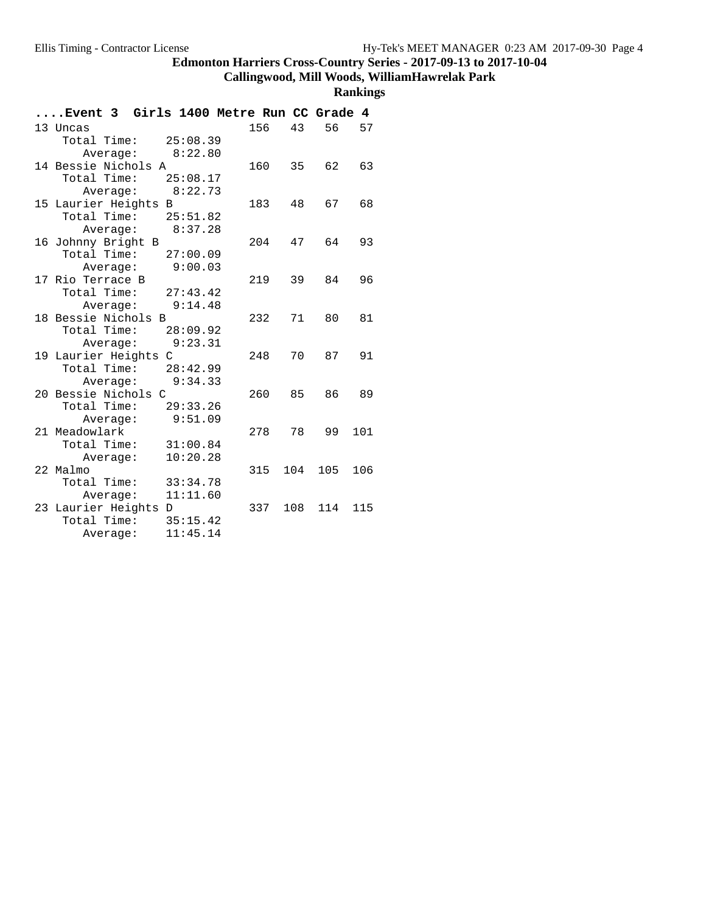**Callingwood, Mill Woods, WilliamHawrelak Park**

|  | Event 3 Girls 1400 Metre Run CC Grade 4 |          |        |     |     |     |
|--|-----------------------------------------|----------|--------|-----|-----|-----|
|  | 13 Uncas                                |          | 156    | 43  | 56  | 57  |
|  | Total Time: $25:08.39$                  |          |        |     |     |     |
|  | Average: 8:22.80                        |          |        |     |     |     |
|  | 14 Bessie Nichols A                     |          | 160    | 35  | 62  | 63  |
|  | Total Time: 25:08.17                    |          |        |     |     |     |
|  | Average: 8:22.73                        |          |        |     |     |     |
|  | 15 Laurier Heights B                    |          | 183 48 |     | 67  | 68  |
|  | Total Time: $25:51.82$                  |          |        |     |     |     |
|  | Average: 8:37.28                        |          |        |     |     |     |
|  | 16 Johnny Bright B                      |          | 204    | 47  | 64  | 93  |
|  | Total Time: $27:00.09$                  |          |        |     |     |     |
|  | Average:                                | 9:00.03  |        |     |     |     |
|  | 17 Rio Terrace B                        |          | 219    | 39  | 84  | 96  |
|  | Total Time: $27:43.42$                  |          |        |     |     |     |
|  | Average: 9:14.48                        |          |        |     |     |     |
|  | 18 Bessie Nichols B                     |          | 232    | 71  | 80  | 81  |
|  | Total Time: 28:09.92                    |          |        |     |     |     |
|  | Average:                                | 9:23.31  |        |     |     |     |
|  | 19 Laurier Heights C                    |          | 248    | 70  | 87  | 91  |
|  | Total Time: $28:42.99$                  |          |        |     |     |     |
|  | Average: 9:34.33                        |          |        |     |     |     |
|  | 20 Bessie Nichols C                     |          | 260    | 85  | 86  | 89  |
|  | Total Time:                             | 29:33.26 |        |     |     |     |
|  | Average:                                | 9:51.09  |        |     |     |     |
|  | 21 Meadowlark                           |          | 278    | 78  | 99  | 101 |
|  | Total Time: 31:00.84                    |          |        |     |     |     |
|  | Average:                                | 10:20.28 |        |     |     |     |
|  | 22 Malmo                                |          | 315    | 104 | 105 | 106 |
|  | Total Time:                             | 33:34.78 |        |     |     |     |
|  | Average:                                | 11:11.60 |        |     |     |     |
|  | 23 Laurier Heights D<br>Total Time:     | 35:15.42 | 337    | 108 | 114 | 115 |
|  |                                         | 11:45.14 |        |     |     |     |
|  | Average:                                |          |        |     |     |     |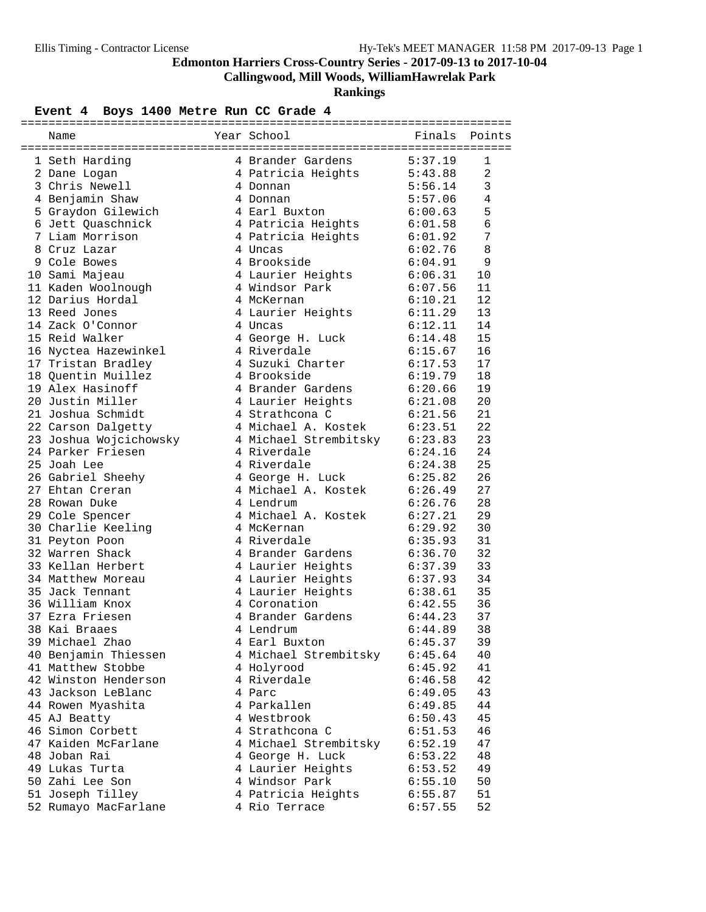**Callingwood, Mill Woods, WilliamHawrelak Park**

**Rankings**

# Event 4 Boys 1400 Metre Run CC Grade 4

| Year School<br>Name    |                               |         | Finals Points  |
|------------------------|-------------------------------|---------|----------------|
|                        |                               |         |                |
| 1 Seth Harding         | 4 Brander Gardens             | 5:37.19 | 1              |
| 2 Dane Logan           | 4 Patricia Heights            | 5:43.88 | 2              |
| 3 Chris Newell         | 4 Donnan                      | 5:56.14 | 3              |
| 4 Benjamin Shaw        | 4 Donnan                      | 5:57.06 | $\overline{4}$ |
| 5 Graydon Gilewich     | 4 Earl Buxton                 | 6:00.63 | 5              |
| 6 Jett Quaschnick      | 4 Patricia Heights            | 6:01.58 | 6              |
| 7 Liam Morrison        | 4 Patricia Heights 6:01.92    |         | 7              |
| 8 Cruz Lazar           | 4 Uncas                       | 6:02.76 | 8              |
| 9 Cole Bowes           | 4 Brookside                   | 6:04.91 | 9              |
| 10 Sami Majeau         | 4 Laurier Heights             | 6:06.31 | 10             |
| 11 Kaden Woolnough     | 4 Windsor Park                | 6:07.56 | 11             |
| 12 Darius Hordal       | 4 McKernan                    | 6:10.21 | 12             |
| 13 Reed Jones          | 4 Laurier Heights             | 6:11.29 | 13             |
| 14 Zack O'Connor       | 4 Uncas                       | 6:12.11 | 14             |
| 15 Reid Walker         | 4 George H. Luck              | 6:14.48 | 15             |
| 16 Nyctea Hazewinkel   | 4 Riverdale                   | 6:15.67 | 16             |
| 17 Tristan Bradley     | 4 Suzuki Charter              | 6:17.53 | 17             |
| 18 Quentin Muillez     | 4 Brookside                   | 6:19.79 | 18             |
| 19 Alex Hasinoff       | 4 Brander Gardens             | 6:20.66 | 19             |
| 20 Justin Miller       | 4 Laurier Heights             | 6:21.08 | 20             |
| 21 Joshua Schmidt      | 4 Strathcona C                | 6:21.56 | 21             |
| 22 Carson Dalgetty     | 4 Michael A. Kostek 6:23.51   |         | 22             |
| 23 Joshua Wojcichowsky | 4 Michael Strembitsky 6:23.83 |         | 23             |
| 24 Parker Friesen      | 4 Riverdale                   | 6:24.16 | 24             |
| 25 Joah Lee            | 4 Riverdale                   | 6:24.38 | 25             |
| 26 Gabriel Sheehy      | 4 George H. Luck              | 6:25.82 | 26             |
| 27 Ehtan Creran        | 4 Michael A. Kostek           | 6:26.49 | 27             |
| 28 Rowan Duke          | 4 Lendrum                     | 6:26.76 | 28             |
| 29 Cole Spencer        | 4 Michael A. Kostek           | 6:27.21 | 29             |
| 30 Charlie Keeling     | 4 McKernan                    | 6:29.92 | 30             |
| 31 Peyton Poon         | 4 Riverdale                   | 6:35.93 | 31             |
| 32 Warren Shack        | 4 Brander Gardens             | 6:36.70 | 32             |
| 33 Kellan Herbert      | 4 Laurier Heights             | 6:37.39 | 33             |
| 34 Matthew Moreau      | 4 Laurier Heights             | 6:37.93 | 34             |
| 35 Jack Tennant        | 4 Laurier Heights             | 6:38.61 | 35             |
| 36 William Knox        | 4 Coronation                  | 6:42.55 | 36             |
| 37 Ezra Friesen        | 4 Brander Gardens             | 6:44.23 | 37             |
| 38 Kai Braaes          | 4 Lendrum                     | 6:44.89 | 38             |
| 39 Michael Zhao        | 4 Earl Buxton                 | 6:45.37 | 39             |
| 40 Benjamin Thiessen   | 4 Michael Strembitsky         | 6:45.64 | 40             |
| 41 Matthew Stobbe      | 4 Holyrood                    | 6:45.92 | 41             |
| 42 Winston Henderson   | 4 Riverdale                   | 6:46.58 | 42             |
| 43 Jackson LeBlanc     | 4 Parc                        | 6:49.05 | 43             |
| 44 Rowen Myashita      | 4 Parkallen                   | 6:49.85 | 44             |
| 45 AJ Beatty           | 4 Westbrook                   | 6:50.43 | 45             |
| 46 Simon Corbett       | 4 Strathcona C                | 6:51.53 | 46             |
| 47 Kaiden McFarlane    | 4 Michael Strembitsky         | 6:52.19 | 47             |
| 48 Joban Rai           | 4 George H. Luck              | 6:53.22 | 48             |
| 49 Lukas Turta         | 4 Laurier Heights             | 6:53.52 | 49             |
| 50 Zahi Lee Son        | 4 Windsor Park                | 6:55.10 | 50             |
| 51 Joseph Tilley       | 4 Patricia Heights            | 6:55.87 | 51             |
| 52 Rumayo MacFarlane   | 4 Rio Terrace                 | 6:57.55 | 52             |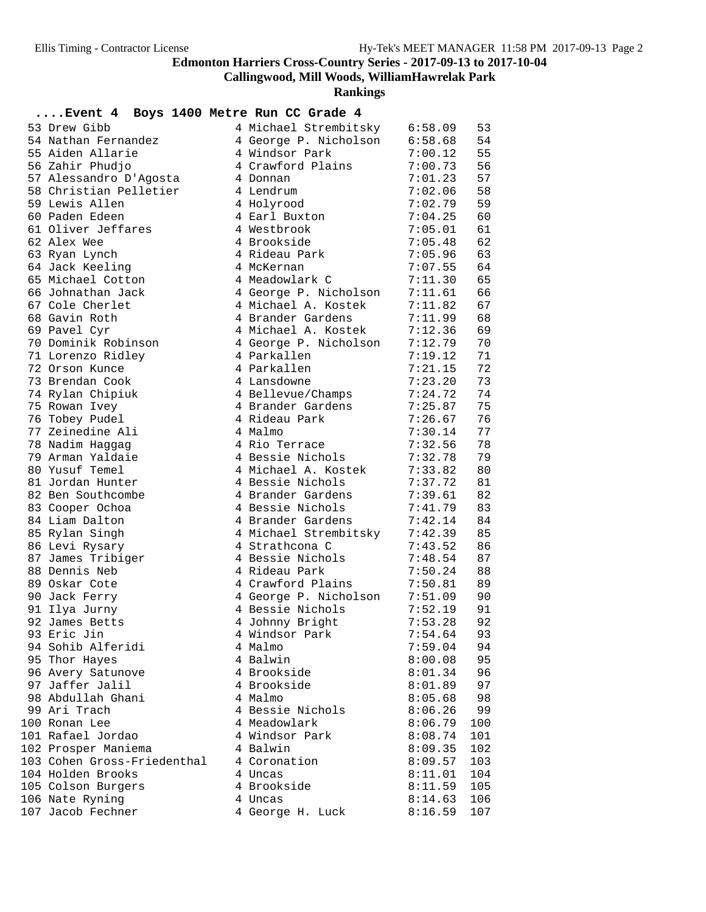**Callingwood, Mill Woods, WilliamHawrelak Park**

| 53 Drew Gibb<br>4 Michael Strembitsky 6:58.09<br>53<br>4 George P. Nicholson 6:58.68<br>54<br>54 Nathan Fernandez<br>55 Aiden Allarie<br>55<br>4 Windsor Park<br>7:00.12<br>4 Crawford Plains<br>56<br>56 Zahir Phudjo<br>7:00.73<br>57<br>57 Alessandro D'Agosta<br>7:01.23<br>4 Donnan<br>58<br>58 Christian Pelletier<br>4 Lendrum<br>7:02.06<br>59<br>59 Lewis Allen<br>4 Holyrood<br>7:02.79<br>60<br>60 Paden Edeen<br>4 Earl Buxton<br>7:04.25<br>61 Oliver Jeffares<br>61<br>4 Westbrook<br>7:05.01<br>62<br>62 Alex Wee<br>4 Brookside<br>7:05.48<br>63 Ryan Lynch<br>4 Rideau Park<br>63<br>7:05.96<br>64 Jack Keeling<br>64<br>4 McKernan<br>7:07.55<br>65 Michael Cotton<br>65<br>4 Meadowlark C<br>7:11.30<br>4 George P. Nicholson<br>7:11.61<br>66<br>66 Johnathan Jack<br>67 Cole Cherlet<br>4 Michael A. Kostek<br>67<br>7:11.82<br>68<br>68 Gavin Roth<br>4 Brander Gardens<br>7:11.99<br>69<br>69 Pavel Cyr<br>4 Michael A. Kostek<br>7:12.36<br>70 Dominik Robinson<br>70<br>4 George P. Nicholson<br>7:12.79<br>71 Lorenzo Ridley<br>4 Parkallen<br>71<br>7:19.12<br>72<br>72 Orson Kunce<br>4 Parkallen<br>7:21.15<br>73 Brendan Cook<br>73<br>4 Lansdowne<br>7:23.20<br>74<br>74 Rylan Chipiuk<br>4 Bellevue/Champs<br>7:24.72<br>75<br>4 Brander Gardens<br>75 Rowan Ivey<br>7:25.87<br>76<br>76 Tobey Pudel<br>4 Rideau Park<br>7:26.67<br>77 Zeinedine Ali<br>77<br>4 Malmo<br>7:30.14<br>78<br>78 Nadim Haggag<br>4 Rio Terrace<br>7:32.56<br>4 Bessie Nichols<br>79 Arman Yaldaie<br>79<br>7:32.78<br>80 Yusuf Temel<br>4 Michael A. Kostek<br>80<br>7:33.82<br>81<br>81 Jordan Hunter<br>4 Bessie Nichols<br>7:37.72<br>4 Brander Gardens<br>82<br>82 Ben Southcombe<br>7:39.61<br>4 Bessie Nichols<br>83<br>83 Cooper Ochoa<br>7:41.79<br>84 Liam Dalton<br>4 Brander Gardens<br>84<br>7:42.14<br>4 Michael Strembitsky<br>85 Rylan Singh<br>85<br>7:42.39<br>86 Levi Rysary<br>4 Strathcona C<br>86<br>7:43.52<br>87<br>87 James Tribiger<br>4 Bessie Nichols<br>7:48.54<br>88<br>88 Dennis Neb<br>4 Rideau Park<br>7:50.24<br>89<br>89 Oskar Cote<br>COMPARE THE METHOD TO THE 1999 P. Alexander State Service Contractor 1:52.19<br>4 Johnny Bright 1:52.19<br>90<br>90 Jack Ferry<br>91<br>91 Ilya Jurny<br>92<br>92 James Betts<br>4 Johnny Bright<br>7:54.64<br>93 Eric Jin<br>4 Windsor Park<br>93<br>94 Sohib Alferidi<br>4 Malmo<br>7:59.04<br>94<br>95 Thor Hayes<br>4 Balwin<br>8:00.08<br>95<br>96<br>96 Avery Satunove<br>4 Brookside<br>8:01.34<br>97 Jaffer Jalil<br>4 Brookside<br>97<br>8:01.89<br>98 Abdullah Ghani<br>4 Malmo<br>98<br>8:05.68<br>99 Ari Trach<br>4 Bessie Nichols<br>99<br>8:06.26<br>4 Meadowlark<br>100 Ronan Lee<br>8:06.79<br>100<br>101 Rafael Jordao<br>4 Windsor Park<br>8:08.74<br>101<br>102 Prosper Maniema<br>4 Balwin<br>8:09.35<br>102<br>103 Cohen Gross-Friedenthal<br>4 Coronation<br>8:09.57<br>103<br>104 Holden Brooks<br>4 Uncas<br>8:11.01<br>104<br>4 Brookside<br>105 Colson Burgers<br>8:11.59<br>105<br>4 Uncas<br>106<br>106 Nate Ryning<br>8:14.63<br>107 Jacob Fechner<br>4 George H. Luck<br>8:16.59<br>107 | Event 4 Boys 1400 Metre Run CC Grade 4 |  |  |
|------------------------------------------------------------------------------------------------------------------------------------------------------------------------------------------------------------------------------------------------------------------------------------------------------------------------------------------------------------------------------------------------------------------------------------------------------------------------------------------------------------------------------------------------------------------------------------------------------------------------------------------------------------------------------------------------------------------------------------------------------------------------------------------------------------------------------------------------------------------------------------------------------------------------------------------------------------------------------------------------------------------------------------------------------------------------------------------------------------------------------------------------------------------------------------------------------------------------------------------------------------------------------------------------------------------------------------------------------------------------------------------------------------------------------------------------------------------------------------------------------------------------------------------------------------------------------------------------------------------------------------------------------------------------------------------------------------------------------------------------------------------------------------------------------------------------------------------------------------------------------------------------------------------------------------------------------------------------------------------------------------------------------------------------------------------------------------------------------------------------------------------------------------------------------------------------------------------------------------------------------------------------------------------------------------------------------------------------------------------------------------------------------------------------------------------------------------------------------------------------------------------------------------------------------------------------------------------------------------------------------------------------------------------------------------------------------------------------------------------------------------------------------------------------------------------------------------------------------------------------------------------------------------------------------------------------------------------------------------------------------------------------------------------------------------------------------------------------------------|----------------------------------------|--|--|
|                                                                                                                                                                                                                                                                                                                                                                                                                                                                                                                                                                                                                                                                                                                                                                                                                                                                                                                                                                                                                                                                                                                                                                                                                                                                                                                                                                                                                                                                                                                                                                                                                                                                                                                                                                                                                                                                                                                                                                                                                                                                                                                                                                                                                                                                                                                                                                                                                                                                                                                                                                                                                                                                                                                                                                                                                                                                                                                                                                                                                                                                                                            |                                        |  |  |
|                                                                                                                                                                                                                                                                                                                                                                                                                                                                                                                                                                                                                                                                                                                                                                                                                                                                                                                                                                                                                                                                                                                                                                                                                                                                                                                                                                                                                                                                                                                                                                                                                                                                                                                                                                                                                                                                                                                                                                                                                                                                                                                                                                                                                                                                                                                                                                                                                                                                                                                                                                                                                                                                                                                                                                                                                                                                                                                                                                                                                                                                                                            |                                        |  |  |
|                                                                                                                                                                                                                                                                                                                                                                                                                                                                                                                                                                                                                                                                                                                                                                                                                                                                                                                                                                                                                                                                                                                                                                                                                                                                                                                                                                                                                                                                                                                                                                                                                                                                                                                                                                                                                                                                                                                                                                                                                                                                                                                                                                                                                                                                                                                                                                                                                                                                                                                                                                                                                                                                                                                                                                                                                                                                                                                                                                                                                                                                                                            |                                        |  |  |
|                                                                                                                                                                                                                                                                                                                                                                                                                                                                                                                                                                                                                                                                                                                                                                                                                                                                                                                                                                                                                                                                                                                                                                                                                                                                                                                                                                                                                                                                                                                                                                                                                                                                                                                                                                                                                                                                                                                                                                                                                                                                                                                                                                                                                                                                                                                                                                                                                                                                                                                                                                                                                                                                                                                                                                                                                                                                                                                                                                                                                                                                                                            |                                        |  |  |
|                                                                                                                                                                                                                                                                                                                                                                                                                                                                                                                                                                                                                                                                                                                                                                                                                                                                                                                                                                                                                                                                                                                                                                                                                                                                                                                                                                                                                                                                                                                                                                                                                                                                                                                                                                                                                                                                                                                                                                                                                                                                                                                                                                                                                                                                                                                                                                                                                                                                                                                                                                                                                                                                                                                                                                                                                                                                                                                                                                                                                                                                                                            |                                        |  |  |
|                                                                                                                                                                                                                                                                                                                                                                                                                                                                                                                                                                                                                                                                                                                                                                                                                                                                                                                                                                                                                                                                                                                                                                                                                                                                                                                                                                                                                                                                                                                                                                                                                                                                                                                                                                                                                                                                                                                                                                                                                                                                                                                                                                                                                                                                                                                                                                                                                                                                                                                                                                                                                                                                                                                                                                                                                                                                                                                                                                                                                                                                                                            |                                        |  |  |
|                                                                                                                                                                                                                                                                                                                                                                                                                                                                                                                                                                                                                                                                                                                                                                                                                                                                                                                                                                                                                                                                                                                                                                                                                                                                                                                                                                                                                                                                                                                                                                                                                                                                                                                                                                                                                                                                                                                                                                                                                                                                                                                                                                                                                                                                                                                                                                                                                                                                                                                                                                                                                                                                                                                                                                                                                                                                                                                                                                                                                                                                                                            |                                        |  |  |
|                                                                                                                                                                                                                                                                                                                                                                                                                                                                                                                                                                                                                                                                                                                                                                                                                                                                                                                                                                                                                                                                                                                                                                                                                                                                                                                                                                                                                                                                                                                                                                                                                                                                                                                                                                                                                                                                                                                                                                                                                                                                                                                                                                                                                                                                                                                                                                                                                                                                                                                                                                                                                                                                                                                                                                                                                                                                                                                                                                                                                                                                                                            |                                        |  |  |
|                                                                                                                                                                                                                                                                                                                                                                                                                                                                                                                                                                                                                                                                                                                                                                                                                                                                                                                                                                                                                                                                                                                                                                                                                                                                                                                                                                                                                                                                                                                                                                                                                                                                                                                                                                                                                                                                                                                                                                                                                                                                                                                                                                                                                                                                                                                                                                                                                                                                                                                                                                                                                                                                                                                                                                                                                                                                                                                                                                                                                                                                                                            |                                        |  |  |
|                                                                                                                                                                                                                                                                                                                                                                                                                                                                                                                                                                                                                                                                                                                                                                                                                                                                                                                                                                                                                                                                                                                                                                                                                                                                                                                                                                                                                                                                                                                                                                                                                                                                                                                                                                                                                                                                                                                                                                                                                                                                                                                                                                                                                                                                                                                                                                                                                                                                                                                                                                                                                                                                                                                                                                                                                                                                                                                                                                                                                                                                                                            |                                        |  |  |
|                                                                                                                                                                                                                                                                                                                                                                                                                                                                                                                                                                                                                                                                                                                                                                                                                                                                                                                                                                                                                                                                                                                                                                                                                                                                                                                                                                                                                                                                                                                                                                                                                                                                                                                                                                                                                                                                                                                                                                                                                                                                                                                                                                                                                                                                                                                                                                                                                                                                                                                                                                                                                                                                                                                                                                                                                                                                                                                                                                                                                                                                                                            |                                        |  |  |
|                                                                                                                                                                                                                                                                                                                                                                                                                                                                                                                                                                                                                                                                                                                                                                                                                                                                                                                                                                                                                                                                                                                                                                                                                                                                                                                                                                                                                                                                                                                                                                                                                                                                                                                                                                                                                                                                                                                                                                                                                                                                                                                                                                                                                                                                                                                                                                                                                                                                                                                                                                                                                                                                                                                                                                                                                                                                                                                                                                                                                                                                                                            |                                        |  |  |
|                                                                                                                                                                                                                                                                                                                                                                                                                                                                                                                                                                                                                                                                                                                                                                                                                                                                                                                                                                                                                                                                                                                                                                                                                                                                                                                                                                                                                                                                                                                                                                                                                                                                                                                                                                                                                                                                                                                                                                                                                                                                                                                                                                                                                                                                                                                                                                                                                                                                                                                                                                                                                                                                                                                                                                                                                                                                                                                                                                                                                                                                                                            |                                        |  |  |
|                                                                                                                                                                                                                                                                                                                                                                                                                                                                                                                                                                                                                                                                                                                                                                                                                                                                                                                                                                                                                                                                                                                                                                                                                                                                                                                                                                                                                                                                                                                                                                                                                                                                                                                                                                                                                                                                                                                                                                                                                                                                                                                                                                                                                                                                                                                                                                                                                                                                                                                                                                                                                                                                                                                                                                                                                                                                                                                                                                                                                                                                                                            |                                        |  |  |
|                                                                                                                                                                                                                                                                                                                                                                                                                                                                                                                                                                                                                                                                                                                                                                                                                                                                                                                                                                                                                                                                                                                                                                                                                                                                                                                                                                                                                                                                                                                                                                                                                                                                                                                                                                                                                                                                                                                                                                                                                                                                                                                                                                                                                                                                                                                                                                                                                                                                                                                                                                                                                                                                                                                                                                                                                                                                                                                                                                                                                                                                                                            |                                        |  |  |
|                                                                                                                                                                                                                                                                                                                                                                                                                                                                                                                                                                                                                                                                                                                                                                                                                                                                                                                                                                                                                                                                                                                                                                                                                                                                                                                                                                                                                                                                                                                                                                                                                                                                                                                                                                                                                                                                                                                                                                                                                                                                                                                                                                                                                                                                                                                                                                                                                                                                                                                                                                                                                                                                                                                                                                                                                                                                                                                                                                                                                                                                                                            |                                        |  |  |
|                                                                                                                                                                                                                                                                                                                                                                                                                                                                                                                                                                                                                                                                                                                                                                                                                                                                                                                                                                                                                                                                                                                                                                                                                                                                                                                                                                                                                                                                                                                                                                                                                                                                                                                                                                                                                                                                                                                                                                                                                                                                                                                                                                                                                                                                                                                                                                                                                                                                                                                                                                                                                                                                                                                                                                                                                                                                                                                                                                                                                                                                                                            |                                        |  |  |
|                                                                                                                                                                                                                                                                                                                                                                                                                                                                                                                                                                                                                                                                                                                                                                                                                                                                                                                                                                                                                                                                                                                                                                                                                                                                                                                                                                                                                                                                                                                                                                                                                                                                                                                                                                                                                                                                                                                                                                                                                                                                                                                                                                                                                                                                                                                                                                                                                                                                                                                                                                                                                                                                                                                                                                                                                                                                                                                                                                                                                                                                                                            |                                        |  |  |
|                                                                                                                                                                                                                                                                                                                                                                                                                                                                                                                                                                                                                                                                                                                                                                                                                                                                                                                                                                                                                                                                                                                                                                                                                                                                                                                                                                                                                                                                                                                                                                                                                                                                                                                                                                                                                                                                                                                                                                                                                                                                                                                                                                                                                                                                                                                                                                                                                                                                                                                                                                                                                                                                                                                                                                                                                                                                                                                                                                                                                                                                                                            |                                        |  |  |
|                                                                                                                                                                                                                                                                                                                                                                                                                                                                                                                                                                                                                                                                                                                                                                                                                                                                                                                                                                                                                                                                                                                                                                                                                                                                                                                                                                                                                                                                                                                                                                                                                                                                                                                                                                                                                                                                                                                                                                                                                                                                                                                                                                                                                                                                                                                                                                                                                                                                                                                                                                                                                                                                                                                                                                                                                                                                                                                                                                                                                                                                                                            |                                        |  |  |
|                                                                                                                                                                                                                                                                                                                                                                                                                                                                                                                                                                                                                                                                                                                                                                                                                                                                                                                                                                                                                                                                                                                                                                                                                                                                                                                                                                                                                                                                                                                                                                                                                                                                                                                                                                                                                                                                                                                                                                                                                                                                                                                                                                                                                                                                                                                                                                                                                                                                                                                                                                                                                                                                                                                                                                                                                                                                                                                                                                                                                                                                                                            |                                        |  |  |
|                                                                                                                                                                                                                                                                                                                                                                                                                                                                                                                                                                                                                                                                                                                                                                                                                                                                                                                                                                                                                                                                                                                                                                                                                                                                                                                                                                                                                                                                                                                                                                                                                                                                                                                                                                                                                                                                                                                                                                                                                                                                                                                                                                                                                                                                                                                                                                                                                                                                                                                                                                                                                                                                                                                                                                                                                                                                                                                                                                                                                                                                                                            |                                        |  |  |
|                                                                                                                                                                                                                                                                                                                                                                                                                                                                                                                                                                                                                                                                                                                                                                                                                                                                                                                                                                                                                                                                                                                                                                                                                                                                                                                                                                                                                                                                                                                                                                                                                                                                                                                                                                                                                                                                                                                                                                                                                                                                                                                                                                                                                                                                                                                                                                                                                                                                                                                                                                                                                                                                                                                                                                                                                                                                                                                                                                                                                                                                                                            |                                        |  |  |
|                                                                                                                                                                                                                                                                                                                                                                                                                                                                                                                                                                                                                                                                                                                                                                                                                                                                                                                                                                                                                                                                                                                                                                                                                                                                                                                                                                                                                                                                                                                                                                                                                                                                                                                                                                                                                                                                                                                                                                                                                                                                                                                                                                                                                                                                                                                                                                                                                                                                                                                                                                                                                                                                                                                                                                                                                                                                                                                                                                                                                                                                                                            |                                        |  |  |
|                                                                                                                                                                                                                                                                                                                                                                                                                                                                                                                                                                                                                                                                                                                                                                                                                                                                                                                                                                                                                                                                                                                                                                                                                                                                                                                                                                                                                                                                                                                                                                                                                                                                                                                                                                                                                                                                                                                                                                                                                                                                                                                                                                                                                                                                                                                                                                                                                                                                                                                                                                                                                                                                                                                                                                                                                                                                                                                                                                                                                                                                                                            |                                        |  |  |
|                                                                                                                                                                                                                                                                                                                                                                                                                                                                                                                                                                                                                                                                                                                                                                                                                                                                                                                                                                                                                                                                                                                                                                                                                                                                                                                                                                                                                                                                                                                                                                                                                                                                                                                                                                                                                                                                                                                                                                                                                                                                                                                                                                                                                                                                                                                                                                                                                                                                                                                                                                                                                                                                                                                                                                                                                                                                                                                                                                                                                                                                                                            |                                        |  |  |
|                                                                                                                                                                                                                                                                                                                                                                                                                                                                                                                                                                                                                                                                                                                                                                                                                                                                                                                                                                                                                                                                                                                                                                                                                                                                                                                                                                                                                                                                                                                                                                                                                                                                                                                                                                                                                                                                                                                                                                                                                                                                                                                                                                                                                                                                                                                                                                                                                                                                                                                                                                                                                                                                                                                                                                                                                                                                                                                                                                                                                                                                                                            |                                        |  |  |
|                                                                                                                                                                                                                                                                                                                                                                                                                                                                                                                                                                                                                                                                                                                                                                                                                                                                                                                                                                                                                                                                                                                                                                                                                                                                                                                                                                                                                                                                                                                                                                                                                                                                                                                                                                                                                                                                                                                                                                                                                                                                                                                                                                                                                                                                                                                                                                                                                                                                                                                                                                                                                                                                                                                                                                                                                                                                                                                                                                                                                                                                                                            |                                        |  |  |
|                                                                                                                                                                                                                                                                                                                                                                                                                                                                                                                                                                                                                                                                                                                                                                                                                                                                                                                                                                                                                                                                                                                                                                                                                                                                                                                                                                                                                                                                                                                                                                                                                                                                                                                                                                                                                                                                                                                                                                                                                                                                                                                                                                                                                                                                                                                                                                                                                                                                                                                                                                                                                                                                                                                                                                                                                                                                                                                                                                                                                                                                                                            |                                        |  |  |
|                                                                                                                                                                                                                                                                                                                                                                                                                                                                                                                                                                                                                                                                                                                                                                                                                                                                                                                                                                                                                                                                                                                                                                                                                                                                                                                                                                                                                                                                                                                                                                                                                                                                                                                                                                                                                                                                                                                                                                                                                                                                                                                                                                                                                                                                                                                                                                                                                                                                                                                                                                                                                                                                                                                                                                                                                                                                                                                                                                                                                                                                                                            |                                        |  |  |
|                                                                                                                                                                                                                                                                                                                                                                                                                                                                                                                                                                                                                                                                                                                                                                                                                                                                                                                                                                                                                                                                                                                                                                                                                                                                                                                                                                                                                                                                                                                                                                                                                                                                                                                                                                                                                                                                                                                                                                                                                                                                                                                                                                                                                                                                                                                                                                                                                                                                                                                                                                                                                                                                                                                                                                                                                                                                                                                                                                                                                                                                                                            |                                        |  |  |
|                                                                                                                                                                                                                                                                                                                                                                                                                                                                                                                                                                                                                                                                                                                                                                                                                                                                                                                                                                                                                                                                                                                                                                                                                                                                                                                                                                                                                                                                                                                                                                                                                                                                                                                                                                                                                                                                                                                                                                                                                                                                                                                                                                                                                                                                                                                                                                                                                                                                                                                                                                                                                                                                                                                                                                                                                                                                                                                                                                                                                                                                                                            |                                        |  |  |
|                                                                                                                                                                                                                                                                                                                                                                                                                                                                                                                                                                                                                                                                                                                                                                                                                                                                                                                                                                                                                                                                                                                                                                                                                                                                                                                                                                                                                                                                                                                                                                                                                                                                                                                                                                                                                                                                                                                                                                                                                                                                                                                                                                                                                                                                                                                                                                                                                                                                                                                                                                                                                                                                                                                                                                                                                                                                                                                                                                                                                                                                                                            |                                        |  |  |
|                                                                                                                                                                                                                                                                                                                                                                                                                                                                                                                                                                                                                                                                                                                                                                                                                                                                                                                                                                                                                                                                                                                                                                                                                                                                                                                                                                                                                                                                                                                                                                                                                                                                                                                                                                                                                                                                                                                                                                                                                                                                                                                                                                                                                                                                                                                                                                                                                                                                                                                                                                                                                                                                                                                                                                                                                                                                                                                                                                                                                                                                                                            |                                        |  |  |
|                                                                                                                                                                                                                                                                                                                                                                                                                                                                                                                                                                                                                                                                                                                                                                                                                                                                                                                                                                                                                                                                                                                                                                                                                                                                                                                                                                                                                                                                                                                                                                                                                                                                                                                                                                                                                                                                                                                                                                                                                                                                                                                                                                                                                                                                                                                                                                                                                                                                                                                                                                                                                                                                                                                                                                                                                                                                                                                                                                                                                                                                                                            |                                        |  |  |
|                                                                                                                                                                                                                                                                                                                                                                                                                                                                                                                                                                                                                                                                                                                                                                                                                                                                                                                                                                                                                                                                                                                                                                                                                                                                                                                                                                                                                                                                                                                                                                                                                                                                                                                                                                                                                                                                                                                                                                                                                                                                                                                                                                                                                                                                                                                                                                                                                                                                                                                                                                                                                                                                                                                                                                                                                                                                                                                                                                                                                                                                                                            |                                        |  |  |
|                                                                                                                                                                                                                                                                                                                                                                                                                                                                                                                                                                                                                                                                                                                                                                                                                                                                                                                                                                                                                                                                                                                                                                                                                                                                                                                                                                                                                                                                                                                                                                                                                                                                                                                                                                                                                                                                                                                                                                                                                                                                                                                                                                                                                                                                                                                                                                                                                                                                                                                                                                                                                                                                                                                                                                                                                                                                                                                                                                                                                                                                                                            |                                        |  |  |
|                                                                                                                                                                                                                                                                                                                                                                                                                                                                                                                                                                                                                                                                                                                                                                                                                                                                                                                                                                                                                                                                                                                                                                                                                                                                                                                                                                                                                                                                                                                                                                                                                                                                                                                                                                                                                                                                                                                                                                                                                                                                                                                                                                                                                                                                                                                                                                                                                                                                                                                                                                                                                                                                                                                                                                                                                                                                                                                                                                                                                                                                                                            |                                        |  |  |
|                                                                                                                                                                                                                                                                                                                                                                                                                                                                                                                                                                                                                                                                                                                                                                                                                                                                                                                                                                                                                                                                                                                                                                                                                                                                                                                                                                                                                                                                                                                                                                                                                                                                                                                                                                                                                                                                                                                                                                                                                                                                                                                                                                                                                                                                                                                                                                                                                                                                                                                                                                                                                                                                                                                                                                                                                                                                                                                                                                                                                                                                                                            |                                        |  |  |
|                                                                                                                                                                                                                                                                                                                                                                                                                                                                                                                                                                                                                                                                                                                                                                                                                                                                                                                                                                                                                                                                                                                                                                                                                                                                                                                                                                                                                                                                                                                                                                                                                                                                                                                                                                                                                                                                                                                                                                                                                                                                                                                                                                                                                                                                                                                                                                                                                                                                                                                                                                                                                                                                                                                                                                                                                                                                                                                                                                                                                                                                                                            |                                        |  |  |
|                                                                                                                                                                                                                                                                                                                                                                                                                                                                                                                                                                                                                                                                                                                                                                                                                                                                                                                                                                                                                                                                                                                                                                                                                                                                                                                                                                                                                                                                                                                                                                                                                                                                                                                                                                                                                                                                                                                                                                                                                                                                                                                                                                                                                                                                                                                                                                                                                                                                                                                                                                                                                                                                                                                                                                                                                                                                                                                                                                                                                                                                                                            |                                        |  |  |
|                                                                                                                                                                                                                                                                                                                                                                                                                                                                                                                                                                                                                                                                                                                                                                                                                                                                                                                                                                                                                                                                                                                                                                                                                                                                                                                                                                                                                                                                                                                                                                                                                                                                                                                                                                                                                                                                                                                                                                                                                                                                                                                                                                                                                                                                                                                                                                                                                                                                                                                                                                                                                                                                                                                                                                                                                                                                                                                                                                                                                                                                                                            |                                        |  |  |
|                                                                                                                                                                                                                                                                                                                                                                                                                                                                                                                                                                                                                                                                                                                                                                                                                                                                                                                                                                                                                                                                                                                                                                                                                                                                                                                                                                                                                                                                                                                                                                                                                                                                                                                                                                                                                                                                                                                                                                                                                                                                                                                                                                                                                                                                                                                                                                                                                                                                                                                                                                                                                                                                                                                                                                                                                                                                                                                                                                                                                                                                                                            |                                        |  |  |
|                                                                                                                                                                                                                                                                                                                                                                                                                                                                                                                                                                                                                                                                                                                                                                                                                                                                                                                                                                                                                                                                                                                                                                                                                                                                                                                                                                                                                                                                                                                                                                                                                                                                                                                                                                                                                                                                                                                                                                                                                                                                                                                                                                                                                                                                                                                                                                                                                                                                                                                                                                                                                                                                                                                                                                                                                                                                                                                                                                                                                                                                                                            |                                        |  |  |
|                                                                                                                                                                                                                                                                                                                                                                                                                                                                                                                                                                                                                                                                                                                                                                                                                                                                                                                                                                                                                                                                                                                                                                                                                                                                                                                                                                                                                                                                                                                                                                                                                                                                                                                                                                                                                                                                                                                                                                                                                                                                                                                                                                                                                                                                                                                                                                                                                                                                                                                                                                                                                                                                                                                                                                                                                                                                                                                                                                                                                                                                                                            |                                        |  |  |
|                                                                                                                                                                                                                                                                                                                                                                                                                                                                                                                                                                                                                                                                                                                                                                                                                                                                                                                                                                                                                                                                                                                                                                                                                                                                                                                                                                                                                                                                                                                                                                                                                                                                                                                                                                                                                                                                                                                                                                                                                                                                                                                                                                                                                                                                                                                                                                                                                                                                                                                                                                                                                                                                                                                                                                                                                                                                                                                                                                                                                                                                                                            |                                        |  |  |
|                                                                                                                                                                                                                                                                                                                                                                                                                                                                                                                                                                                                                                                                                                                                                                                                                                                                                                                                                                                                                                                                                                                                                                                                                                                                                                                                                                                                                                                                                                                                                                                                                                                                                                                                                                                                                                                                                                                                                                                                                                                                                                                                                                                                                                                                                                                                                                                                                                                                                                                                                                                                                                                                                                                                                                                                                                                                                                                                                                                                                                                                                                            |                                        |  |  |
|                                                                                                                                                                                                                                                                                                                                                                                                                                                                                                                                                                                                                                                                                                                                                                                                                                                                                                                                                                                                                                                                                                                                                                                                                                                                                                                                                                                                                                                                                                                                                                                                                                                                                                                                                                                                                                                                                                                                                                                                                                                                                                                                                                                                                                                                                                                                                                                                                                                                                                                                                                                                                                                                                                                                                                                                                                                                                                                                                                                                                                                                                                            |                                        |  |  |
|                                                                                                                                                                                                                                                                                                                                                                                                                                                                                                                                                                                                                                                                                                                                                                                                                                                                                                                                                                                                                                                                                                                                                                                                                                                                                                                                                                                                                                                                                                                                                                                                                                                                                                                                                                                                                                                                                                                                                                                                                                                                                                                                                                                                                                                                                                                                                                                                                                                                                                                                                                                                                                                                                                                                                                                                                                                                                                                                                                                                                                                                                                            |                                        |  |  |
|                                                                                                                                                                                                                                                                                                                                                                                                                                                                                                                                                                                                                                                                                                                                                                                                                                                                                                                                                                                                                                                                                                                                                                                                                                                                                                                                                                                                                                                                                                                                                                                                                                                                                                                                                                                                                                                                                                                                                                                                                                                                                                                                                                                                                                                                                                                                                                                                                                                                                                                                                                                                                                                                                                                                                                                                                                                                                                                                                                                                                                                                                                            |                                        |  |  |
|                                                                                                                                                                                                                                                                                                                                                                                                                                                                                                                                                                                                                                                                                                                                                                                                                                                                                                                                                                                                                                                                                                                                                                                                                                                                                                                                                                                                                                                                                                                                                                                                                                                                                                                                                                                                                                                                                                                                                                                                                                                                                                                                                                                                                                                                                                                                                                                                                                                                                                                                                                                                                                                                                                                                                                                                                                                                                                                                                                                                                                                                                                            |                                        |  |  |
|                                                                                                                                                                                                                                                                                                                                                                                                                                                                                                                                                                                                                                                                                                                                                                                                                                                                                                                                                                                                                                                                                                                                                                                                                                                                                                                                                                                                                                                                                                                                                                                                                                                                                                                                                                                                                                                                                                                                                                                                                                                                                                                                                                                                                                                                                                                                                                                                                                                                                                                                                                                                                                                                                                                                                                                                                                                                                                                                                                                                                                                                                                            |                                        |  |  |
|                                                                                                                                                                                                                                                                                                                                                                                                                                                                                                                                                                                                                                                                                                                                                                                                                                                                                                                                                                                                                                                                                                                                                                                                                                                                                                                                                                                                                                                                                                                                                                                                                                                                                                                                                                                                                                                                                                                                                                                                                                                                                                                                                                                                                                                                                                                                                                                                                                                                                                                                                                                                                                                                                                                                                                                                                                                                                                                                                                                                                                                                                                            |                                        |  |  |
|                                                                                                                                                                                                                                                                                                                                                                                                                                                                                                                                                                                                                                                                                                                                                                                                                                                                                                                                                                                                                                                                                                                                                                                                                                                                                                                                                                                                                                                                                                                                                                                                                                                                                                                                                                                                                                                                                                                                                                                                                                                                                                                                                                                                                                                                                                                                                                                                                                                                                                                                                                                                                                                                                                                                                                                                                                                                                                                                                                                                                                                                                                            |                                        |  |  |
|                                                                                                                                                                                                                                                                                                                                                                                                                                                                                                                                                                                                                                                                                                                                                                                                                                                                                                                                                                                                                                                                                                                                                                                                                                                                                                                                                                                                                                                                                                                                                                                                                                                                                                                                                                                                                                                                                                                                                                                                                                                                                                                                                                                                                                                                                                                                                                                                                                                                                                                                                                                                                                                                                                                                                                                                                                                                                                                                                                                                                                                                                                            |                                        |  |  |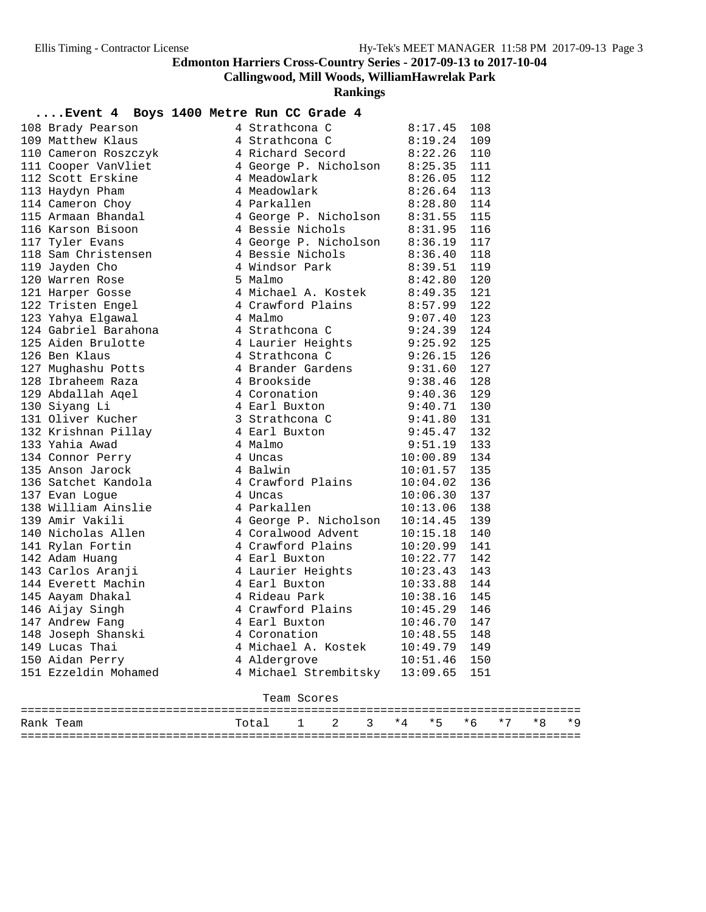**Callingwood, Mill Woods, WilliamHawrelak Park**

|                                         | Event 4 Boys 1400 Metre Run CC Grade 4                                                                                                                                                                                                               |          |     |
|-----------------------------------------|------------------------------------------------------------------------------------------------------------------------------------------------------------------------------------------------------------------------------------------------------|----------|-----|
|                                         | 108 Brady Pearson<br>109 Matthew Klaus<br>109 Matthew Klaus<br>110 Cameron Roszczyk<br>111 Cooper VanVliet<br>12 Scott Erskine<br>12 Scott Erskine<br>12 Scott Erskine<br>12 Scott Erskine<br>12 Scott Erskine<br>12 Scott Erskine<br>12 Scott Erski |          | 108 |
|                                         |                                                                                                                                                                                                                                                      |          | 109 |
|                                         |                                                                                                                                                                                                                                                      |          | 110 |
|                                         |                                                                                                                                                                                                                                                      |          | 111 |
|                                         |                                                                                                                                                                                                                                                      |          | 112 |
|                                         |                                                                                                                                                                                                                                                      |          | 113 |
|                                         |                                                                                                                                                                                                                                                      |          | 114 |
|                                         | 113 Haydyn Pham 4 Meadowlath 8:26.64<br>113 Haydyn Pham 4 Meadowlath 8:26.64<br>114 Cameron Choy 4 Parkallen 8:28.80<br>115 Armaan Bhandal 4 George P. Nicholson 8:31.55<br>116 Karson Bisoon 4 Bessie Nichols 8:36.19<br>117 Tyler Evan             |          | 115 |
|                                         |                                                                                                                                                                                                                                                      |          | 116 |
|                                         |                                                                                                                                                                                                                                                      |          | 117 |
|                                         |                                                                                                                                                                                                                                                      |          | 118 |
|                                         | 119 Jayden Cho 4 Windsor Park 8:39.51<br>120 Warren Rose 5 Malmo 8:42.80<br>121 Harper Gosse 4 Michael A. Kostek 8:49.35<br>122 Tristen Engel 4 Crawford Plains 8:57.99<br>123 Yahya Elgawal 4 Malmo 9:07.40                                         |          | 119 |
|                                         |                                                                                                                                                                                                                                                      |          | 120 |
|                                         |                                                                                                                                                                                                                                                      |          | 121 |
|                                         |                                                                                                                                                                                                                                                      |          | 122 |
|                                         |                                                                                                                                                                                                                                                      |          | 123 |
| 124 Gabriel Barahona (1944 Strathcona C |                                                                                                                                                                                                                                                      | 9:24.39  | 124 |
|                                         |                                                                                                                                                                                                                                                      |          | 125 |
|                                         |                                                                                                                                                                                                                                                      |          | 126 |
|                                         |                                                                                                                                                                                                                                                      |          | 127 |
|                                         |                                                                                                                                                                                                                                                      |          | 128 |
|                                         |                                                                                                                                                                                                                                                      |          | 129 |
|                                         | 124 Gabriel Barahona<br>125 Aiden Brulotte 4 Laurier Heights 9:24.39<br>125 Ben Klaus 4 Strathcona C 9:26.15<br>127 Mughashu Potts 4 Strathcona C 9:26.15<br>127 Mughashu Potts 4 Brookside 9:31.60<br>128 Ibraheem Raza 4 Brookside 9:              |          | 130 |
|                                         |                                                                                                                                                                                                                                                      |          | 131 |
|                                         |                                                                                                                                                                                                                                                      |          | 132 |
|                                         |                                                                                                                                                                                                                                                      |          | 133 |
|                                         |                                                                                                                                                                                                                                                      |          | 134 |
|                                         |                                                                                                                                                                                                                                                      |          | 135 |
|                                         |                                                                                                                                                                                                                                                      |          |     |
|                                         |                                                                                                                                                                                                                                                      |          |     |
|                                         |                                                                                                                                                                                                                                                      |          |     |
|                                         |                                                                                                                                                                                                                                                      |          |     |
|                                         |                                                                                                                                                                                                                                                      |          |     |
|                                         |                                                                                                                                                                                                                                                      |          |     |
|                                         |                                                                                                                                                                                                                                                      |          |     |
|                                         |                                                                                                                                                                                                                                                      |          |     |
|                                         |                                                                                                                                                                                                                                                      |          |     |
|                                         |                                                                                                                                                                                                                                                      |          |     |
|                                         |                                                                                                                                                                                                                                                      |          |     |
|                                         |                                                                                                                                                                                                                                                      |          |     |
| 148 Joseph Shanski                      | 4 Coronation                                                                                                                                                                                                                                         | 10:48.55 | 148 |
| 149 Lucas Thai                          | 4 Michael A. Kostek                                                                                                                                                                                                                                  | 10:49.79 | 149 |
| 150 Aidan Perry                         | 4 Aldergrove                                                                                                                                                                                                                                         | 10:51.46 | 150 |
| 151 Ezzeldin Mohamed                    | 4 Michael Strembitsky 13:09.65 151                                                                                                                                                                                                                   |          |     |
|                                         |                                                                                                                                                                                                                                                      |          |     |
|                                         | Team Scores                                                                                                                                                                                                                                          |          |     |
|                                         |                                                                                                                                                                                                                                                      |          |     |

| تنتسب        |               |              | .<br>$\pi$                         | $\ddot{\phantom{1}}$ | -45<br>$\sim$ | $-1$ | $\star$ O |
|--------------|---------------|--------------|------------------------------------|----------------------|---------------|------|-----------|
| ___<br>$  -$ | ------------- | ------------ | ---------------------------------- |                      |               |      |           |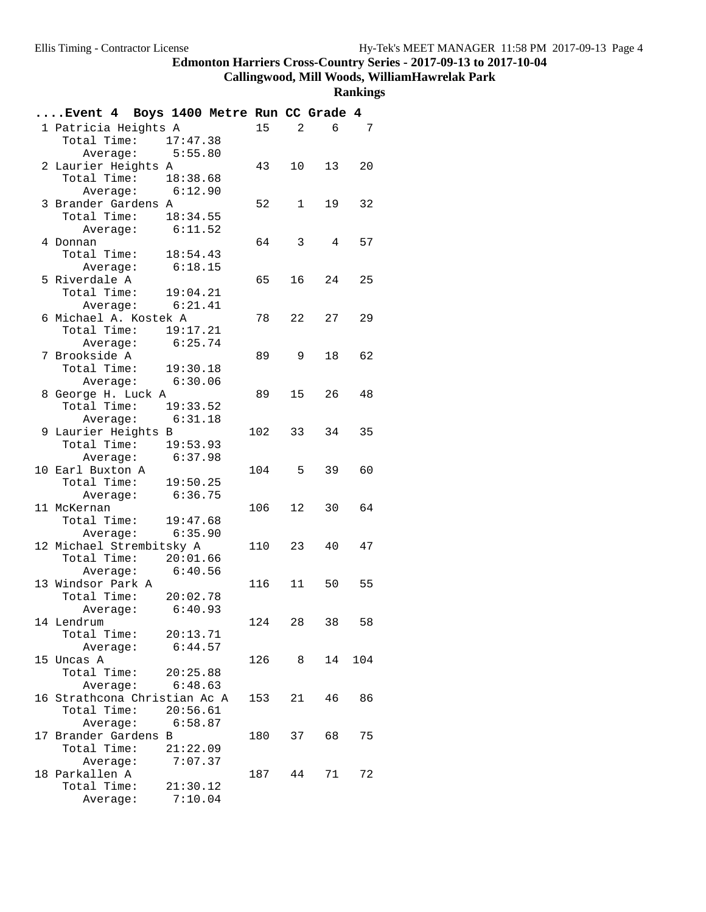#### **Callingwood, Mill Woods, WilliamHawrelak Park**

| Event 4 Boys 1400 Metre Run CC Grade 4      |          |        |                         |                 |     |
|---------------------------------------------|----------|--------|-------------------------|-----------------|-----|
| 1 Patricia Heights A                        |          | 15     |                         | 2<br>6          | 7   |
| Total Time: 17:47.38                        |          |        |                         |                 |     |
| Average: $5:55.80$                          |          |        |                         |                 |     |
| 2 Laurier Heights A                         |          | 43     |                         | 10<br>13        | 20  |
| Total Time: 18:38.68                        |          |        |                         |                 |     |
| Average: 6:12.90                            |          |        |                         |                 |     |
| 3 Brander Gardens A                         |          | 52     |                         | $1 \quad$<br>19 | 32  |
| Total Time: 18:34.55                        |          |        |                         |                 |     |
| ----<br>Average: 6:11.52                    |          |        |                         |                 |     |
| 4 Donnan                                    |          | 64     | $\overline{\mathbf{3}}$ | $\overline{4}$  | 57  |
| Total Time: $18:54.43$                      |          |        |                         |                 |     |
| Average: 6:18.15                            |          |        |                         |                 |     |
| 5 Riverdale A                               |          | 65 —   |                         | 16<br>24        | 25  |
| Total Time: 19:04.21                        |          |        |                         |                 |     |
| Average: $6:21.41$                          |          |        |                         |                 |     |
| 6 Michael A. Kostek A                       |          | 78     |                         | 22<br>27        | 29  |
| Total Time: 19:17.21                        |          |        |                         |                 |     |
| Average: 6:25.74                            |          |        |                         |                 |     |
| 7 Brookside A                               |          | 89     | 9                       | 18              | 62  |
| Total Time: 19:30.18<br>Average: $6:30.06$  |          |        |                         |                 |     |
|                                             |          |        |                         | 15<br>26        | 48  |
| 8 George H. Luck A<br>Total Time: 19:33.52  |          | 89 —   |                         |                 |     |
| Average: 6:31.18                            |          |        |                         |                 |     |
|                                             |          | 102    | 33                      | 34              | 35  |
| 9 Laurier Heights B<br>Total Time: 19:53.93 |          |        |                         |                 |     |
| Average: $6:37.98$                          |          |        |                         |                 |     |
| 10 Earl Buxton A                            |          | 104 5  |                         | 39              | 60  |
| Total Time: 19:50.25                        |          |        |                         |                 |     |
| Average: 6:36.75                            |          |        |                         |                 |     |
| 11 McKernan                                 |          | 106    | 12                      | 30              | 64  |
| Total Time: 19:47.68                        |          |        |                         |                 |     |
| Average: $6:35.90$                          |          |        |                         |                 |     |
| 12 Michael Strembitsky A                    |          | 110 23 |                         | 40              | 47  |
| Total Time: 20:01.66                        |          |        |                         |                 |     |
| Average: 6:40.56                            |          |        |                         |                 |     |
| 13 Windsor Park A                           |          | 116    | 11                      | 50              | 55  |
| Total Time: 20:02.78                        |          |        |                         |                 |     |
| Average: $6:40.93$                          |          |        |                         |                 |     |
| 14 Lendrum                                  |          | 124    | 28                      | 38              | 58  |
| Total Time:                                 | 20:13.71 |        |                         |                 |     |
| Average:                                    | 6:44.57  |        |                         |                 |     |
| 15 Uncas A                                  |          | 126 8  |                         | 14              | 104 |
| Total Time:                                 | 20:25.88 |        |                         |                 |     |
| Average:                                    | 6:48.63  |        |                         |                 |     |
| 16 Strathcona Christian Ac A<br>Total Time: | 20:56.61 | 153    | 21                      | 46              | 86  |
| Average: 6:58.87                            |          |        |                         |                 |     |
| 17 Brander Gardens B                        |          | 180    | 37                      | 68              | 75  |
| Total Time:                                 | 21:22.09 |        |                         |                 |     |
| Average:                                    | 7:07.37  |        |                         |                 |     |
| 18 Parkallen A                              |          | 187    | 44                      | 71              | 72  |
| Total Time:                                 | 21:30.12 |        |                         |                 |     |
| Average:                                    | 7:10.04  |        |                         |                 |     |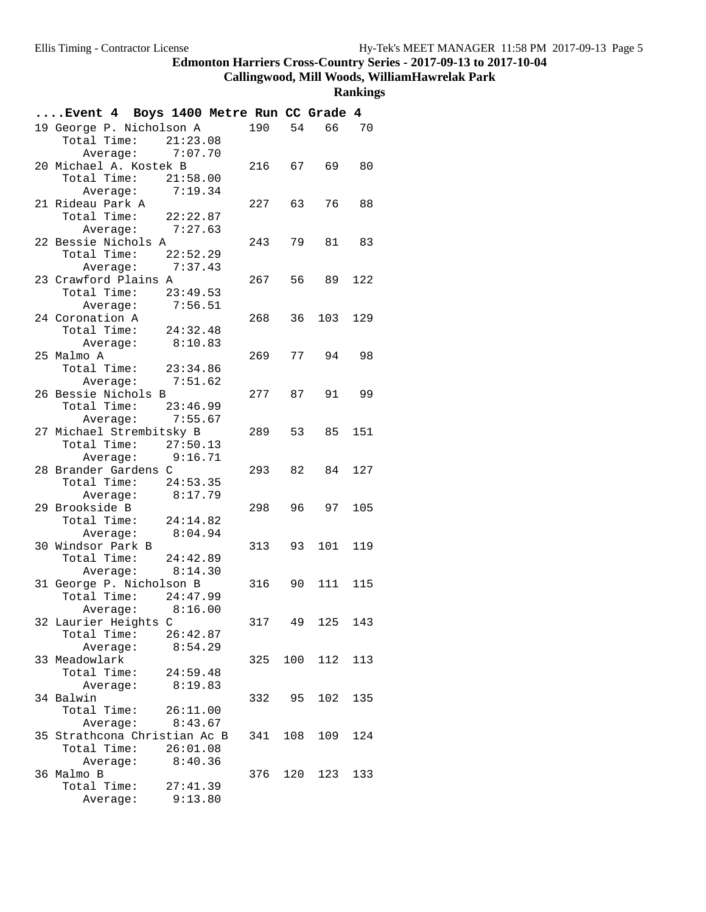#### **Callingwood, Mill Woods, WilliamHawrelak Park**

| Event 4 Boys 1400 Metre Run CC Grade 4 |          |          |                  |        |      |                |     |
|----------------------------------------|----------|----------|------------------|--------|------|----------------|-----|
| 19 George P. Nicholson A               |          |          |                  |        |      | 190 54 66 70   |     |
| Total Time: 21:23.08                   |          |          |                  |        |      |                |     |
|                                        |          |          | Average: 7:07.70 |        |      |                |     |
| 20 Michael A. Kostek B                 |          |          |                  |        |      | 216 67 69      | 80  |
| Total Time: 21:58.00                   |          |          |                  |        |      |                |     |
|                                        |          |          | Average: 7:19.34 |        |      |                |     |
| 21 Rideau Park A                       |          |          |                  | 227 63 |      | 76 —           | 88  |
| Total Time: 22:22.87                   |          |          |                  |        |      |                |     |
|                                        |          |          | Average: 7:27.63 |        |      |                |     |
| 22 Bessie Nichols A                    |          |          |                  | 243    |      | 79<br>81 83    |     |
| Total Time: $22:52.29$                 |          |          |                  |        |      |                |     |
|                                        |          |          | Average: 7:37.43 |        |      |                |     |
| 23 Crawford Plains A                   |          |          |                  |        |      | 267 56 89      | 122 |
| Total Time: 23:49.53                   |          |          |                  |        |      |                |     |
|                                        |          |          | Average: 7:56.51 |        |      |                |     |
| 24 Coronation A                        |          |          |                  | 268    | 36   | 103            | 129 |
| Total Time: $24:32.48$                 |          |          |                  |        |      |                |     |
|                                        |          |          | Average: 8:10.83 |        |      |                |     |
| 25 Malmo A                             |          |          |                  | 269    | 77   | 94             | 98  |
| Total Time: 23:34.86                   |          |          |                  |        |      |                |     |
|                                        |          |          | Average: 7:51.62 |        |      |                |     |
| 26 Bessie Nichols B                    |          |          |                  | 277 87 |      | 91             | 99  |
| Total Time: 23:46.99                   |          |          |                  |        |      |                |     |
|                                        |          |          | Average: 7:55.67 |        |      |                |     |
| 27 Michael Strembitsky B               |          |          |                  | 289 53 |      | 85             | 151 |
| Total Time: 27:50.13                   |          |          |                  |        |      |                |     |
|                                        |          |          | Average: 9:16.71 |        |      |                |     |
| 28 Brander Gardens C                   |          |          |                  | 293 82 |      | 84             | 127 |
| Total Time: 24:53.35                   |          |          |                  |        |      |                |     |
|                                        |          |          | Average: 8:17.79 |        |      |                |     |
| 29 Brookside B                         |          |          |                  | 298    | 96 — | 97             | 105 |
| Total Time: 24:14.82                   |          |          |                  |        |      |                |     |
|                                        |          |          | Average: 8:04.94 |        |      |                |     |
| 30 Windsor Park B                      |          |          |                  | 313    | 93   | 101            | 119 |
| Total Time: 24:42.89                   |          |          |                  |        |      |                |     |
|                                        | Average: |          | 8:14.30          |        |      |                |     |
| 31 George P. Nicholson B               |          |          |                  |        |      | 316 90 111 115 |     |
| Total Time: 24:47.99                   |          |          |                  |        |      |                |     |
|                                        |          |          | Average: 8:16.00 |        |      |                |     |
| 32 Laurier Heights C                   |          |          |                  | 317    | 49   | 125            | 143 |
| Total Time:                            |          |          | 26:42.87         |        |      |                |     |
|                                        |          | Average: | 8:54.29          |        |      |                |     |
| 33 Meadowlark                          |          |          |                  | 325    |      | 100 112        | 113 |
| Total Time:                            |          |          | 24:59.48         |        |      |                |     |
|                                        | Average: |          | 8:19.83          |        |      |                |     |
| 34 Balwin                              |          |          |                  | 332    | 95   | 102            | 135 |
| Total Time:                            |          |          | 26:11.00         |        |      |                |     |
|                                        |          |          | Average: 8:43.67 |        |      |                |     |
| 35 Strathcona Christian Ac B           |          |          |                  | 341    | 108  | 109            | 124 |
| Total Time: 26:01.08                   |          |          |                  |        |      |                |     |
|                                        | Average: |          | 8:40.36          |        |      |                |     |
| 36 Malmo B                             |          |          |                  | 376    |      | 120 123        | 133 |
| Total Time:                            |          |          | 27:41.39         |        |      |                |     |
|                                        | Average: |          | 9:13.80          |        |      |                |     |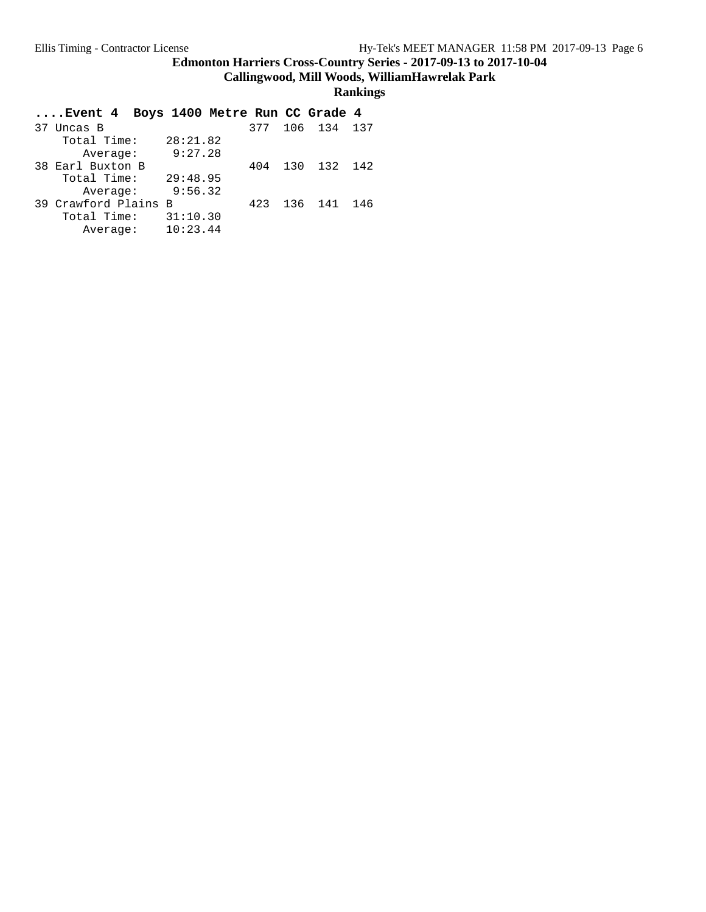**Callingwood, Mill Woods, WilliamHawrelak Park**

| Event 4 Boys 1400 Metre Run CC Grade 4 |          |                 |  |
|----------------------------------------|----------|-----------------|--|
| 37 Uncas B                             |          | 377 106 134 137 |  |
| Total Time:                            | 28:21.82 |                 |  |
| Average:                               | 9:27.28  |                 |  |
| 38 Earl Buxton B                       | 404      | 130 132 142     |  |
| Total Time:                            | 29:48.95 |                 |  |
| Average:                               | 9:56.32  |                 |  |
| 39 Crawford Plains B                   | 423      | 136 141 146     |  |
| Total Time:                            | 31:10.30 |                 |  |
| Average:                               | 10:23.44 |                 |  |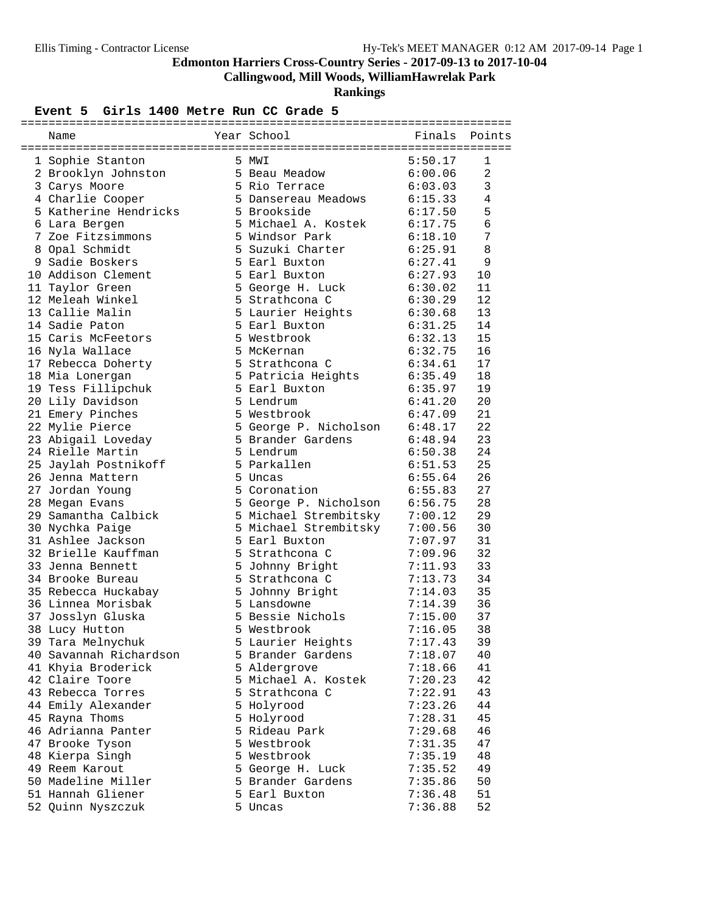**Callingwood, Mill Woods, WilliamHawrelak Park**

**Rankings**

#### Event 5 Girls 1400 Metre Run CC Grade 5

| Name                   | Year School                   |         | Finals Points |
|------------------------|-------------------------------|---------|---------------|
|                        |                               |         |               |
| 1 Sophie Stanton       | 5 MWI                         | 5:50.17 | 1             |
| 2 Brooklyn Johnston    | 5 Beau Meadow                 | 6:00.06 | 2             |
| 3 Carys Moore          | 5 Rio Terrace                 | 6:03.03 | $\mathbf{3}$  |
| 4 Charlie Cooper       | 5 Dansereau Meadows           | 6:15.33 | 4             |
| 5 Katherine Hendricks  | 5 Brookside                   | 6:17.50 | 5             |
| 6 Lara Bergen          | 5 Michael A. Kostek           | 6:17.75 | 6             |
| 7 Zoe Fitzsimmons      | 5 Windsor Park                | 6:18.10 | 7             |
| 8 Opal Schmidt         | 5 Suzuki Charter              | 6:25.91 | 8             |
| 9 Sadie Boskers        | 5 Earl Buxton                 | 6:27.41 | 9             |
| 10 Addison Clement     | 5 Earl Buxton                 | 6:27.93 | 10            |
| 11 Taylor Green        | 5 George H. Luck              | 6:30.02 | 11            |
| 12 Meleah Winkel       | 5 Strathcona C                | 6:30.29 | 12            |
| 13 Callie Malin        | 5 Laurier Heights             | 6:30.68 | 13            |
| 14 Sadie Paton         | 5 Earl Buxton                 | 6:31.25 | 14            |
| 15 Caris McFeetors     | 5 Westbrook                   | 6:32.13 | 15            |
| 16 Nyla Wallace        | 5 McKernan                    | 6:32.75 | 16            |
| 17 Rebecca Doherty     | 5 Strathcona C                | 6:34.61 | 17            |
| 18 Mia Lonergan        | 5 Patricia Heights            | 6:35.49 | 18            |
| 19 Tess Fillipchuk     | 5 Earl Buxton                 | 6:35.97 | 19            |
| 20 Lily Davidson       | 5 Lendrum                     | 6:41.20 | 20            |
| 21 Emery Pinches       | 5 Westbrook                   | 6:47.09 | 21            |
| 22 Mylie Pierce        | 5 George P. Nicholson 6:48.17 |         | 22            |
| 23 Abigail Loveday     | 5 Brander Gardens             | 6:48.94 | 23            |
| 24 Rielle Martin       | 5 Lendrum                     | 6:50.38 | 24            |
| 25 Jaylah Postnikoff   | 5 Parkallen                   | 6:51.53 | 25            |
| 26 Jenna Mattern       | 5 Uncas                       | 6:55.64 | 26            |
| 27 Jordan Young        | 5 Coronation                  | 6:55.83 | 27            |
| 28 Megan Evans         | 5 George P. Nicholson         | 6:56.75 | 28            |
| 29 Samantha Calbick    | 5 Michael Strembitsky         | 7:00.12 | 29            |
| 30 Nychka Paige        | 5 Michael Strembitsky         | 7:00.56 | 30            |
| 31 Ashlee Jackson      | 5 Earl Buxton                 | 7:07.97 | 31            |
| 32 Brielle Kauffman    | 5 Strathcona C                | 7:09.96 | 32            |
| 33 Jenna Bennett       | 5 Johnny Bright               | 7:11.93 | 33            |
| 34 Brooke Bureau       | 5 Strathcona C                | 7:13.73 | 34            |
| 35 Rebecca Huckabay    | 5 Johnny Bright               | 7:14.03 | 35            |
| 36 Linnea Morisbak     | 5 Lansdowne                   | 7:14.39 | 36            |
| 37 Josslyn Gluska      | 5 Bessie Nichols              | 7:15.00 | 37            |
| 38 Lucy Hutton         | 5 Westbrook                   | 7:16.05 | 38            |
| 39 Tara Melnychuk      | 5 Laurier Heights             | 7:17.43 | 39            |
| 40 Savannah Richardson | 5 Brander Gardens             | 7:18.07 | 40            |
| 41 Khyia Broderick     | 5 Aldergrove                  | 7:18.66 | 41            |
| 42 Claire Toore        | 5 Michael A. Kostek           | 7:20.23 | 42            |
| 43 Rebecca Torres      | 5 Strathcona C                | 7:22.91 | 43            |
| 44 Emily Alexander     | 5 Holyrood                    | 7:23.26 | 44            |
| 45 Rayna Thoms         | 5 Holyrood                    | 7:28.31 | 45            |
| 46 Adrianna Panter     | 5 Rideau Park                 | 7:29.68 | 46            |
| 47 Brooke Tyson        | 5 Westbrook                   | 7:31.35 | 47            |
| 48 Kierpa Singh        | 5 Westbrook                   | 7:35.19 | 48            |
| 49 Reem Karout         | 5 George H. Luck              | 7:35.52 | 49            |
| 50 Madeline Miller     | 5 Brander Gardens             | 7:35.86 | 50            |
| 51 Hannah Gliener      | 5 Earl Buxton                 | 7:36.48 | 51            |
| 52 Quinn Nyszczuk      | 5 Uncas                       | 7:36.88 | 52            |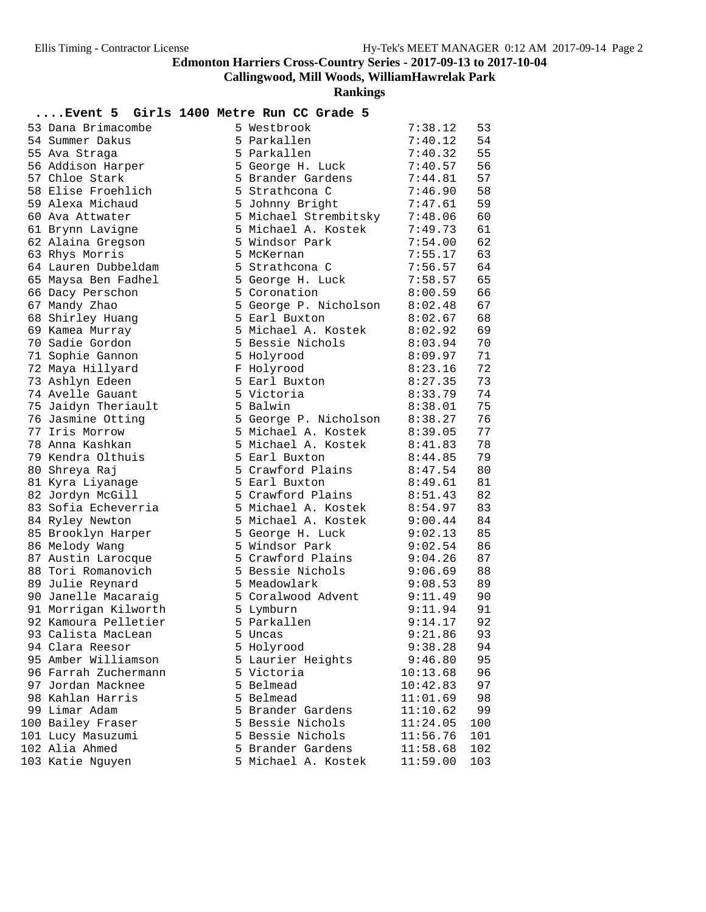**Callingwood, Mill Woods, WilliamHawrelak Park**

**Rankings**

#### **....Event 5 Girls 1400 Metre Run CC Grade 5**

|                      |  | - ----- -             |          |     |
|----------------------|--|-----------------------|----------|-----|
| 53 Dana Brimacombe   |  | 5 Westbrook           | 7:38.12  | 53  |
| 54 Summer Dakus      |  | 5 Parkallen           | 7:40.12  | 54  |
| 55 Ava Straga        |  | 5 Parkallen           | 7:40.32  | 55  |
| 56 Addison Harper    |  | 5 George H. Luck      | 7:40.57  | 56  |
| 57 Chloe Stark       |  | 5 Brander Gardens     | 7:44.81  | 57  |
| 58 Elise Froehlich   |  | 5 Strathcona C        | 7:46.90  | 58  |
| 59 Alexa Michaud     |  | 5 Johnny Bright       | 7:47.61  | 59  |
| 60 Ava Attwater      |  | 5 Michael Strembitsky | 7:48.06  | 60  |
| 61 Brynn Lavigne     |  | 5 Michael A. Kostek   | 7:49.73  | 61  |
| 62 Alaina Gregson    |  | 5 Windsor Park        | 7:54.00  | 62  |
| 63 Rhys Morris       |  | 5 McKernan            | 7:55.17  | 63  |
| 64 Lauren Dubbeldam  |  | 5 Strathcona C        | 7:56.57  | 64  |
| 65 Maysa Ben Fadhel  |  | 5 George H. Luck      | 7:58.57  | 65  |
| 66 Dacy Perschon     |  | 5 Coronation          | 8:00.59  | 66  |
| 67 Mandy Zhao        |  | 5 George P. Nicholson | 8:02.48  | 67  |
| 68 Shirley Huang     |  | 5 Earl Buxton         | 8:02.67  | 68  |
| 69 Kamea Murray      |  | 5 Michael A. Kostek   | 8:02.92  | 69  |
| 70 Sadie Gordon      |  | 5 Bessie Nichols      | 8:03.94  | 70  |
| 71 Sophie Gannon     |  | 5 Holyrood            | 8:09.97  | 71  |
| 72 Maya Hillyard     |  | F Holyrood            | 8:23.16  | 72  |
| 73 Ashlyn Edeen      |  | 5 Earl Buxton         | 8:27.35  | 73  |
| 74 Avelle Gauant     |  | 5 Victoria            | 8:33.79  | 74  |
| 75 Jaidyn Theriault  |  | 5 Balwin              | 8:38.01  | 75  |
| 76 Jasmine Otting    |  | 5 George P. Nicholson | 8:38.27  | 76  |
| 77 Iris Morrow       |  | 5 Michael A. Kostek   | 8:39.05  | 77  |
| 78 Anna Kashkan      |  | 5 Michael A. Kostek   | 8:41.83  | 78  |
| 79 Kendra Olthuis    |  | 5 Earl Buxton         | 8:44.85  | 79  |
| 80 Shreya Raj        |  | 5 Crawford Plains     | 8:47.54  | 80  |
| 81 Kyra Liyanage     |  | 5 Earl Buxton         | 8:49.61  | 81  |
| 82 Jordyn McGill     |  | 5 Crawford Plains     | 8:51.43  | 82  |
| 83 Sofia Echeverria  |  | 5 Michael A. Kostek   | 8:54.97  | 83  |
| 84 Ryley Newton      |  | 5 Michael A. Kostek   | 9:00.44  | 84  |
| 85 Brooklyn Harper   |  | 5 George H. Luck      | 9:02.13  | 85  |
| 86 Melody Wang       |  | 5 Windsor Park        | 9:02.54  | 86  |
| 87 Austin Larocque   |  | 5 Crawford Plains     | 9:04.26  | 87  |
| 88 Tori Romanovich   |  | 5 Bessie Nichols      | 9:06.69  | 88  |
| 89 Julie Reynard     |  | 5 Meadowlark          | 9:08.53  | 89  |
| 90 Janelle Macaraig  |  | 5 Coralwood Advent    | 9:11.49  | 90  |
| 91 Morrigan Kilworth |  | 5 Lymburn             | 9:11.94  | 91  |
| 92 Kamoura Pelletier |  | 5 Parkallen           | 9:14.17  | 92  |
| 93 Calista MacLean   |  | Uncas                 | 9:21.86  | 93  |
| 94 Clara Reesor      |  | 5 Holyrood            | 9:38.28  | 94  |
| 95 Amber Williamson  |  | 5 Laurier Heights     | 9:46.80  | 95  |
| 96 Farrah Zuchermann |  | 5 Victoria            | 10:13.68 | 96  |
| 97 Jordan Macknee    |  | 5 Belmead             | 10:42.83 | 97  |
| 98 Kahlan Harris     |  | 5 Belmead             | 11:01.69 | 98  |
| 99 Limar Adam        |  | 5 Brander Gardens     | 11:10.62 | 99  |
| 100 Bailey Fraser    |  | 5 Bessie Nichols      | 11:24.05 | 100 |
| 101 Lucy Masuzumi    |  | 5 Bessie Nichols      | 11:56.76 | 101 |
| 102 Alia Ahmed       |  | 5 Brander Gardens     | 11:58.68 | 102 |
| 103 Katie Nguyen     |  | 5 Michael A. Kostek   | 11:59.00 | 103 |
|                      |  |                       |          |     |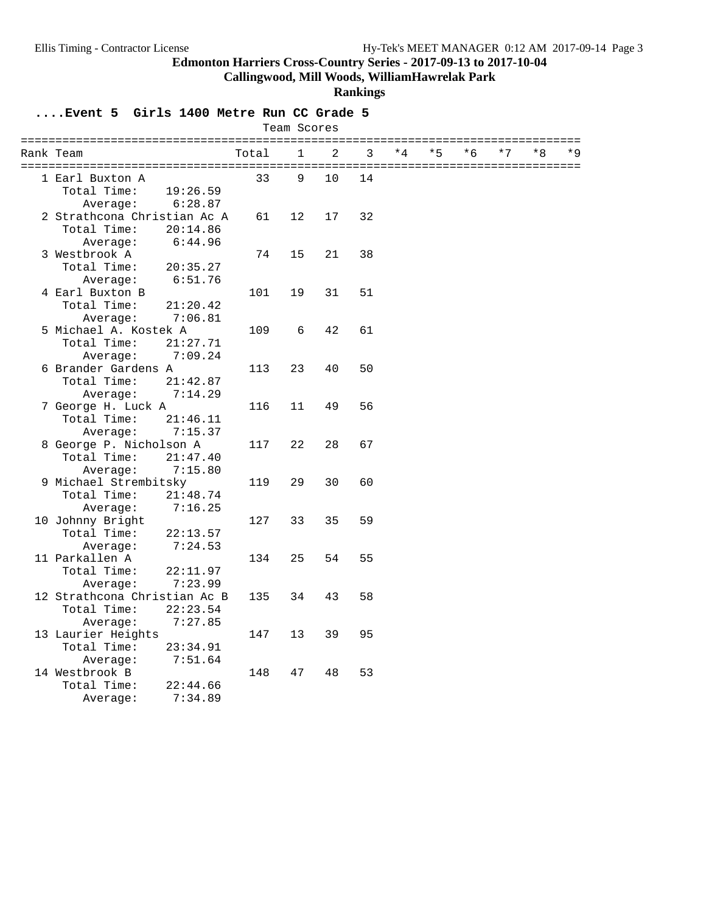**Callingwood, Mill Woods, WilliamHawrelak Park**

#### **Rankings**

**....Event 5 Girls 1400 Metre Run CC Grade 5**

| Team Scores |                              |       |              |                |    |      |      |      |      |    |       |
|-------------|------------------------------|-------|--------------|----------------|----|------|------|------|------|----|-------|
|             | Rank Team                    | Total | $\mathbf{1}$ | $\overline{2}$ | 3  | $*4$ | $*5$ | $*6$ | $*7$ | *8 | $*$ 9 |
|             | 1 Earl Buxton A              | 33    | 9            | 10             | 14 |      |      |      |      |    |       |
|             | Total Time:<br>19:26.59      |       |              |                |    |      |      |      |      |    |       |
|             | 6:28.87<br>Average:          |       |              |                |    |      |      |      |      |    |       |
|             | 2 Strathcona Christian Ac A  | 61    | 12           | 17             | 32 |      |      |      |      |    |       |
|             | Total Time:<br>20:14.86      |       |              |                |    |      |      |      |      |    |       |
|             | 6:44.96<br>Average:          |       |              |                |    |      |      |      |      |    |       |
|             | 3 Westbrook A                | 74    | 15           | 21             | 38 |      |      |      |      |    |       |
|             | Total Time:<br>20:35.27      |       |              |                |    |      |      |      |      |    |       |
|             | Average:<br>6:51.76          |       |              |                |    |      |      |      |      |    |       |
|             | 4 Earl Buxton B              | 101   | 19           | 31             | 51 |      |      |      |      |    |       |
|             | Total Time:<br>21:20.42      |       |              |                |    |      |      |      |      |    |       |
|             | 7:06.81<br>Average:          |       |              |                |    |      |      |      |      |    |       |
|             | 5 Michael A. Kostek A        | 109   | 6            | 42             | 61 |      |      |      |      |    |       |
|             | Total Time:<br>21:27.71      |       |              |                |    |      |      |      |      |    |       |
|             | Average:<br>7:09.24          |       |              |                |    |      |      |      |      |    |       |
|             | 6 Brander Gardens A          | 113   | 23           | 40             | 50 |      |      |      |      |    |       |
|             | Total Time:<br>21:42.87      |       |              |                |    |      |      |      |      |    |       |
|             | 7:14.29<br>Average:          |       |              |                |    |      |      |      |      |    |       |
|             | 7 George H. Luck A           | 116   | 11           | 49             | 56 |      |      |      |      |    |       |
|             | Total Time:<br>21:46.11      |       |              |                |    |      |      |      |      |    |       |
|             | Average:<br>7:15.37          |       |              |                |    |      |      |      |      |    |       |
|             | 8 George P. Nicholson A      | 117   | 22           | 28             | 67 |      |      |      |      |    |       |
|             | Total Time:<br>21:47.40      |       |              |                |    |      |      |      |      |    |       |
|             | 7:15.80<br>Average:          |       |              |                |    |      |      |      |      |    |       |
|             | 9 Michael Strembitsky        | 119   | 29           | 30             | 60 |      |      |      |      |    |       |
|             | Total Time:<br>21:48.74      |       |              |                |    |      |      |      |      |    |       |
|             | Average:<br>7:16.25          |       |              |                |    |      |      |      |      |    |       |
|             | 10 Johnny Bright             | 127   | 33           | 35             | 59 |      |      |      |      |    |       |
|             | Total Time:<br>22:13.57      |       |              |                |    |      |      |      |      |    |       |
|             | 7:24.53<br>Average:          |       |              |                |    |      |      |      |      |    |       |
|             | 11 Parkallen A               | 134   | 25           | 54             | 55 |      |      |      |      |    |       |
|             | Total Time:<br>22:11.97      |       |              |                |    |      |      |      |      |    |       |
|             | Average:<br>7:23.99          |       |              |                |    |      |      |      |      |    |       |
|             | 12 Strathcona Christian Ac B | 135   | 34           | 43             | 58 |      |      |      |      |    |       |
|             | Total Time:<br>22:23.54      |       |              |                |    |      |      |      |      |    |       |
|             | Average:<br>7:27.85          |       |              |                |    |      |      |      |      |    |       |
|             | 13 Laurier Heights           | 147   | 13           | 39             | 95 |      |      |      |      |    |       |
|             | Total Time:<br>23:34.91      |       |              |                |    |      |      |      |      |    |       |
|             | 7:51.64<br>Average:          |       |              |                |    |      |      |      |      |    |       |
|             | 14 Westbrook B               | 148   | 47           | 48             | 53 |      |      |      |      |    |       |
|             | Total Time:<br>22:44.66      |       |              |                |    |      |      |      |      |    |       |
|             | 7:34.89<br>Average:          |       |              |                |    |      |      |      |      |    |       |
|             |                              |       |              |                |    |      |      |      |      |    |       |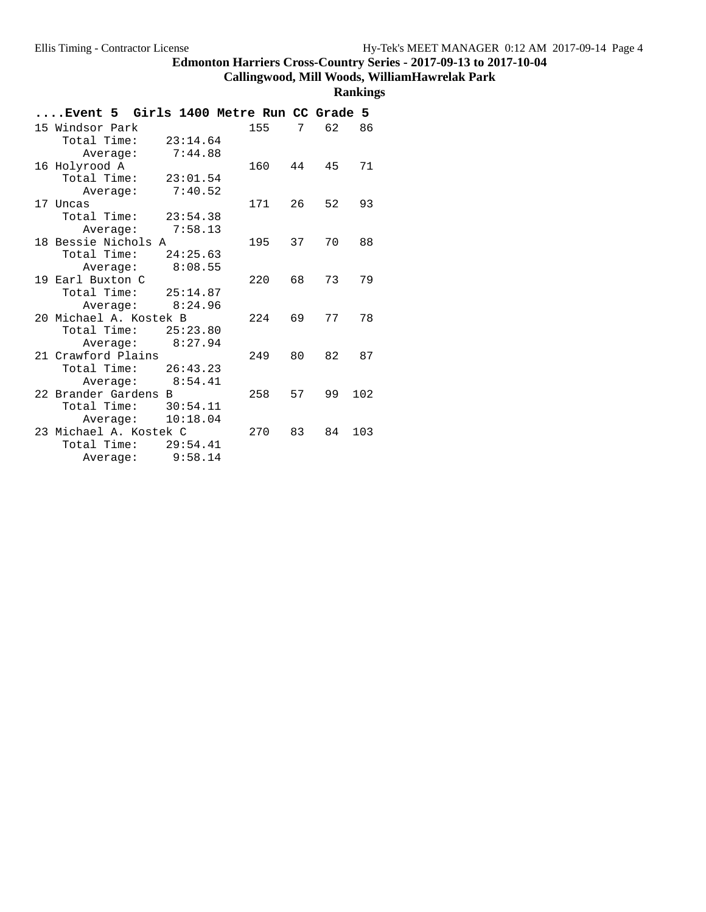# **Callingwood, Mill Woods, WilliamHawrelak Park**

| Event 5  Girls 1400 Metre Run CC Grade 5       |     |    |    |     |
|------------------------------------------------|-----|----|----|-----|
| 15 Windsor Park                                | 155 | 7  | 62 | 86  |
| Total Time:<br>23:14.64                        |     |    |    |     |
| 7:44.88<br>Average:                            |     |    |    |     |
| 16 Holyrood A                                  | 160 | 44 | 45 | 71  |
| Total Time:<br>23:01.54                        |     |    |    |     |
| 7:40.52<br>Average:                            |     |    |    |     |
| 17 Uncas                                       | 171 | 26 | 52 | 93  |
| Total Time:<br>23:54.38                        |     |    |    |     |
| Average: 7:58.13                               |     |    |    |     |
| 18 Bessie Nichols A                            | 195 | 37 | 70 | 88  |
| Total Time:<br>24:25.63                        |     |    |    |     |
| 8:08.55<br>Average:                            |     |    |    |     |
| 19 Earl Buxton C                               | 220 | 68 | 73 | 79  |
| Total Time: $25:14.87$                         |     |    |    |     |
| 8:24.96<br>Average:                            |     |    |    |     |
| 20 Michael A. Kostek B                         | 224 | 69 | 77 | 78  |
| Total Time: 25:23.80                           |     |    |    |     |
| 8:27.94<br>Average:                            |     |    |    |     |
| 21 Crawford Plains                             | 249 | 80 | 82 | 87  |
| 26:43.23<br>Total Time:                        |     |    |    |     |
| Average: 8:54.41                               |     |    |    |     |
| 22 Brander Gardens B                           | 258 | 57 | 99 | 102 |
| Total Time: 30:54.11                           |     |    |    |     |
| 10:18.04<br>Average:<br>23 Michael A. Kostek C | 270 | 83 |    | 103 |
| Total Time:<br>29:54.41                        |     |    | 84 |     |
| 9:58.14                                        |     |    |    |     |
| Average:                                       |     |    |    |     |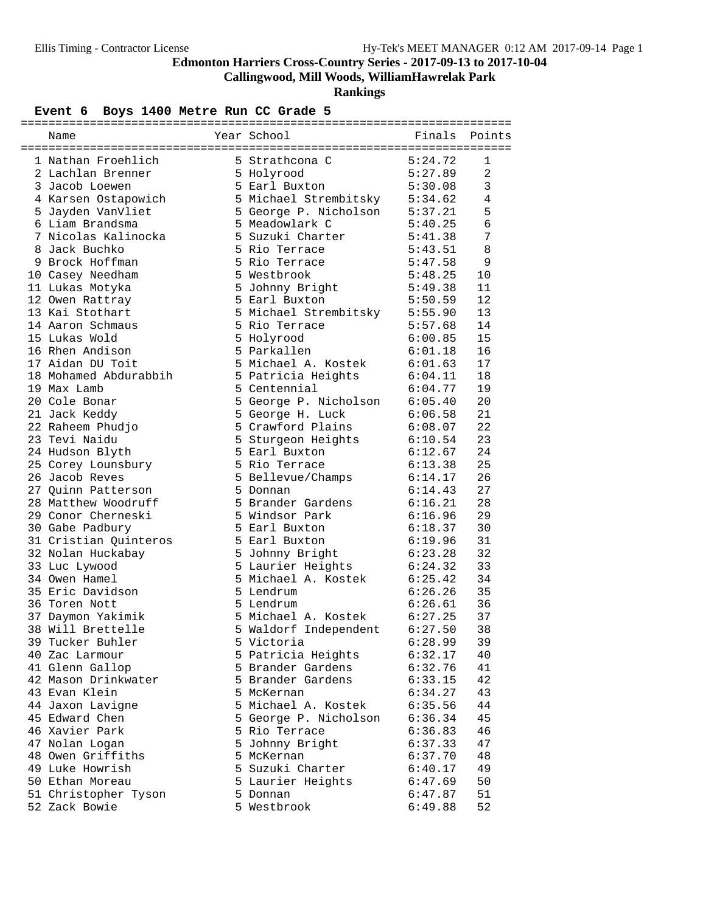**Callingwood, Mill Woods, WilliamHawrelak Park**

**Rankings**

# Event 6 Boys 1400 Metre Run CC Grade 5

| 1 Nathan Froehlich                       | 5 Strathcona C 5:24.72                            |                        | 1            |
|------------------------------------------|---------------------------------------------------|------------------------|--------------|
| 2 Lachlan Brenner                        | 5 Holyrood                                        |                        | 2            |
| 3 Jacob Loewen                           | 5 Earl Buxton                                     | $5:27.89$<br>$5:30.09$ | $\mathbf{3}$ |
| 4 Karsen Ostapowich                      | 5 Michael Strembitsky 5:34.62                     |                        | 4            |
| 5 Jayden VanVliet                        | 5 George P. Nicholson 5:37.21                     |                        | 5            |
| 6 Liam Brandsma                          | 5 Meadowlark C                                    | 5:40.25                | 6            |
| 7 Nicolas Kalinocka                      | 5 Suzuki Charter 5:41.38                          |                        | 7            |
| 8 Jack Buchko                            | 5 Rio Terrace                                     | 5:43.51                | 8            |
| 9 Brock Hoffman                          | 5 Rio Terrace                                     | 5:47.58                | 9            |
| 10 Casey Needham                         | 5 Westbrook                                       | 5:48.25                | 10           |
| 11 Lukas Motyka                          | 5 Johnny Bright 5:49.38                           |                        | 11           |
| 12 Owen Rattray                          | 5 Earl Buxton                                     | 5:50.59                | 12           |
| 13 Kai Stothart                          | 5 Michael Strembitsky 5:55.90                     |                        | 13           |
| 14 Aaron Schmaus                         | 5 Rio Terrace                                     |                        | 14           |
| 15 Lukas Wold                            | 5 Holyrood                                        | 5:57.68<br>6:00.85     | 15           |
| 16 Rhen Andison                          | 5 Parkallen                                       | 6:01.18                | 16           |
| 17 Aidan DU Toit                         | 5 Michael A. Kostek 6:01.63                       |                        | 17           |
| 18 Mohamed Abdurabbih                    | 5 Patricia Heights                                | 6:04.11                | 18           |
| 19 Max Lamb                              | 5 Centennial                                      | 6:04.77                | 19           |
| 20 Cole Bonar                            |                                                   |                        | 20           |
| 21 Jack Keddy                            | 5 George P. Nicholson 6:05.40<br>5 George H. Luck | 6:06.58                | 21           |
| 22 Raheem Phudjo                         | 5 Crawford Plains 6:08.07                         |                        | 22           |
| 23 Tevi Naidu                            | 5 Sturgeon Heights 6:10.54                        |                        | 23           |
| 24 Hudson Blyth                          | 5 Earl Buxton 6:12.67                             |                        | 24           |
| 25 Corey Lounsbury                       | 5 Rio Terrace                                     | 6:13.38                | 25           |
| 26 Jacob Reves                           |                                                   |                        | 26           |
| 27 Quinn Patterson                       | 5 Bellevue/Champs 6:14.17<br>5 Donnan             | 6:14.43                | 27           |
| 28 Matthew Woodruff                      | 5 Brander Gardens                                 | 6:16.21                | 28           |
| 29 Conor Cherneski                       | 5 Windsor Park                                    | 6:16.96                | 29           |
|                                          | 5 Earl Buxton                                     |                        | 30           |
| 30 Gabe Padbury<br>31 Cristian Quinteros | 5 Earl Buxton                                     | 6:18.37<br>6:19.96     | 31           |
|                                          |                                                   |                        | 32           |
| 32 Nolan Huckabay                        | 5 Johnny Bright                                   | 6:23.28                |              |
| 33 Luc Lywood                            | 5 Laurier Heights                                 | 6:24.32                | 33           |
| 34 Owen Hamel                            | 5 Michael A. Kostek 6:25.42                       | 6:26.26                | 34           |
| 35 Eric Davidson                         | 5 Lendrum                                         |                        | 35           |
| 36 Toren Nott                            | 5 Lendrum                                         | 6:26.61                | 36           |
| 37 Daymon Yakimik                        | 5 Michael A. Kostek                               | 6:27.25                | 37           |
| 38 Will Brettelle                        | 5 Waldorf Independent                             | 6:27.50                | 38           |
| 39 Tucker Buhler                         | 5 Victoria                                        | 6:28.99                | 39           |
| 40 Zac Larmour                           | 5 Patricia Heights                                | 6:32.17                | 40           |
| 41 Glenn Gallop                          | 5 Brander Gardens                                 | 6:32.76                | 41           |
| 42 Mason Drinkwater                      | 5 Brander Gardens                                 | 6:33.15                | 42           |
| 43 Evan Klein                            | 5 McKernan                                        | 6:34.27                | 43           |
| 44 Jaxon Lavigne                         | 5 Michael A. Kostek                               | 6:35.56                | 44           |
| 45 Edward Chen                           | 5 George P. Nicholson                             | 6:36.34                | 45           |
| 46 Xavier Park                           | 5 Rio Terrace                                     | 6:36.83                | 46           |
| 47 Nolan Logan                           | 5 Johnny Bright                                   | 6:37.33                | 47           |
| 48 Owen Griffiths                        | 5 McKernan                                        | 6:37.70                | 48           |
| 49 Luke Howrish                          | 5 Suzuki Charter                                  | 6:40.17                | 49           |
| 50 Ethan Moreau                          | 5 Laurier Heights                                 | 6:47.69                | 50           |
| 51 Christopher Tyson                     | 5 Donnan                                          | 6:47.87                | 51           |
| 52 Zack Bowie                            | 5 Westbrook                                       | 6:49.88                | 52           |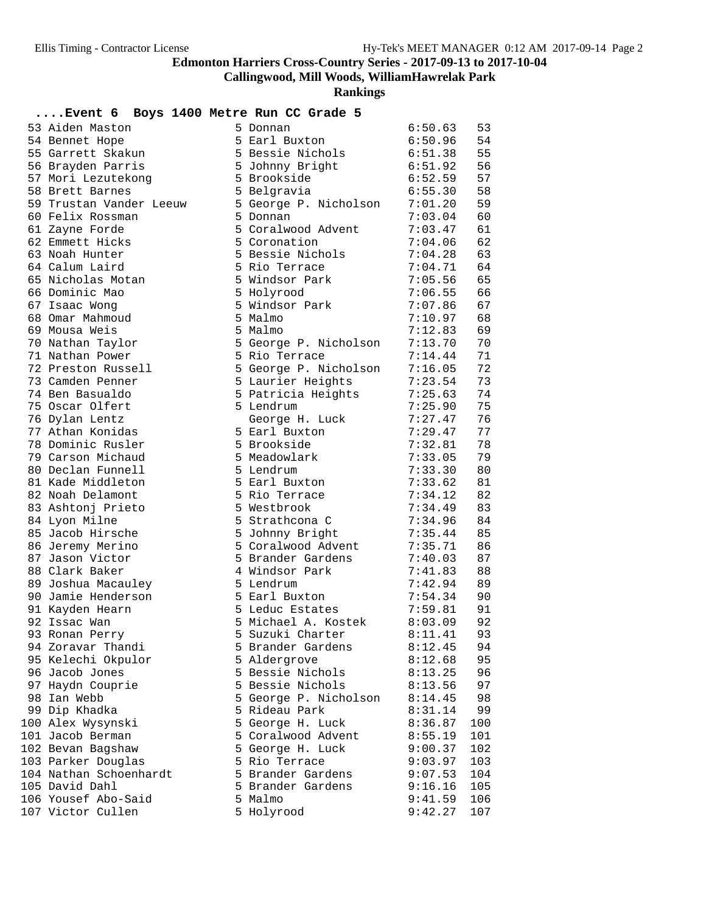**Callingwood, Mill Woods, WilliamHawrelak Park**

| Event 6 Boys 1400 Metre Run CC Grade 5 |                       |         |     |
|----------------------------------------|-----------------------|---------|-----|
| 53 Aiden Maston                        | 5 Donnan              | 6:50.63 | 53  |
| 54 Bennet Hope                         | 5 Earl Buxton         | 6:50.96 | 54  |
| 55 Garrett Skakun                      | 5 Bessie Nichols      | 6:51.38 | 55  |
| 56 Brayden Parris                      | 5 Johnny Bright       | 6:51.92 | 56  |
| 57 Mori Lezutekong                     | 5 Brookside           | 6:52.59 | 57  |
| 58 Brett Barnes                        | 5 Belgravia           | 6:55.30 | 58  |
| 59 Trustan Vander Leeuw                | 5 George P. Nicholson | 7:01.20 | 59  |
| 60 Felix Rossman                       | 5 Donnan              | 7:03.04 | 60  |
| 61 Zayne Forde                         | 5 Coralwood Advent    | 7:03.47 | 61  |
| 62 Emmett Hicks                        | 5 Coronation          | 7:04.06 | 62  |
| 63 Noah Hunter                         | 5 Bessie Nichols      | 7:04.28 | 63  |
| 64 Calum Laird                         | 5 Rio Terrace         | 7:04.71 | 64  |
| 65 Nicholas Motan                      | 5 Windsor Park        | 7:05.56 | 65  |
| 66 Dominic Mao                         | 5 Holyrood            | 7:06.55 | 66  |
| 67 Isaac Wong                          | 5 Windsor Park        | 7:07.86 | 67  |
| 68 Omar Mahmoud                        | 5 Malmo               | 7:10.97 | 68  |
| 69 Mousa Weis                          | 5 Malmo               | 7:12.83 | 69  |
| 70 Nathan Taylor                       | 5 George P. Nicholson | 7:13.70 | 70  |
| 71 Nathan Power                        | 5 Rio Terrace         | 7:14.44 | 71  |
| 72 Preston Russell                     | 5 George P. Nicholson | 7:16.05 | 72  |
| 73 Camden Penner                       | 5 Laurier Heights     | 7:23.54 | 73  |
| 74 Ben Basualdo                        | 5 Patricia Heights    | 7:25.63 | 74  |
| 75 Oscar Olfert                        | 5 Lendrum             | 7:25.90 | 75  |
| 76 Dylan Lentz                         | George H. Luck        | 7:27.47 | 76  |
| 77 Athan Konidas                       | 5 Earl Buxton         | 7:29.47 | 77  |
| 78 Dominic Rusler                      | 5 Brookside           | 7:32.81 | 78  |
| 79 Carson Michaud                      | 5 Meadowlark          | 7:33.05 | 79  |
| 80 Declan Funnell                      | 5 Lendrum             | 7:33.30 | 80  |
| 81 Kade Middleton                      | 5 Earl Buxton         | 7:33.62 | 81  |
| 82 Noah Delamont                       | 5 Rio Terrace         | 7:34.12 | 82  |
| 83 Ashtonj Prieto                      | 5 Westbrook           | 7:34.49 | 83  |
| 84 Lyon Milne                          | 5 Strathcona C        | 7:34.96 | 84  |
| 85 Jacob Hirsche                       | 5 Johnny Bright       | 7:35.44 | 85  |
| 86 Jeremy Merino                       | 5 Coralwood Advent    | 7:35.71 | 86  |
| 87 Jason Victor                        | 5 Brander Gardens     | 7:40.03 | 87  |
| 88 Clark Baker                         | 4 Windsor Park        | 7:41.83 | 88  |
| 89 Joshua Macauley                     | 5 Lendrum             | 7:42.94 | 89  |
| 90 Jamie Henderson                     | 5 Earl Buxton         | 7:54.34 | 90  |
| 91 Kayden Hearn                        | 5 Leduc Estates       | 7:59.81 | 91  |
| 92 Issac Wan                           | 5 Michael A. Kostek   | 8:03.09 | 92  |
| 93 Ronan Perry                         | 5 Suzuki Charter      | 8:11.41 | 93  |
| 94 Zoravar Thandi                      | 5 Brander Gardens     | 8:12.45 | 94  |
| 95 Kelechi Okpulor                     | 5 Aldergrove          | 8:12.68 | 95  |
| 96 Jacob Jones                         | 5 Bessie Nichols      | 8:13.25 | 96  |
| 97 Haydn Couprie                       | 5 Bessie Nichols      | 8:13.56 | 97  |
| 98 Ian Webb                            | 5 George P. Nicholson | 8:14.45 | 98  |
| 99 Dip Khadka                          | 5 Rideau Park         | 8:31.14 | 99  |
| 100 Alex Wysynski                      | 5 George H. Luck      | 8:36.87 | 100 |
| 101 Jacob Berman                       | 5 Coralwood Advent    | 8:55.19 | 101 |
| 102 Bevan Bagshaw                      | 5 George H. Luck      | 9:00.37 | 102 |
| 103 Parker Douglas                     | 5 Rio Terrace         | 9:03.97 | 103 |
| 104 Nathan Schoenhardt                 | 5 Brander Gardens     | 9:07.53 | 104 |
| 105 David Dahl                         | 5 Brander Gardens     | 9:16.16 | 105 |
| 106 Yousef Abo-Said                    | 5 Malmo               | 9:41.59 | 106 |
| 107 Victor Cullen                      | 5 Holyrood            | 9:42.27 | 107 |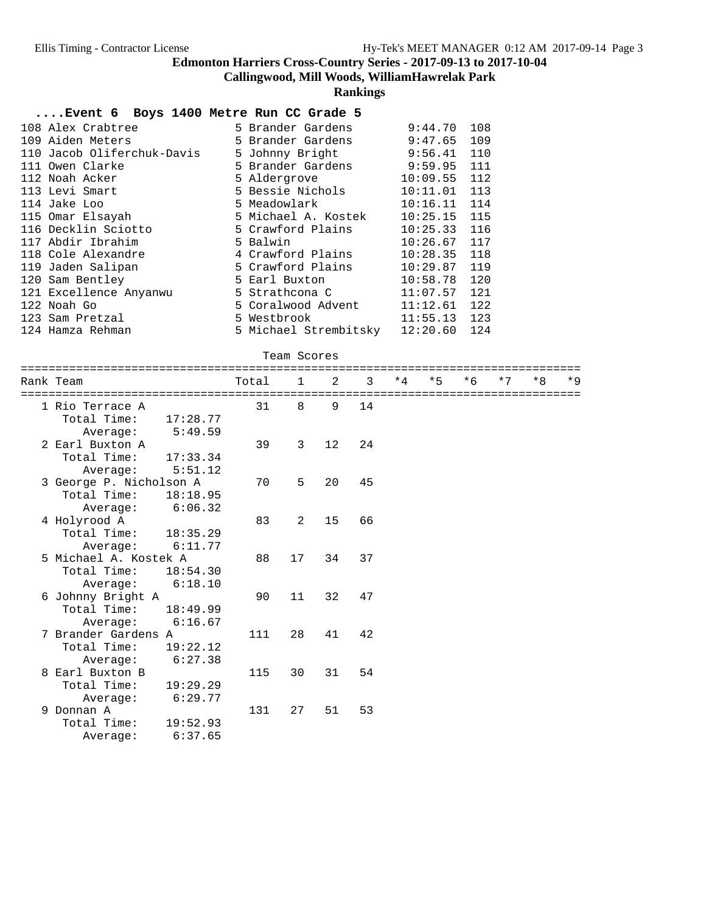**Callingwood, Mill Woods, WilliamHawrelak Park**

**Rankings**

#### **....Event 6 Boys 1400 Metre Run CC Grade 5**

| 108 Alex Crabtree          | 5 Brander Gardens              | 9:44.70        | 108 |
|----------------------------|--------------------------------|----------------|-----|
| 109 Aiden Meters           | 5 Brander Gardens              | 9:47.65        | 109 |
| 110 Jacob Oliferchuk-Davis | 5 Johnny Bright                | 9:56.41        | 110 |
| 111 Owen Clarke            | 5 Brander Gardens              | 9:59.95        | 111 |
| 112 Noah Acker             | 5 Aldergrove                   | 10:09.55       | 112 |
| 113 Levi Smart             | 5 Bessie Nichols               | 10:11.01       | 113 |
| 114 Jake Loo               | 5 Meadowlark <i>Meadowlark</i> | 10:16.11       | 114 |
| 115 Omar Elsayah           | 5 Michael A. Kostek            | 10:25.15       | 115 |
| 116 Decklin Sciotto        | 5 Crawford Plains              | $10:25.33$ 116 |     |
| 117 Abdir Ibrahim          | 5 Balwin                       | 10:26.67       | 117 |
| 118 Cole Alexandre         | 4 Crawford Plains              | 10:28.35       | 118 |
| 119 Jaden Salipan          | 5 Crawford Plains              | 10:29.87       | 119 |
| 120 Sam Bentley            | 5 Earl Buxton                  | 10:58.78       | 120 |
| 121 Excellence Anyanwu     | 5 Strathcona C                 | 11:07.57       | 121 |
| 122 Noah Go                | 5 Coralwood Advent             | 11:12.61       | 122 |
| 123 Sam Pretzal            | 5 Westbrook                    | 11:55.13       | 123 |
| 124 Hamza Rehman           | 5 Michael Strembitsky 12:20.60 |                | 124 |

#### Team Scores

| =======<br>Rank Team    | Total | $\overline{1}$ | $\mathfrak{D}$ | 3   | $*4$ | $*5$ | $*6$ | $*7$ | $*8$ | $*9$ |
|-------------------------|-------|----------------|----------------|-----|------|------|------|------|------|------|
| 1 Rio Terrace A         | 31    | 8              | 9              | 14  |      |      |      |      |      |      |
| Total Time:<br>17:28.77 |       |                |                |     |      |      |      |      |      |      |
| 5:49.59<br>Average:     |       |                |                |     |      |      |      |      |      |      |
| 2 Earl Buxton A         | 39    | 3              | 12             | 2.4 |      |      |      |      |      |      |
| Total Time:<br>17:33.34 |       |                |                |     |      |      |      |      |      |      |
| 5:51.12<br>Average:     |       |                |                |     |      |      |      |      |      |      |
| 3 George P. Nicholson A | 70    | 5              | 20             | 45  |      |      |      |      |      |      |
| Total Time:<br>18:18.95 |       |                |                |     |      |      |      |      |      |      |
| 6:06.32<br>Average:     |       |                |                |     |      |      |      |      |      |      |
| 4 Holyrood A            | 83    | 2              | 15             | 66  |      |      |      |      |      |      |
| Total Time:<br>18:35.29 |       |                |                |     |      |      |      |      |      |      |
| 6:11.77<br>Average:     |       |                |                |     |      |      |      |      |      |      |
| 5 Michael A. Kostek A   | 88    | 17             | 34             | 37  |      |      |      |      |      |      |
| Total Time:<br>18:54.30 |       |                |                |     |      |      |      |      |      |      |
| Average: 6:18.10        |       |                |                |     |      |      |      |      |      |      |
| 6 Johnny Bright A       | 90    | 11             | 32             | 47  |      |      |      |      |      |      |
| Total Time:<br>18:49.99 |       |                |                |     |      |      |      |      |      |      |
| 6:16.67<br>Average:     |       |                |                |     |      |      |      |      |      |      |
| 7 Brander Gardens A     | 111   | 28             | 41             | 42  |      |      |      |      |      |      |
| Total Time:<br>19:22.12 |       |                |                |     |      |      |      |      |      |      |
| 6:27.38<br>Average:     |       |                |                |     |      |      |      |      |      |      |
| 8 Earl Buxton B         | 115   | 30             | 31             | 54  |      |      |      |      |      |      |
| Total Time:<br>19:29.29 |       |                |                |     |      |      |      |      |      |      |
| 6:29.77<br>Average:     |       |                |                |     |      |      |      |      |      |      |
| 9 Donnan A              | 131   | 27             | 51             | 53  |      |      |      |      |      |      |
| Total Time:<br>19:52.93 |       |                |                |     |      |      |      |      |      |      |
| 6:37.65<br>Average:     |       |                |                |     |      |      |      |      |      |      |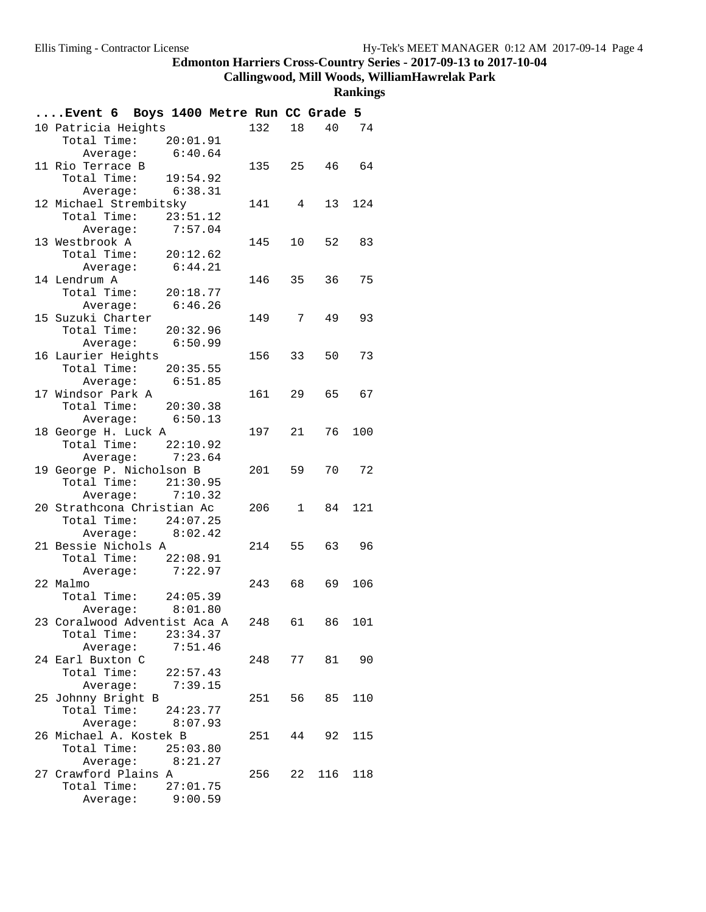**Callingwood, Mill Woods, WilliamHawrelak Park**

| Event 6 Boys 1400 Metre Run CC Grade 5     |                    |          |        |    |              |     |
|--------------------------------------------|--------------------|----------|--------|----|--------------|-----|
| 10 Patricia Heights                        |                    |          | 132    |    | 18<br>40 74  |     |
| Total Time: 20:01.91                       |                    |          |        |    |              |     |
|                                            | Average: $6:40.64$ |          |        |    |              |     |
| 11 Rio Terrace B                           |                    |          | 135 25 |    | 46 64        |     |
| Total Time: 19:54.92                       |                    |          |        |    |              |     |
|                                            | Average: 6:38.31   |          |        |    |              |     |
| 12 Michael Strembitsky                     |                    |          | 141 4  |    | 13 124       |     |
| Total Time: 23:51.12                       |                    |          |        |    |              |     |
|                                            | Average: 7:57.04   |          |        |    |              |     |
| 13 Westbrook A                             |                    |          | 145    |    | 10<br>52 83  |     |
| Total Time: $20:12.62$                     |                    |          |        |    |              |     |
|                                            | Average: 6:44.21   |          |        |    |              |     |
| 14 Lendrum A                               |                    |          | 146 35 |    | 36           | 75  |
| Total Time: 20:18.77                       |                    |          |        |    |              |     |
|                                            | Average: 6:46.26   |          |        |    |              |     |
| 15 Suzuki Charter                          |                    |          | 149 7  |    | 49           | 93  |
| Total Time: 20:32.96                       |                    |          |        |    |              |     |
|                                            | Average: 6:50.99   |          |        |    |              |     |
| 16 Laurier Heights<br>Total Time: 20:35.55 |                    |          | 156 33 |    | 50           | 73  |
|                                            | Average: $6:51.85$ |          |        |    |              |     |
| 17 Windsor Park A                          |                    |          | 161 29 |    | 65 67        |     |
| Total Time: 20:30.38                       |                    |          |        |    |              |     |
|                                            | Average: 6:50.13   |          |        |    |              |     |
| 18 George H. Luck A                        |                    |          | 197 21 |    | 76           | 100 |
| Total Time: 22:10.92                       |                    |          |        |    |              |     |
|                                            | Average: $7:23.64$ |          |        |    |              |     |
| 19 George P. Nicholson B                   |                    |          | 201 59 |    | 70           | 72  |
| Total Time: 21:30.95                       |                    |          |        |    |              |     |
|                                            | Average: 7:10.32   |          |        |    |              |     |
| 20 Strathcona Christian Ac                 |                    |          | 206 1  |    | 84 121       |     |
| Total Time: 24:07.25                       |                    |          |        |    |              |     |
|                                            | Average: $8:02.42$ |          |        |    |              |     |
| 21 Bessie Nichols A                        |                    |          |        |    | 214 55 63 96 |     |
| Total Time: 22:08.91                       |                    |          |        |    |              |     |
|                                            | Average: 7:22.97   |          |        |    |              |     |
| 22 Malmo                                   |                    |          | 243 68 |    | 69           | 106 |
| Total Time: 24:05.39                       |                    |          |        |    |              |     |
|                                            | Average: 8:01.80   |          |        |    |              |     |
| 23 Coralwood Adventist Aca A               |                    |          | 248    |    | 61 86        | 101 |
| Total Time:                                |                    | 23:34.37 |        |    |              |     |
| 24 Earl Buxton C                           | Average:           | 7:51.46  |        |    | 77<br>81     | 90  |
| Total Time: 22:57.43                       |                    |          | 248    |    |              |     |
|                                            | Average:           | 7:39.15  |        |    |              |     |
| 25 Johnny Bright B                         |                    |          | 251    | 56 | 85           | 110 |
| Total Time:                                |                    | 24:23.77 |        |    |              |     |
|                                            | Average:           | 8:07.93  |        |    |              |     |
| 26 Michael A. Kostek B                     |                    |          | 251    | 44 | 92           | 115 |
| Total Time: 25:03.80                       |                    |          |        |    |              |     |
|                                            | Average:           | 8:21.27  |        |    |              |     |
| 27 Crawford Plains A                       |                    |          | 256    |    | 22 116       | 118 |
| Total Time:                                |                    | 27:01.75 |        |    |              |     |
|                                            | Average:           | 9:00.59  |        |    |              |     |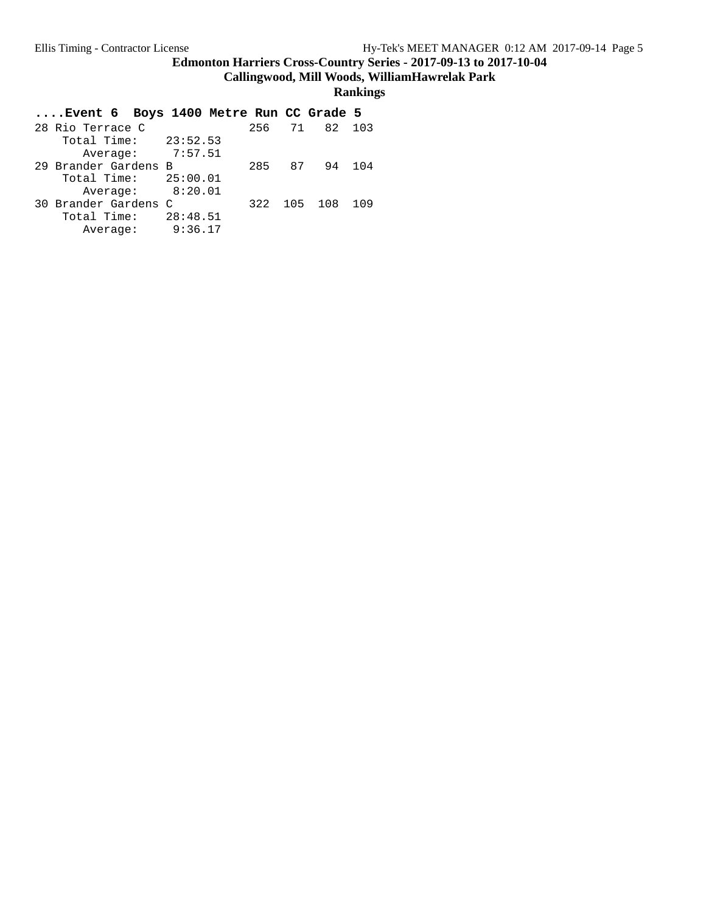**Callingwood, Mill Woods, WilliamHawrelak Park**

| Event 6 Boys 1400 Metre Run CC Grade 5 |     |           |     |
|----------------------------------------|-----|-----------|-----|
| 28 Rio Terrace C                       |     | 256 71 82 | 103 |
| Total Time: $23:52.53$                 |     |           |     |
| Average: 7:57.51                       |     |           |     |
| 29 Brander Gardens B                   |     | 285 87 94 | 104 |
| Total Time: $25:00.01$                 |     |           |     |
| Average: 8:20.01                       |     |           |     |
| 30 Brander Gardens C                   | 322 | 105 108   | 109 |
| 28:48.51<br>Total Time:                |     |           |     |
| 9:36.17<br>Average:                    |     |           |     |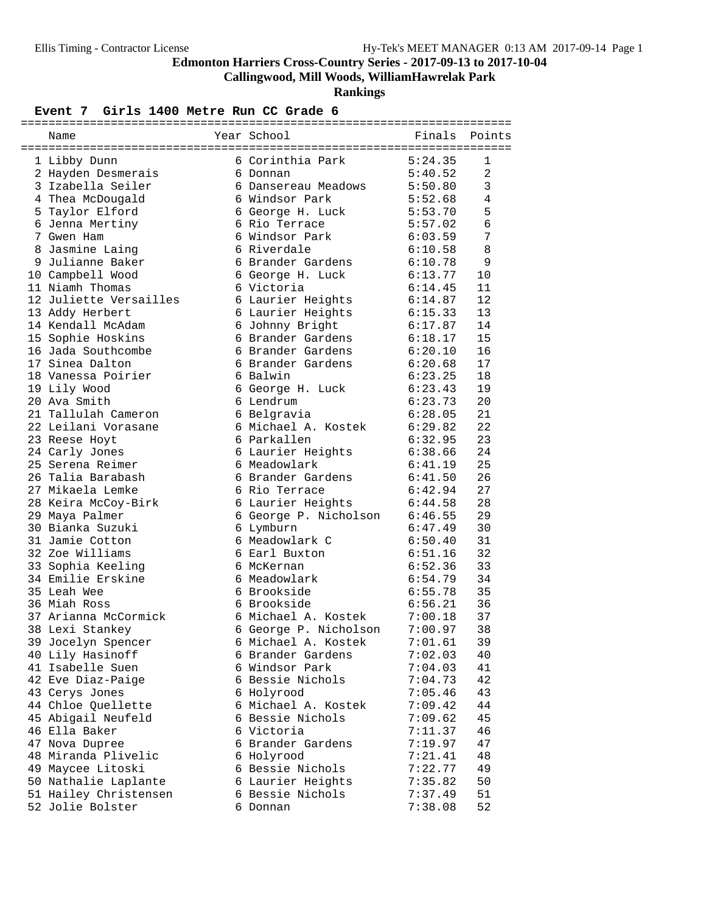**Callingwood, Mill Woods, WilliamHawrelak Park**

**Rankings**

#### Event 7 Girls 1400 Metre Run CC Grade 6

| Name                   | Year School           |         | Finals Points  |
|------------------------|-----------------------|---------|----------------|
|                        |                       |         |                |
| 1 Libby Dunn           | 6 Corinthia Park      | 5:24.35 | 1              |
| 2 Hayden Desmerais     | 6 Donnan              | 5:40.52 | $\overline{2}$ |
| 3 Izabella Seiler      | 6 Dansereau Meadows   | 5:50.80 | $\mathbf{3}$   |
| 4 Thea McDougald       | 6 Windsor Park        | 5:52.68 | 4              |
| 5 Taylor Elford        | 6 George H. Luck      | 5:53.70 | 5              |
| 6 Jenna Mertiny        | 6 Rio Terrace         | 5:57.02 | 6              |
| 7 Gwen Ham             | 6 Windsor Park        | 6:03.59 | 7              |
| 8 Jasmine Laing        | 6 Riverdale           | 6:10.58 | 8              |
| 9 Julianne Baker       | 6 Brander Gardens     | 6:10.78 | 9              |
| 10 Campbell Wood       | 6 George H. Luck      | 6:13.77 | 10             |
| 11 Niamh Thomas        | 6 Victoria            | 6:14.45 | 11             |
| 12 Juliette Versailles | 6 Laurier Heights     | 6:14.87 | 12             |
| 13 Addy Herbert        | 6 Laurier Heights     | 6:15.33 | 13             |
| 14 Kendall McAdam      | 6 Johnny Bright       | 6:17.87 | 14             |
| 15 Sophie Hoskins      | 6 Brander Gardens     | 6:18.17 | 15             |
| 16 Jada Southcombe     | 6 Brander Gardens     | 6:20.10 | 16             |
| 17 Sinea Dalton        | 6 Brander Gardens     | 6:20.68 | 17             |
| 18 Vanessa Poirier     | 6 Balwin              | 6:23.25 | 18             |
| 19 Lily Wood           | 6 George H. Luck      | 6:23.43 | 19             |
| 20 Ava Smith           | 6 Lendrum             | 6:23.73 | 20             |
| 21 Tallulah Cameron    | 6 Belgravia           | 6:28.05 | 21             |
| 22 Leilani Vorasane    | 6 Michael A. Kostek   | 6:29.82 | 22             |
| 23 Reese Hoyt          | 6 Parkallen           | 6:32.95 | 23             |
| 24 Carly Jones         | 6 Laurier Heights     | 6:38.66 | 24             |
| 25 Serena Reimer       | 6 Meadowlark          | 6:41.19 | 25             |
| 26 Talia Barabash      | 6 Brander Gardens     | 6:41.50 | 26             |
| 27 Mikaela Lemke       | 6 Rio Terrace         | 6:42.94 | 27             |
| 28 Keira McCoy-Birk    | 6 Laurier Heights     | 6:44.58 | 28             |
| 29 Maya Palmer         | 6 George P. Nicholson | 6:46.55 | 29             |
| 30 Bianka Suzuki       | 6 Lymburn             | 6:47.49 | 30             |
| 31 Jamie Cotton        | 6 Meadowlark C        | 6:50.40 | 31             |
| 32 Zoe Williams        | 6 Earl Buxton         | 6:51.16 | 32             |
| 33 Sophia Keeling      | 6 McKernan            | 6:52.36 | 33             |
| 34 Emilie Erskine      | 6 Meadowlark          | 6:54.79 | 34             |
| 35 Leah Wee            | 6 Brookside           | 6:55.78 | 35             |
| 36 Miah Ross           | 6 Brookside           | 6:56.21 | 36             |
| 37 Arianna McCormick   | 6 Michael A. Kostek   | 7:00.18 | 37             |
| 38 Lexi Stankey        | 6 George P. Nicholson | 7:00.97 | 38             |
| 39 Jocelyn Spencer     | 6 Michael A. Kostek   | 7:01.61 | 39             |
| 40 Lily Hasinoff       | 6 Brander Gardens     | 7:02.03 | 40             |
| 41 Isabelle Suen       | 6 Windsor Park        | 7:04.03 | 41             |
| 42 Eve Diaz-Paige      | 6 Bessie Nichols      | 7:04.73 | 42             |
| 43 Cerys Jones         | 6 Holyrood            | 7:05.46 | 43             |
| 44 Chloe Quellette     | 6 Michael A. Kostek   | 7:09.42 | 44             |
| 45 Abigail Neufeld     | 6 Bessie Nichols      | 7:09.62 | 45             |
| 46 Ella Baker          | 6 Victoria            | 7:11.37 | 46             |
| 47 Nova Dupree         | 6 Brander Gardens     | 7:19.97 | 47             |
| 48 Miranda Plivelic    | 6 Holyrood            | 7:21.41 | 48             |
| 49 Maycee Litoski      | 6 Bessie Nichols      | 7:22.77 | 49             |
| 50 Nathalie Laplante   | 6 Laurier Heights     | 7:35.82 | 50             |
| 51 Hailey Christensen  | 6 Bessie Nichols      | 7:37.49 | 51             |
| 52 Jolie Bolster       | 6 Donnan              | 7:38.08 | 52             |
|                        |                       |         |                |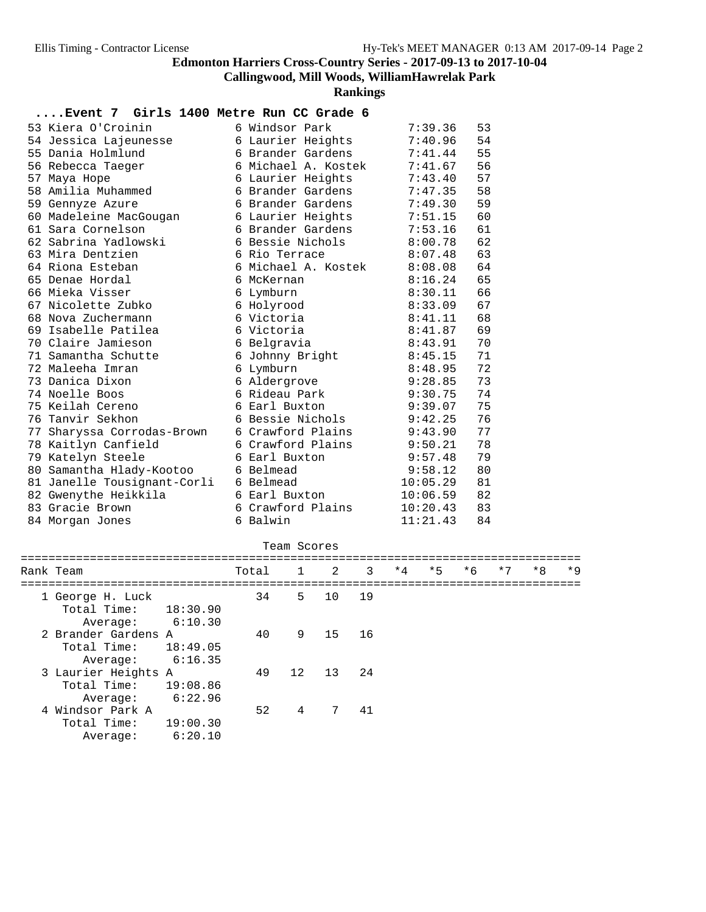# **Callingwood, Mill Woods, WilliamHawrelak Park**

**Rankings**

#### **....Event 7 Girls 1400 Metre Run CC Grade 6**

|  | 53 Kiera O'Croinin          | 6 Windsor Park      | 7:39.36  | 53 |
|--|-----------------------------|---------------------|----------|----|
|  | 54 Jessica Lajeunesse       | 6 Laurier Heights   | 7:40.96  | 54 |
|  | 55 Dania Holmlund           | 6 Brander Gardens   | 7:41.44  | 55 |
|  | 56 Rebecca Taeger           | 6 Michael A. Kostek | 7:41.67  | 56 |
|  | 57 Maya Hope                | 6 Laurier Heights   | 7:43.40  | 57 |
|  | 58 Amilia Muhammed          | 6 Brander Gardens   | 7:47.35  | 58 |
|  | 59 Gennyze Azure            | 6 Brander Gardens   | 7:49.30  | 59 |
|  | 60 Madeleine MacGougan      | 6 Laurier Heights   | 7:51.15  | 60 |
|  | 61 Sara Cornelson           | 6 Brander Gardens   | 7:53.16  | 61 |
|  | 62 Sabrina Yadlowski        | 6 Bessie Nichols    | 8:00.78  | 62 |
|  | 63 Mira Dentzien            | 6 Rio Terrace       | 8:07.48  | 63 |
|  | 64 Riona Esteban            | 6 Michael A. Kostek | 8:08.08  | 64 |
|  | 65 Denae Hordal             | 6 McKernan          | 8:16.24  | 65 |
|  | 66 Mieka Visser             | 6 Lymburn           | 8:30.11  | 66 |
|  | 67 Nicolette Zubko          | 6 Holyrood          | 8:33.09  | 67 |
|  | 68 Nova Zuchermann          | 6 Victoria          | 8:41.11  | 68 |
|  | 69 Isabelle Patilea         | 6 Victoria          | 8:41.87  | 69 |
|  | 70 Claire Jamieson          | 6 Belgravia         | 8:43.91  | 70 |
|  | 71 Samantha Schutte         | 6 Johnny Bright     | 8:45.15  | 71 |
|  | 72 Maleeha Imran            | 6 Lymburn           | 8:48.95  | 72 |
|  | 73 Danica Dixon             | 6 Aldergrove        | 9:28.85  | 73 |
|  | 74 Noelle Boos              | 6 Rideau Park       | 9:30.75  | 74 |
|  | 75 Keilah Cereno            | 6 Earl Buxton       | 9:39.07  | 75 |
|  | 76 Tanvir Sekhon            | 6 Bessie Nichols    | 9:42.25  | 76 |
|  | 77 Sharyssa Corrodas-Brown  | 6 Crawford Plains   | 9:43.90  | 77 |
|  | 78 Kaitlyn Canfield         | 6 Crawford Plains   | 9:50.21  | 78 |
|  | 79 Katelyn Steele           | 6 Earl Buxton       | 9:57.48  | 79 |
|  | 80 Samantha Hlady-Kootoo    | 6 Belmead           | 9:58.12  | 80 |
|  | 81 Janelle Tousignant-Corli | 6 Belmead           | 10:05.29 | 81 |
|  | 82 Gwenythe Heikkila        | 6 Earl Buxton       | 10:06.59 | 82 |
|  | 83 Gracie Brown             | 6 Crawford Plains   | 10:20.43 | 83 |
|  | 84 Morgan Jones             | 6 Balwin            | 11:21.43 | 84 |

# Team Scores

| Rank Team                                      |                     | Total 1 2 |                |             | 3  | $*4$ | $*5$ | $*6$ | $*7$ | $*8$ | $*9$ |
|------------------------------------------------|---------------------|-----------|----------------|-------------|----|------|------|------|------|------|------|
| 1 George H. Luck<br>Total Time:<br>Average:    | 18:30.90<br>6:10.30 | 34        | .5.            | 10          | 19 |      |      |      |      |      |      |
| 2 Brander Gardens A<br>Total Time:<br>Average: | 18:49.05<br>6:16.35 | 40        | 9              | 15          | 16 |      |      |      |      |      |      |
| 3 Laurier Heights A<br>Total Time:<br>Average: | 19:08.86<br>6:22.96 | 49        | 12             | 13 24       |    |      |      |      |      |      |      |
| 4 Windsor Park A<br>Total Time:<br>Average:    | 19:00.30<br>6:20.10 | 52        | $\overline{4}$ | $7^{\circ}$ | 41 |      |      |      |      |      |      |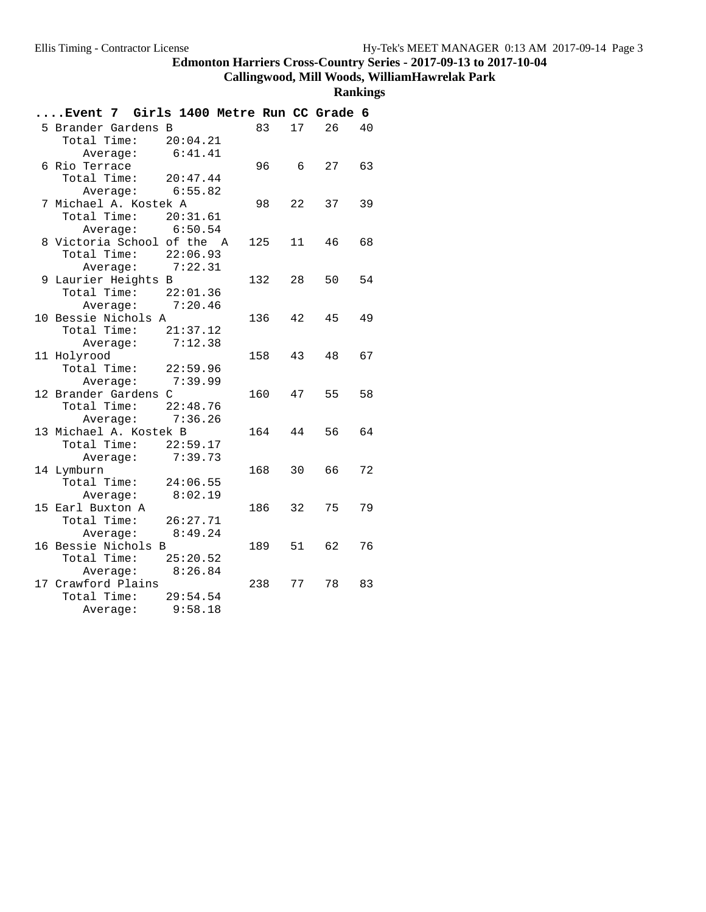# **Callingwood, Mill Woods, WilliamHawrelak Park**

| Event 7 Girls 1400 Metre Run CC Grade 6 |          |       |    |    |    |
|-----------------------------------------|----------|-------|----|----|----|
| 5 Brander Gardens B                     |          | 83    | 17 | 26 | 40 |
| Total Time: 20:04.21                    |          |       |    |    |    |
| Average:                                | 6:41.41  |       |    |    |    |
| 6 Rio Terrace                           |          | 96 6  |    | 27 | 63 |
| Total Time: $20:47.44$                  |          |       |    |    |    |
| Average: 6:55.82                        |          |       |    |    |    |
| 7 Michael A. Kostek A                   |          | 98    | 22 | 37 | 39 |
| Total Time:                             | 20:31.61 |       |    |    |    |
| Average: $6:50.54$                      |          |       |    |    |    |
| 8 Victoria School of the A              |          | 125   | 11 | 46 | 68 |
| Total Time: 22:06.93                    |          |       |    |    |    |
| Average: 7:22.31                        |          |       |    |    |    |
| 9 Laurier Heights B                     |          | 132   | 28 | 50 | 54 |
| Total Time: 22:01.36                    |          |       |    |    |    |
| Average: 7:20.46                        |          |       |    |    |    |
| 10 Bessie Nichols A                     |          | 136   | 42 | 45 | 49 |
| Total Time: $21:37.12$                  |          |       |    |    |    |
| Average:                                | 7:12.38  |       |    |    |    |
| 11 Holyrood                             |          | 158   | 43 | 48 | 67 |
| Total Time: 22:59.96                    |          |       |    |    |    |
| Average: 7:39.99                        |          |       |    |    |    |
| 12 Brander Gardens C                    |          | 160   | 47 | 55 | 58 |
| Total Time:                             | 22:48.76 |       |    |    |    |
| Average: 7:36.26                        |          |       |    |    |    |
| 13 Michael A. Kostek B                  |          | 164   | 44 | 56 | 64 |
| Total Time: 22:59.17                    |          |       |    |    |    |
| Average:                                | 7:39.73  |       |    |    |    |
| 14 Lymburn                              |          | 168 — | 30 | 66 | 72 |
| Total Time: 24:06.55                    |          |       |    |    |    |
| Average: 8:02.19                        |          |       |    |    |    |
| 15 Earl Buxton A                        |          | 186   | 32 | 75 | 79 |
| Total Time:                             | 26:27.71 |       |    |    |    |
| Average:                                | 8:49.24  |       |    |    |    |
| 16 Bessie Nichols B                     |          | 189   | 51 | 62 | 76 |
| Total Time: 25:20.52                    |          |       |    |    |    |
| Average: 8:26.84                        |          |       |    |    |    |
| 17 Crawford Plains                      |          | 238   | 77 | 78 | 83 |
| Total Time: 29:54.54                    |          |       |    |    |    |
| Average:                                | 9:58.18  |       |    |    |    |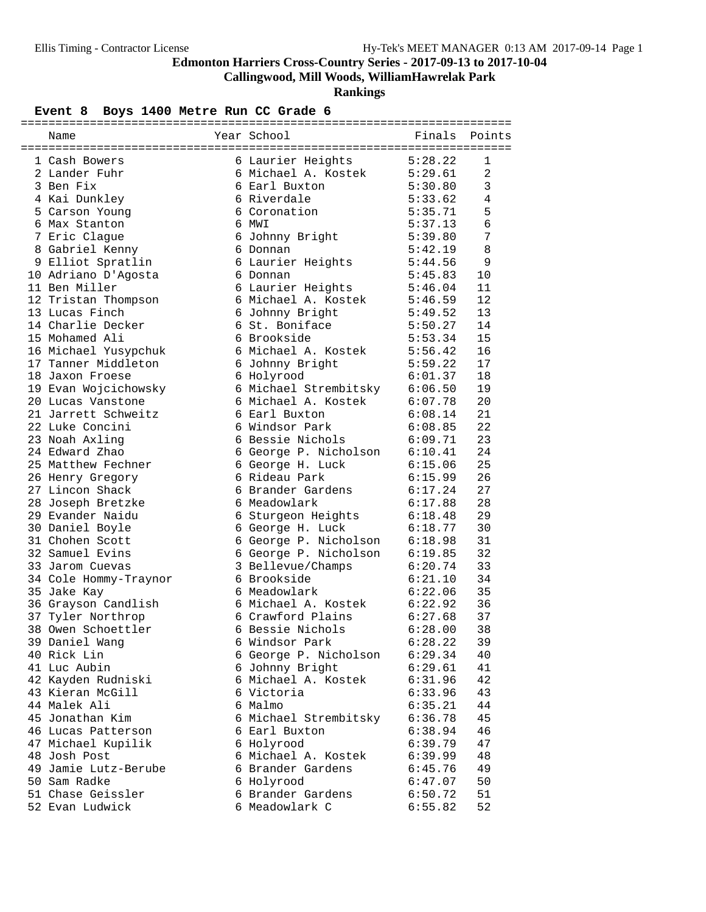**Callingwood, Mill Woods, WilliamHawrelak Park**

**Rankings**

#### Event 8 Boys 1400 Metre Run CC Grade 6

|  | 1 Cash Bowers                                      |  | 6 Laurier Heights 5:28.22                                                                            |                               | 1              |  |  |
|--|----------------------------------------------------|--|------------------------------------------------------------------------------------------------------|-------------------------------|----------------|--|--|
|  | 2 Lander Fuhr                                      |  | 6 Michael A. Kostek 5:29.61                                                                          |                               | 2              |  |  |
|  | 3 Ben Fix                                          |  | 6 Earl Buxton<br>6 Riverdale                                                                         | 5:30.80<br>5:33.62<br>5:35.71 | $\overline{3}$ |  |  |
|  | 4 Kai Dunkley                                      |  |                                                                                                      |                               | $\overline{4}$ |  |  |
|  | 5 Carson Young                                     |  | 6 Coronation                                                                                         |                               | 5              |  |  |
|  | 6 Max Stanton                                      |  | 6 MWI                                                                                                | 5:37.13                       | 6              |  |  |
|  | 7 Eric Clague                                      |  | 6 Johnny Bright 5:39.80                                                                              |                               | 7              |  |  |
|  | 8 Gabriel Kenny                                    |  | 6 Donnan                                                                                             | 5:42.19                       | 8              |  |  |
|  | 9 Elliot Spratlin                                  |  | 6 Laurier Heights                                                                                    | 5:44.56                       | 9              |  |  |
|  | 10 Adriano D'Agosta                                |  | 6 Donnan                                                                                             | 5:45.83                       | 10             |  |  |
|  | 11 Ben Miller                                      |  | 6 Laurier Heights                                                                                    | 5:46.04                       | 11             |  |  |
|  | 12 Tristan Thompson                                |  | 6 Michael A. Kostek 5:46.59                                                                          |                               | 12             |  |  |
|  | 13 Lucas Finch                                     |  | 6 Johnny Bright 5:49.52                                                                              |                               | 13             |  |  |
|  | 14 Charlie Decker                                  |  | 6 St. Boniface 5:50.27                                                                               |                               | 14             |  |  |
|  | 15 Mohamed Ali                                     |  |                                                                                                      |                               | 15             |  |  |
|  | 16 Michael Yusypchuk                               |  | 6 Brookside<br>6 Michael A. Kostek<br>5:56.42<br>6 Johnny Bright<br>5:59.22<br>6 Holyrood<br>6:01.37 |                               | 16             |  |  |
|  | 17 Tanner Middleton                                |  |                                                                                                      |                               | 17             |  |  |
|  | 18 Jaxon Froese                                    |  | 6 Holyrood                                                                                           |                               | 18             |  |  |
|  | 19 Evan Wojcichowsky 6 Michael Strembitsky 6:06.50 |  |                                                                                                      |                               | 19             |  |  |
|  | 20 Lucas Vanstone                                  |  | 6 Michael A. Kostek 6:07.78                                                                          |                               | 20             |  |  |
|  | 21 Jarrett Schweitz                                |  |                                                                                                      |                               | 21             |  |  |
|  | 22 Luke Concini                                    |  |                                                                                                      |                               | 22             |  |  |
|  | 23 Noah Axling                                     |  | 6 Bessie Nichols 6:09.71                                                                             |                               | 23             |  |  |
|  | 24 Edward Zhao                                     |  | 6 George P. Nicholson 6:10.41                                                                        |                               | 24             |  |  |
|  | 25 Matthew Fechner                                 |  | 6 George H. Luck 6:15.06                                                                             |                               | 25             |  |  |
|  | 26 Henry Gregory                                   |  | 6 Rideau Park                                                                                        | 6:15.99                       | 26             |  |  |
|  | 27 Lincon Shack                                    |  | 6 Brander Gardens 6:17.24                                                                            |                               | 27             |  |  |
|  | 28 Joseph Bretzke                                  |  | 6 Meadowlark                                                                                         | 6:17.88                       | 28             |  |  |
|  | 29 Evander Naidu                                   |  |                                                                                                      |                               | 29             |  |  |
|  | 30 Daniel Boyle                                    |  |                                                                                                      |                               | 30             |  |  |
|  | 31 Chohen Scott                                    |  | 6 George P. Nicholson 6:18.98                                                                        |                               | 31             |  |  |
|  | 32 Samuel Evins                                    |  | 6 George P. Nicholson 6:19.85                                                                        |                               | 32             |  |  |
|  | 33 Jarom Cuevas                                    |  | 3 Bellevue/Champs 6:20.74<br>6 Brookside 6:21.10<br>6 Meadowlark 6:22.06                             |                               | 33             |  |  |
|  | 34 Cole Hommy-Traynor                              |  |                                                                                                      |                               | 34             |  |  |
|  | 35 Jake Kay                                        |  | o Brookside<br>6 Meadowlark                                                                          |                               | 35             |  |  |
|  | 36 Grayson Candlish                                |  | 6 Michael A. Kostek 6:22.92                                                                          |                               | 36             |  |  |
|  | 37 Tyler Northrop                                  |  | 6 Crawford Plains 6:27.68                                                                            |                               | 37             |  |  |
|  | 38 Owen Schoettler                                 |  | 6 Bessie Nichols                                                                                     | 6:28.00                       | 38             |  |  |
|  | 39 Daniel Wang                                     |  | 6 Windsor Park                                                                                       | 6:28.22                       | 39             |  |  |
|  | 40 Rick Lin                                        |  | 6 George P. Nicholson                                                                                | 6:29.34                       | 40             |  |  |
|  | 41 Luc Aubin                                       |  | 6 Johnny Bright                                                                                      | 6:29.61                       | 41             |  |  |
|  | 42 Kayden Rudniski                                 |  | 6 Michael A. Kostek                                                                                  | 6:31.96                       | 42             |  |  |
|  | 43 Kieran McGill                                   |  | 6 Victoria                                                                                           | 6:33.96                       | 43             |  |  |
|  | 44 Malek Ali                                       |  | 6 Malmo                                                                                              | 6:35.21                       | 44             |  |  |
|  | 45 Jonathan Kim                                    |  | 6 Michael Strembitsky                                                                                | 6:36.78                       | 45             |  |  |
|  | 46 Lucas Patterson                                 |  | 6 Earl Buxton                                                                                        | 6:38.94                       | 46             |  |  |
|  | 47 Michael Kupilik                                 |  | 6 Holyrood                                                                                           | 6:39.79                       | 47             |  |  |
|  | 48 Josh Post                                       |  | 6 Michael A. Kostek                                                                                  | 6:39.99                       | 48             |  |  |
|  | 49 Jamie Lutz-Berube                               |  | 6 Brander Gardens                                                                                    | 6:45.76                       | 49             |  |  |
|  | 50 Sam Radke                                       |  | 6 Holyrood                                                                                           | 6:47.07                       | 50             |  |  |
|  | 51 Chase Geissler                                  |  | 6 Brander Gardens                                                                                    | 6:50.72                       | 51             |  |  |
|  | 52 Evan Ludwick                                    |  | 6 Meadowlark C                                                                                       | 6:55.82                       | 52             |  |  |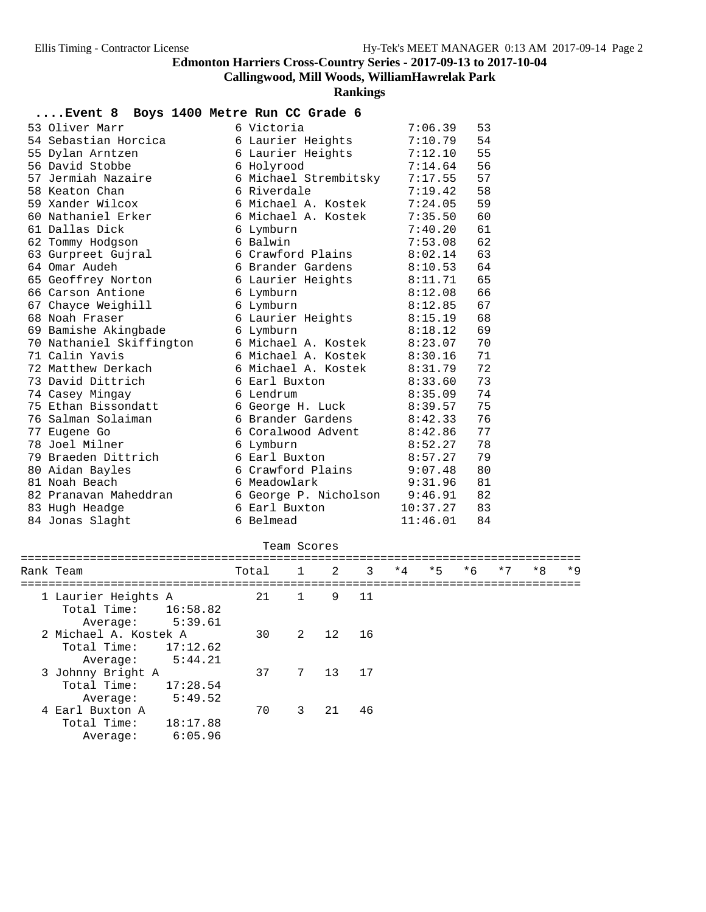# **Callingwood, Mill Woods, WilliamHawrelak Park**

**Rankings**

| Event 8                  | Boys 1400 Metre Run CC Grade 6 |          |    |
|--------------------------|--------------------------------|----------|----|
| 53 Oliver Marr           | 6 Victoria                     | 7:06.39  | 53 |
| 54 Sebastian Horcica     | 6 Laurier Heights              | 7:10.79  | 54 |
| 55 Dylan Arntzen         | 6 Laurier Heights              | 7:12.10  | 55 |
| 56 David Stobbe          | 6 Holyrood                     | 7:14.64  | 56 |
| 57 Jermiah Nazaire       | 6 Michael Strembitsky          | 7:17.55  | 57 |
| 58 Keaton Chan           | 6 Riverdale                    | 7:19.42  | 58 |
| 59 Xander Wilcox         | 6 Michael A. Kostek            | 7:24.05  | 59 |
| 60 Nathaniel Erker       | 6 Michael A. Kostek            | 7:35.50  | 60 |
| 61 Dallas Dick           | 6 Lymburn                      | 7:40.20  | 61 |
| 62 Tommy Hodgson         | 6 Balwin                       | 7:53.08  | 62 |
| 63 Gurpreet Gujral       | 6 Crawford Plains              | 8:02.14  | 63 |
| 64 Omar Audeh            | 6 Brander Gardens              | 8:10.53  | 64 |
| 65 Geoffrey Norton       | 6 Laurier Heights              | 8:11.71  | 65 |
| 66 Carson Antione        | 6 Lymburn                      | 8:12.08  | 66 |
| 67 Chayce Weighill       | 6 Lymburn                      | 8:12.85  | 67 |
| 68 Noah Fraser           | 6 Laurier Heights              | 8:15.19  | 68 |
| 69 Bamishe Akingbade     | 6 Lymburn                      | 8:18.12  | 69 |
| 70 Nathaniel Skiffington | 6 Michael A. Kostek            | 8:23.07  | 70 |
| 71 Calin Yavis           | 6 Michael A. Kostek            | 8:30.16  | 71 |
| 72 Matthew Derkach       | 6 Michael A. Kostek            | 8:31.79  | 72 |
| 73 David Dittrich        | 6 Earl Buxton                  | 8:33.60  | 73 |
| 74 Casey Mingay          | 6 Lendrum                      | 8:35.09  | 74 |
| 75 Ethan Bissondatt      | 6 George H. Luck               | 8:39.57  | 75 |
| 76 Salman Solaiman       | 6 Brander Gardens              | 8:42.33  | 76 |
| 77 Eugene Go             | 6 Coralwood Advent             | 8:42.86  | 77 |
| 78 Joel Milner           | 6 Lymburn                      | 8:52.27  | 78 |
| 79 Braeden Dittrich      | 6 Earl Buxton                  | 8:57.27  | 79 |
| 80 Aidan Bayles          | 6 Crawford Plains              | 9:07.48  | 80 |
| 81 Noah Beach            | 6 Meadowlark                   | 9:31.96  | 81 |
| 82 Pranavan Maheddran    | 6 George P. Nicholson          | 9:46.91  | 82 |
| 83 Hugh Headge           | 6 Earl Buxton                  | 10:37.27 | 83 |
| 84 Jonas Slaght          | 6 Belmead                      | 11:46.01 | 84 |

#### Team Scores

| Rank Team                                                               | Total 1 2 |                |       | 3    | $*4$ | $*5$ | $*6$ | $*7$ | $*8$ | $*9$ |
|-------------------------------------------------------------------------|-----------|----------------|-------|------|------|------|------|------|------|------|
| 1 Laurier Heights A<br>Total Time:<br>16:58.82<br>5:39.61<br>Average:   | 21        | $\overline{1}$ |       | 9 11 |      |      |      |      |      |      |
| 2 Michael A. Kostek A<br>Total Time:<br>17:12.62<br>5:44.21<br>Average: | 30        | $\overline{a}$ | 12 16 |      |      |      |      |      |      |      |
| 3 Johnny Bright A<br>Total Time:<br>17:28.54<br>5:49.52<br>Average:     | 37        | 7              | 13 17 |      |      |      |      |      |      |      |
| 4 Earl Buxton A<br>Total Time:<br>18:17.88<br>6:05.96<br>Average:       | 70        | 3              | 21    | 46   |      |      |      |      |      |      |